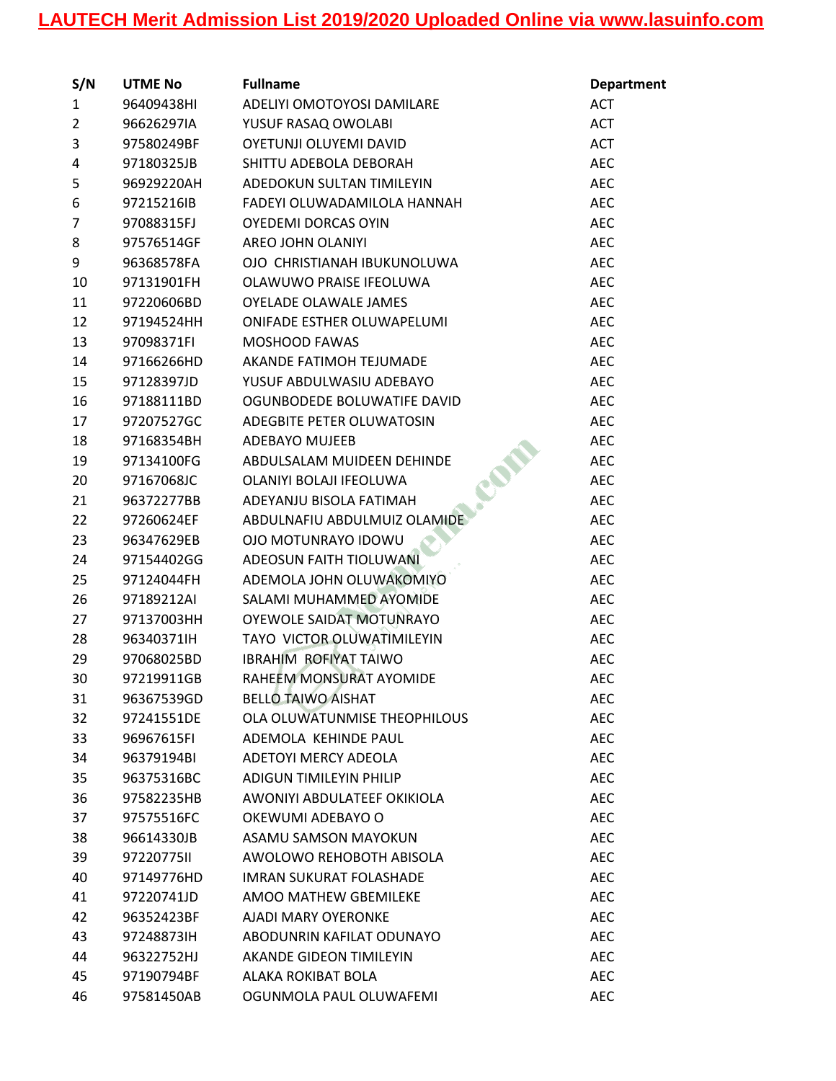| S/N            | <b>UTME No</b> | <b>Fullname</b>                           | <b>Department</b> |
|----------------|----------------|-------------------------------------------|-------------------|
| $\mathbf{1}$   | 96409438HI     | ADELIYI OMOTOYOSI DAMILARE                | <b>ACT</b>        |
| $\overline{2}$ | 96626297IA     | YUSUF RASAQ OWOLABI                       | <b>ACT</b>        |
| 3              | 97580249BF     | OYETUNJI OLUYEMI DAVID                    | <b>ACT</b>        |
| 4              | 97180325JB     | SHITTU ADEBOLA DEBORAH                    | <b>AEC</b>        |
| 5              | 96929220AH     | ADEDOKUN SULTAN TIMILEYIN                 | <b>AEC</b>        |
| 6              | 97215216IB     | FADEYI OLUWADAMILOLA HANNAH               | <b>AEC</b>        |
| 7              | 97088315FJ     | OYEDEMI DORCAS OYIN                       | <b>AEC</b>        |
| 8              | 97576514GF     | AREO JOHN OLANIYI                         | <b>AEC</b>        |
| 9              | 96368578FA     | OJO CHRISTIANAH IBUKUNOLUWA               | <b>AEC</b>        |
| 10             | 97131901FH     | OLAWUWO PRAISE IFEOLUWA                   | <b>AEC</b>        |
| 11             | 97220606BD     | <b>OYELADE OLAWALE JAMES</b>              | <b>AEC</b>        |
| 12             | 97194524HH     | <b>ONIFADE ESTHER OLUWAPELUMI</b>         | <b>AEC</b>        |
| 13             | 97098371FI     | <b>MOSHOOD FAWAS</b>                      | <b>AEC</b>        |
| 14             | 97166266HD     | AKANDE FATIMOH TEJUMADE                   | <b>AEC</b>        |
| 15             | 97128397JD     | YUSUF ABDULWASIU ADEBAYO                  | <b>AEC</b>        |
| 16             | 97188111BD     | OGUNBODEDE BOLUWATIFE DAVID               | <b>AEC</b>        |
| 17             | 97207527GC     | ADEGBITE PETER OLUWATOSIN                 | <b>AEC</b>        |
| 18             | 97168354BH     | <b>ADEBAYO MUJEEB</b>                     | <b>AEC</b>        |
| 19             | 97134100FG     | <b>PART</b><br>ABDULSALAM MUIDEEN DEHINDE | <b>AEC</b>        |
| 20             | 97167068JC     | OLANIYI BOLAJI IFEOLUWA                   | <b>AEC</b>        |
| 21             | 96372277BB     | ADEYANJU BISOLA FATIMAH                   | <b>AEC</b>        |
| 22             | 97260624EF     | ABDULNAFIU ABDULMUIZ OLAMIDE              | <b>AEC</b>        |
| 23             | 96347629EB     | OJO MOTUNRAYO IDOWU                       | <b>AEC</b>        |
| 24             | 97154402GG     | <b>ADEOSUN FAITH TIOLUWANI</b>            | <b>AEC</b>        |
| 25             | 97124044FH     | ADEMOLA JOHN OLUWAKOMIYO                  | <b>AEC</b>        |
| 26             | 97189212AI     | SALAMI MUHAMMED AYOMIDE                   | <b>AEC</b>        |
| 27             | 97137003HH     | OYEWOLE SAIDAT MOTUNRAYO                  | <b>AEC</b>        |
| 28             | 96340371IH     | TAYO VICTOR OLUWATIMILEYIN                | <b>AEC</b>        |
| 29             | 97068025BD     | <b>IBRAHIM ROFIYAT TAIWO</b>              | <b>AEC</b>        |
| 30             | 97219911GB     | RAHEEM MONSURAT AYOMIDE                   | <b>AEC</b>        |
| 31             | 96367539GD     | <b>BELLO TAIWO AISHAT</b>                 | AEC               |
| 32             | 97241551DE     | OLA OLUWATUNMISE THEOPHILOUS              | <b>AEC</b>        |
| 33             | 96967615FI     | ADEMOLA KEHINDE PAUL                      | <b>AEC</b>        |
| 34             | 96379194BI     | <b>ADETOYI MERCY ADEOLA</b>               | <b>AEC</b>        |
| 35             | 96375316BC     | <b>ADIGUN TIMILEYIN PHILIP</b>            | <b>AEC</b>        |
| 36             | 97582235HB     | AWONIYI ABDULATEEF OKIKIOLA               | <b>AEC</b>        |
| 37             | 97575516FC     | OKEWUMI ADEBAYO O                         | <b>AEC</b>        |
| 38             | 96614330JB     | ASAMU SAMSON MAYOKUN                      | <b>AEC</b>        |
| 39             | 97220775II     | AWOLOWO REHOBOTH ABISOLA                  | <b>AEC</b>        |
| 40             | 97149776HD     | <b>IMRAN SUKURAT FOLASHADE</b>            | <b>AEC</b>        |
| 41             | 97220741JD     | AMOO MATHEW GBEMILEKE                     | <b>AEC</b>        |
| 42             | 96352423BF     | AJADI MARY OYERONKE                       | <b>AEC</b>        |
| 43             | 972488731H     | ABODUNRIN KAFILAT ODUNAYO                 | <b>AEC</b>        |
| 44             | 96322752HJ     | AKANDE GIDEON TIMILEYIN                   | <b>AEC</b>        |
| 45             | 97190794BF     | ALAKA ROKIBAT BOLA                        | <b>AEC</b>        |
| 46             | 97581450AB     | OGUNMOLA PAUL OLUWAFEMI                   | <b>AEC</b>        |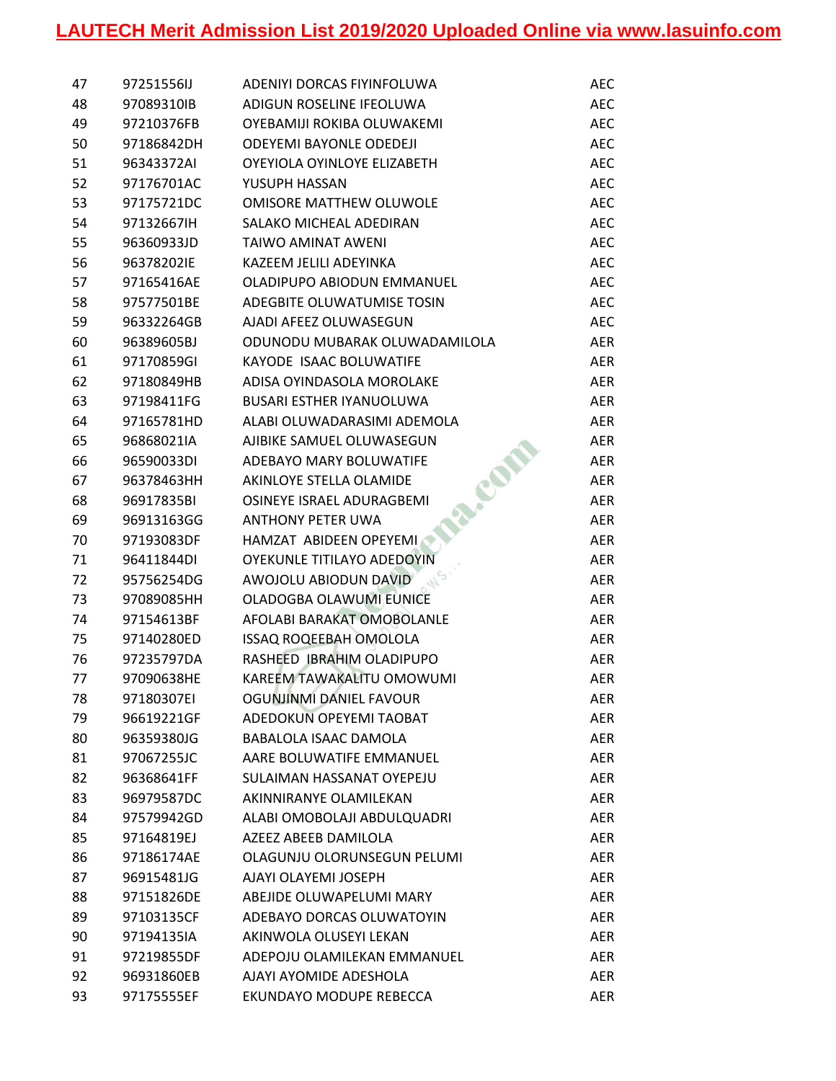| 47 | 97251556IJ | ADENIYI DORCAS FIYINFOLUWA      | <b>AEC</b> |
|----|------------|---------------------------------|------------|
| 48 | 97089310IB | ADIGUN ROSELINE IFEOLUWA        | <b>AEC</b> |
| 49 | 97210376FB | OYEBAMIJI ROKIBA OLUWAKEMI      | <b>AEC</b> |
| 50 | 97186842DH | <b>ODEYEMI BAYONLE ODEDEJI</b>  | <b>AEC</b> |
| 51 | 96343372AI | OYEYIOLA OYINLOYE ELIZABETH     | <b>AEC</b> |
| 52 | 97176701AC | YUSUPH HASSAN                   | <b>AEC</b> |
| 53 | 97175721DC | <b>OMISORE MATTHEW OLUWOLE</b>  | <b>AEC</b> |
| 54 | 97132667IH | SALAKO MICHEAL ADEDIRAN         | <b>AEC</b> |
| 55 | 96360933JD | TAIWO AMINAT AWENI              | <b>AEC</b> |
| 56 | 96378202IE | KAZEEM JELILI ADEYINKA          | <b>AEC</b> |
| 57 | 97165416AE | OLADIPUPO ABIODUN EMMANUEL      | <b>AEC</b> |
| 58 | 97577501BE | ADEGBITE OLUWATUMISE TOSIN      | <b>AEC</b> |
| 59 | 96332264GB | AJADI AFEEZ OLUWASEGUN          | <b>AEC</b> |
| 60 | 96389605BJ | ODUNODU MUBARAK OLUWADAMILOLA   | <b>AER</b> |
| 61 | 97170859GI | KAYODE ISAAC BOLUWATIFE         | <b>AER</b> |
| 62 | 97180849HB | ADISA OYINDASOLA MOROLAKE       | AER        |
| 63 | 97198411FG | <b>BUSARI ESTHER IYANUOLUWA</b> | AER        |
| 64 | 97165781HD | ALABI OLUWADARASIMI ADEMOLA     | <b>AER</b> |
| 65 | 96868021IA | AJIBIKE SAMUEL OLUWASEGUN       | <b>AER</b> |
| 66 | 96590033DI | ADEBAYO MARY BOLUWATIFE         | <b>AER</b> |
| 67 | 96378463HH | AKINLOYE STELLA OLAMIDE         | <b>AER</b> |
| 68 | 96917835BI | OSINEYE ISRAEL ADURAGBEMI       | AER        |
| 69 | 96913163GG | <b>ANTHONY PETER UWA</b>        | <b>AER</b> |
| 70 | 97193083DF | HAMZAT ABIDEEN OPEYEMI          | AER        |
| 71 | 96411844DI | OYEKUNLE TITILAYO ADEDOYIN      | <b>AER</b> |
| 72 | 95756254DG | AWOJOLU ABIODUN DAVID           | <b>AER</b> |
| 73 | 97089085HH | OLADOGBA OLAWUMI EUNICE         | <b>AER</b> |
| 74 | 97154613BF | AFOLABI BARAKAT OMOBOLANLE      | <b>AER</b> |
| 75 | 97140280ED | ISSAQ ROQEEBAH OMOLOLA          | <b>AER</b> |
| 76 | 97235797DA | RASHEED IBRAHIM OLADIPUPO       | AER        |
| 77 | 97090638HE | KAREEM TAWAKALITU OMOWUMI       | <b>AER</b> |
| 78 | 97180307EI | OGUNJINMI DANIEL FAVOUR         | AER.       |
| 79 | 96619221GF | ADEDOKUN OPEYEMI TAOBAT         | AER        |
| 80 | 96359380JG | BABALOLA ISAAC DAMOLA           | AER        |
| 81 | 97067255JC | AARE BOLUWATIFE EMMANUEL        | AER        |
| 82 | 96368641FF | SULAIMAN HASSANAT OYEPEJU       | <b>AER</b> |
| 83 | 96979587DC | AKINNIRANYE OLAMILEKAN          | <b>AER</b> |
| 84 | 97579942GD | ALABI OMOBOLAJI ABDULQUADRI     | <b>AER</b> |
| 85 | 97164819EJ | AZEEZ ABEEB DAMILOLA            | <b>AER</b> |
| 86 | 97186174AE | OLAGUNJU OLORUNSEGUN PELUMI     | <b>AER</b> |
| 87 | 96915481JG | AJAYI OLAYEMI JOSEPH            | <b>AER</b> |
| 88 | 97151826DE | ABEJIDE OLUWAPELUMI MARY        | AER.       |
| 89 | 97103135CF | ADEBAYO DORCAS OLUWATOYIN       | <b>AER</b> |
| 90 | 97194135IA | AKINWOLA OLUSEYI LEKAN          | <b>AER</b> |
| 91 | 97219855DF | ADEPOJU OLAMILEKAN EMMANUEL     | <b>AER</b> |
| 92 | 96931860EB | AJAYI AYOMIDE ADESHOLA          | <b>AER</b> |
| 93 | 97175555EF | EKUNDAYO MODUPE REBECCA         | <b>AER</b> |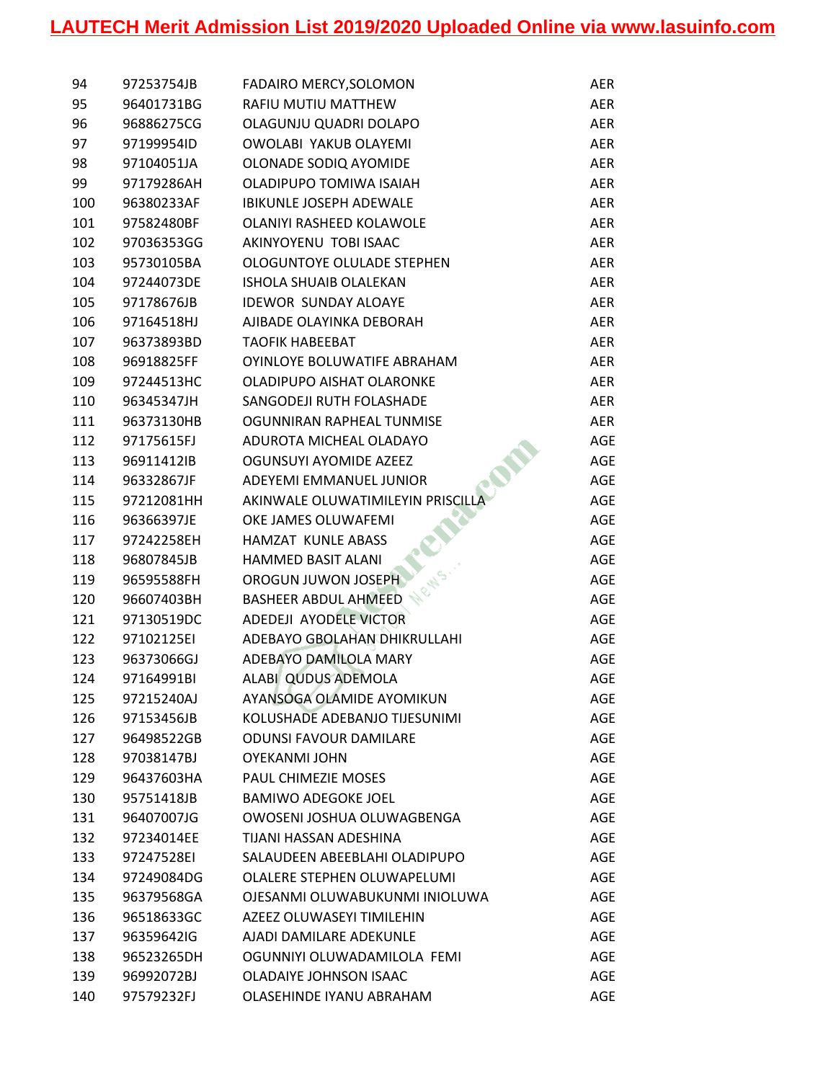| 94  | 97253754JB | FADAIRO MERCY, SOLOMON            | <b>AER</b> |
|-----|------------|-----------------------------------|------------|
| 95  | 96401731BG | RAFIU MUTIU MATTHEW               | AER        |
| 96  | 96886275CG | OLAGUNJU QUADRI DOLAPO            | AER        |
| 97  | 97199954ID | OWOLABI YAKUB OLAYEMI             | <b>AER</b> |
| 98  | 97104051JA | OLONADE SODIQ AYOMIDE             | AER        |
| 99  | 97179286AH | OLADIPUPO TOMIWA ISAIAH           | AER        |
| 100 | 96380233AF | <b>IBIKUNLE JOSEPH ADEWALE</b>    | AER        |
| 101 | 97582480BF | OLANIYI RASHEED KOLAWOLE          | AER        |
| 102 | 97036353GG | AKINYOYENU TOBI ISAAC             | AER        |
| 103 | 95730105BA | OLOGUNTOYE OLULADE STEPHEN        | AER        |
| 104 | 97244073DE | <b>ISHOLA SHUAIB OLALEKAN</b>     | <b>AER</b> |
| 105 | 97178676JB | <b>IDEWOR SUNDAY ALOAYE</b>       | AER        |
| 106 | 97164518HJ | AJIBADE OLAYINKA DEBORAH          | AER        |
| 107 | 96373893BD | <b>TAOFIK HABEEBAT</b>            | AER        |
| 108 | 96918825FF | OYINLOYE BOLUWATIFE ABRAHAM       | AER        |
| 109 | 97244513HC | OLADIPUPO AISHAT OLARONKE         | <b>AER</b> |
| 110 | 96345347JH | SANGODEJI RUTH FOLASHADE          | AER        |
| 111 | 96373130HB | OGUNNIRAN RAPHEAL TUNMISE         | <b>AER</b> |
| 112 | 97175615FJ | ADUROTA MICHEAL OLADAYO           | <b>AGE</b> |
| 113 | 96911412IB | OGUNSUYI AYOMIDE AZEEZ            | <b>AGE</b> |
| 114 | 96332867JF | ADEYEMI EMMANUEL JUNIOR           | <b>AGE</b> |
| 115 | 97212081HH | AKINWALE OLUWATIMILEYIN PRISCILLA | AGE        |
| 116 | 96366397JE | OKE JAMES OLUWAFEMI               | <b>AGE</b> |
| 117 | 97242258EH | HAMZAT KUNLE ABASS                | <b>AGE</b> |
| 118 | 96807845JB | <b>HAMMED BASIT ALANI</b>         | <b>AGE</b> |
| 119 | 96595588FH | OROGUN JUWON JOSEPH               | AGE        |
| 120 | 96607403BH | <b>BASHEER ABDUL AHMEED</b>       | AGE        |
| 121 | 97130519DC | ADEDEJI AYODELE VICTOR            | <b>AGE</b> |
| 122 | 97102125EI | ADEBAYO GBOLAHAN DHIKRULLAHI      | AGE        |
| 123 | 96373066GJ | ADEBAYO DAMILOLA MARY             | AGE        |
| 124 | 97164991BI | ALABI QUDUS ADEMOLA               | <b>AGE</b> |
| 125 | 97215240AJ | AYANSOGA OLAMIDE AYOMIKUN         | AGE        |
| 126 | 97153456JB | KOLUSHADE ADEBANJO TIJESUNIMI     | AGE        |
| 127 | 96498522GB | <b>ODUNSI FAVOUR DAMILARE</b>     | <b>AGE</b> |
| 128 | 97038147BJ | <b>OYEKANMI JOHN</b>              | <b>AGE</b> |
| 129 | 96437603HA | PAUL CHIMEZIE MOSES               | <b>AGE</b> |
| 130 | 95751418JB | <b>BAMIWO ADEGOKE JOEL</b>        | AGE        |
| 131 | 96407007JG | OWOSENI JOSHUA OLUWAGBENGA        | AGE        |
| 132 | 97234014EE | TIJANI HASSAN ADESHINA            | <b>AGE</b> |
| 133 | 97247528EI | SALAUDEEN ABEEBLAHI OLADIPUPO     | <b>AGE</b> |
| 134 | 97249084DG | OLALERE STEPHEN OLUWAPELUMI       | <b>AGE</b> |
| 135 | 96379568GA | OJESANMI OLUWABUKUNMI INIOLUWA    | AGE        |
| 136 | 96518633GC | AZEEZ OLUWASEYI TIMILEHIN         | AGE        |
| 137 | 96359642IG | AJADI DAMILARE ADEKUNLE           | AGE        |
| 138 | 96523265DH | OGUNNIYI OLUWADAMILOLA FEMI       | AGE        |
| 139 | 96992072BJ | <b>OLADAIYE JOHNSON ISAAC</b>     | <b>AGE</b> |
| 140 | 97579232FJ | OLASEHINDE IYANU ABRAHAM          | <b>AGE</b> |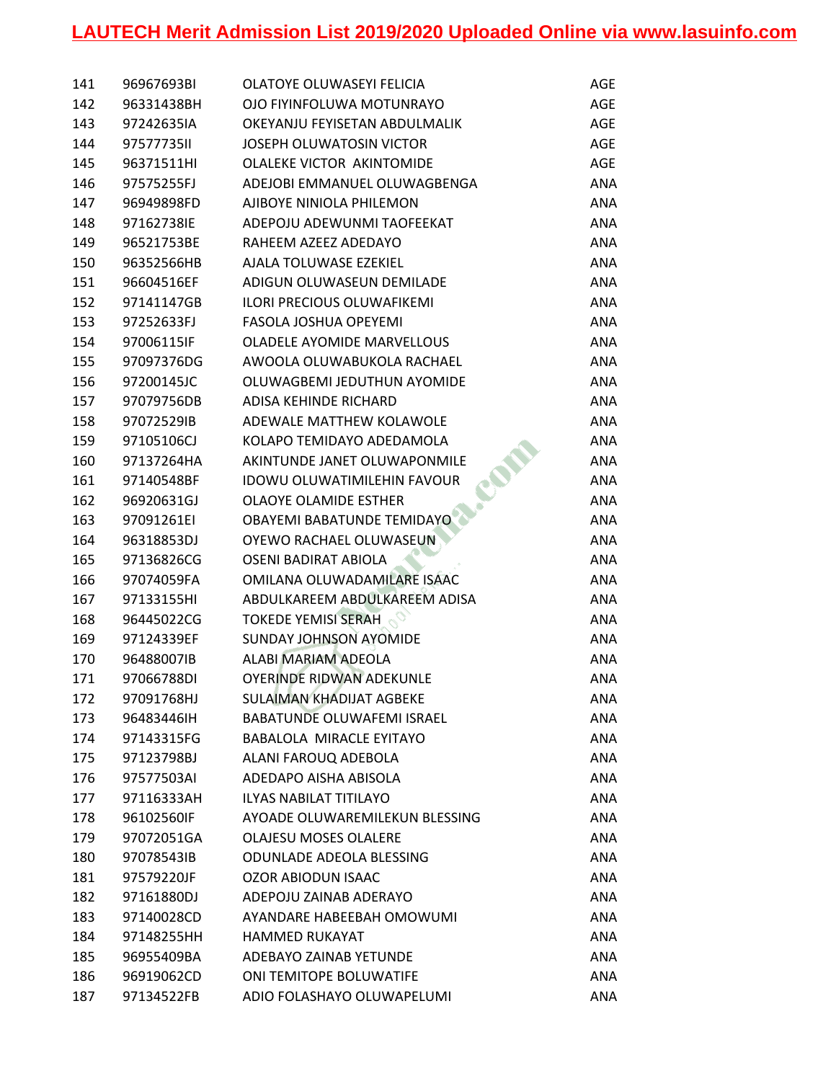| 141 | 96967693BI | OLATOYE OLUWASEYI FELICIA          | AGE        |
|-----|------------|------------------------------------|------------|
| 142 | 96331438BH | OJO FIYINFOLUWA MOTUNRAYO          | AGE        |
| 143 | 97242635IA | OKEYANJU FEYISETAN ABDULMALIK      | AGE        |
| 144 | 9757773511 | JOSEPH OLUWATOSIN VICTOR           | AGE        |
| 145 | 96371511HI | OLALEKE VICTOR AKINTOMIDE          | <b>AGE</b> |
| 146 | 97575255FJ | ADEJOBI EMMANUEL OLUWAGBENGA       | ANA        |
| 147 | 96949898FD | AJIBOYE NINIOLA PHILEMON           | ANA        |
| 148 | 97162738IE | ADEPOJU ADEWUNMI TAOFEEKAT         | ANA        |
| 149 | 96521753BE | RAHEEM AZEEZ ADEDAYO               | ANA        |
| 150 | 96352566HB | AJALA TOLUWASE EZEKIEL             | ANA        |
| 151 | 96604516EF | ADIGUN OLUWASEUN DEMILADE          | ANA        |
| 152 | 97141147GB | <b>ILORI PRECIOUS OLUWAFIKEMI</b>  | ANA        |
| 153 | 97252633FJ | FASOLA JOSHUA OPEYEMI              | ANA        |
| 154 | 97006115IF | <b>OLADELE AYOMIDE MARVELLOUS</b>  | <b>ANA</b> |
| 155 | 97097376DG | AWOOLA OLUWABUKOLA RACHAEL         | ANA        |
| 156 | 97200145JC | OLUWAGBEMI JEDUTHUN AYOMIDE        | ANA        |
| 157 | 97079756DB | ADISA KEHINDE RICHARD              | ANA        |
| 158 | 97072529IB | ADEWALE MATTHEW KOLAWOLE           | ANA        |
| 159 | 97105106CJ | KOLAPO TEMIDAYO ADEDAMOLA          | ANA        |
| 160 | 97137264HA | AKINTUNDE JANET OLUWAPONMILE       | ANA        |
| 161 | 97140548BF | <b>IDOWU OLUWATIMILEHIN FAVOUR</b> | ANA        |
| 162 | 96920631GJ | OLAOYE OLAMIDE ESTHER              | ANA        |
| 163 | 97091261EI | OBAYEMI BABATUNDE TEMIDAYO         | ANA        |
| 164 | 96318853DJ | OYEWO RACHAEL OLUWASEUN            | ANA        |
| 165 | 97136826CG | OSENI BADIRAT ABIOLA               | ANA        |
| 166 | 97074059FA | OMILANA OLUWADAMILARE ISAAC        | ANA        |
| 167 | 97133155HI | ABDULKAREEM ABDULKAREEM ADISA      | ANA        |
| 168 | 96445022CG | <b>TOKEDE YEMISI SERAH</b>         | ANA        |
| 169 | 97124339EF | <b>SUNDAY JOHNSON AYOMIDE</b>      | ANA        |
| 170 | 96488007IB | ALABI MARIAM ADEOLA                | ANA        |
| 171 | 97066788DI | <b>OYERINDE RIDWAN ADEKUNLE</b>    | ANA        |
| 172 | 97091768HJ | <b>SULAIMAN KHADIJAT AGBEKE</b>    | ANA        |
| 173 | 96483446IH | <b>BABATUNDE OLUWAFEMI ISRAEL</b>  | ANA        |
| 174 | 97143315FG | BABALOLA MIRACLE EYITAYO           | ANA        |
| 175 | 97123798BJ | ALANI FAROUQ ADEBOLA               | ANA        |
| 176 | 97577503AI | ADEDAPO AISHA ABISOLA              | ANA        |
| 177 | 97116333AH | <b>ILYAS NABILAT TITILAYO</b>      | ANA        |
| 178 | 96102560IF | AYOADE OLUWAREMILEKUN BLESSING     | ANA        |
| 179 | 97072051GA | <b>OLAJESU MOSES OLALERE</b>       | <b>ANA</b> |
| 180 | 97078543IB | <b>ODUNLADE ADEOLA BLESSING</b>    | ANA        |
| 181 | 97579220JF | <b>OZOR ABIODUN ISAAC</b>          | ANA        |
| 182 | 97161880DJ | ADEPOJU ZAINAB ADERAYO             | ANA        |
| 183 | 97140028CD | AYANDARE HABEEBAH OMOWUMI          | ANA        |
| 184 | 97148255HH | <b>HAMMED RUKAYAT</b>              | ANA        |
| 185 | 96955409BA | ADEBAYO ZAINAB YETUNDE             | ANA        |
| 186 | 96919062CD | ONI TEMITOPE BOLUWATIFE            | ANA        |
| 187 | 97134522FB | ADIO FOLASHAYO OLUWAPELUMI         | ANA        |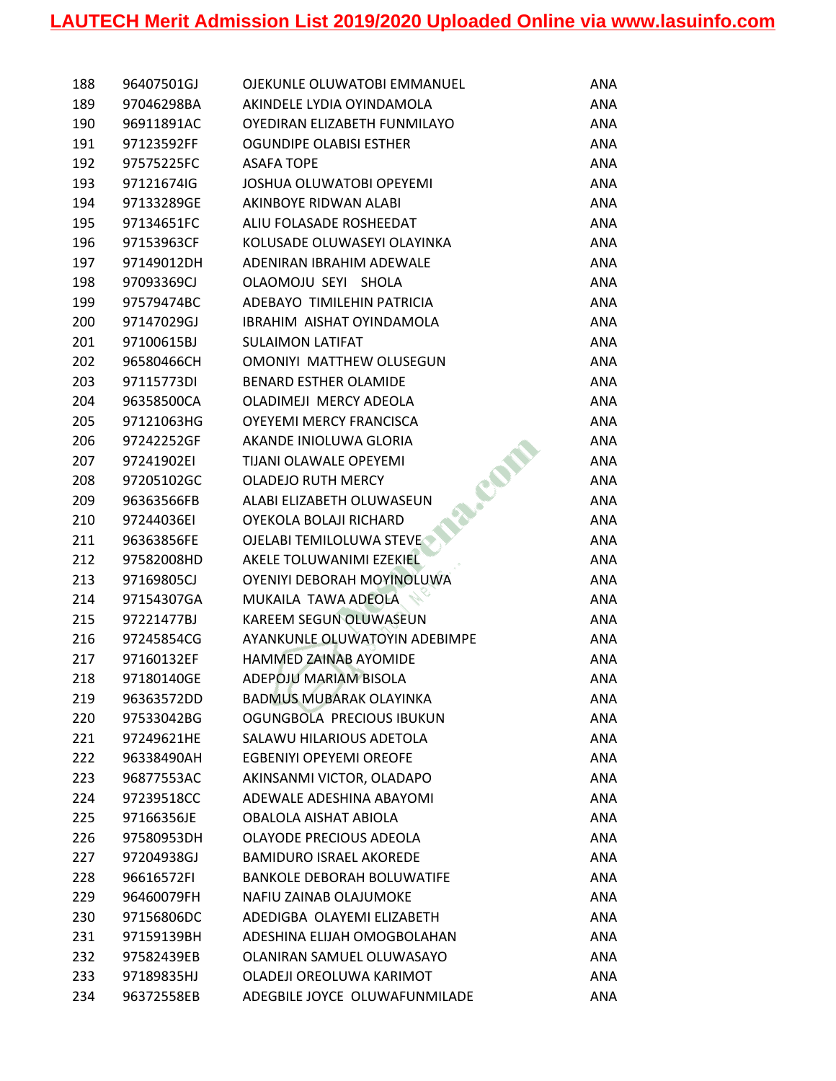| 188 | 96407501GJ | OJEKUNLE OLUWATOBI EMMANUEL       | ANA        |
|-----|------------|-----------------------------------|------------|
| 189 | 97046298BA | AKINDELE LYDIA OYINDAMOLA         | ANA        |
| 190 | 96911891AC | OYEDIRAN ELIZABETH FUNMILAYO      | ANA        |
| 191 | 97123592FF | OGUNDIPE OLABISI ESTHER           | ANA        |
| 192 | 97575225FC | <b>ASAFA TOPE</b>                 | <b>ANA</b> |
| 193 | 97121674IG | JOSHUA OLUWATOBI OPEYEMI          | <b>ANA</b> |
| 194 | 97133289GE | AKINBOYE RIDWAN ALABI             | ANA        |
| 195 | 97134651FC | ALIU FOLASADE ROSHEEDAT           | ANA        |
| 196 | 97153963CF | KOLUSADE OLUWASEYI OLAYINKA       | ANA        |
| 197 | 97149012DH | ADENIRAN IBRAHIM ADEWALE          | <b>ANA</b> |
| 198 | 97093369CJ | OLAOMOJU SEYI SHOLA               | ANA        |
| 199 | 97579474BC | ADEBAYO TIMILEHIN PATRICIA        | ANA        |
| 200 | 97147029GJ | IBRAHIM AISHAT OYINDAMOLA         | <b>ANA</b> |
| 201 | 97100615BJ | <b>SULAIMON LATIFAT</b>           | <b>ANA</b> |
| 202 | 96580466CH | OMONIYI MATTHEW OLUSEGUN          | ANA        |
| 203 | 97115773DI | <b>BENARD ESTHER OLAMIDE</b>      | ANA        |
| 204 | 96358500CA | OLADIMEJI MERCY ADEOLA            | ANA        |
| 205 | 97121063HG | <b>OYEYEMI MERCY FRANCISCA</b>    | ANA        |
| 206 | 97242252GF | AKANDE INIOLUWA GLORIA            | <b>ANA</b> |
| 207 | 97241902EI | <b>TIJANI OLAWALE OPEYEMI</b>     | <b>ANA</b> |
| 208 | 97205102GC | <b>OLADEJO RUTH MERCY</b>         | ANA        |
| 209 | 96363566FB | ALABI ELIZABETH OLUWASEUN         | ANA        |
| 210 | 97244036EI | OYEKOLA BOLAJI RICHARD            | ANA        |
| 211 | 96363856FE | OJELABI TEMILOLUWA STEVE          | <b>ANA</b> |
| 212 | 97582008HD | AKELE TOLUWANIMI EZEKIEL          | ANA        |
| 213 | 97169805CJ | OYENIYI DEBORAH MOYINOLUWA        | ANA        |
| 214 | 97154307GA | MUKAILA TAWA ADEOLA               | ANA        |
| 215 | 97221477BJ | KAREEM SEGUN OLUWASEUN            | ANA        |
| 216 | 97245854CG | AYANKUNLE OLUWATOYIN ADEBIMPE     | ANA        |
| 217 | 97160132EF | HAMMED ZAINAB AYOMIDE             | ANA        |
| 218 | 97180140GE | ADEPOJU MARIAM BISOLA             | ANA        |
| 219 | 96363572DD | <b>BADMUS MUBARAK OLAYINKA</b>    | ANA        |
| 220 | 97533042BG | OGUNGBOLA PRECIOUS IBUKUN         | ANA        |
| 221 | 97249621HE | SALAWU HILARIOUS ADETOLA          | ANA        |
| 222 | 96338490AH | <b>EGBENIYI OPEYEMI OREOFE</b>    | ANA        |
| 223 | 96877553AC | AKINSANMI VICTOR, OLADAPO         | ANA        |
| 224 | 97239518CC | ADEWALE ADESHINA ABAYOMI          | ANA        |
| 225 | 97166356JE | OBALOLA AISHAT ABIOLA             | ANA        |
| 226 | 97580953DH | OLAYODE PRECIOUS ADEOLA           | ANA        |
| 227 | 97204938GJ | <b>BAMIDURO ISRAEL AKOREDE</b>    | ANA        |
| 228 | 96616572FI | <b>BANKOLE DEBORAH BOLUWATIFE</b> | ANA        |
| 229 | 96460079FH | NAFIU ZAINAB OLAJUMOKE            | ANA        |
| 230 | 97156806DC | ADEDIGBA OLAYEMI ELIZABETH        | ANA        |
| 231 | 97159139BH | ADESHINA ELIJAH OMOGBOLAHAN       | ANA        |
| 232 | 97582439EB | OLANIRAN SAMUEL OLUWASAYO         | ANA        |
| 233 | 97189835HJ | OLADEJI OREOLUWA KARIMOT          | ANA        |
| 234 | 96372558EB | ADEGBILE JOYCE OLUWAFUNMILADE     | ANA        |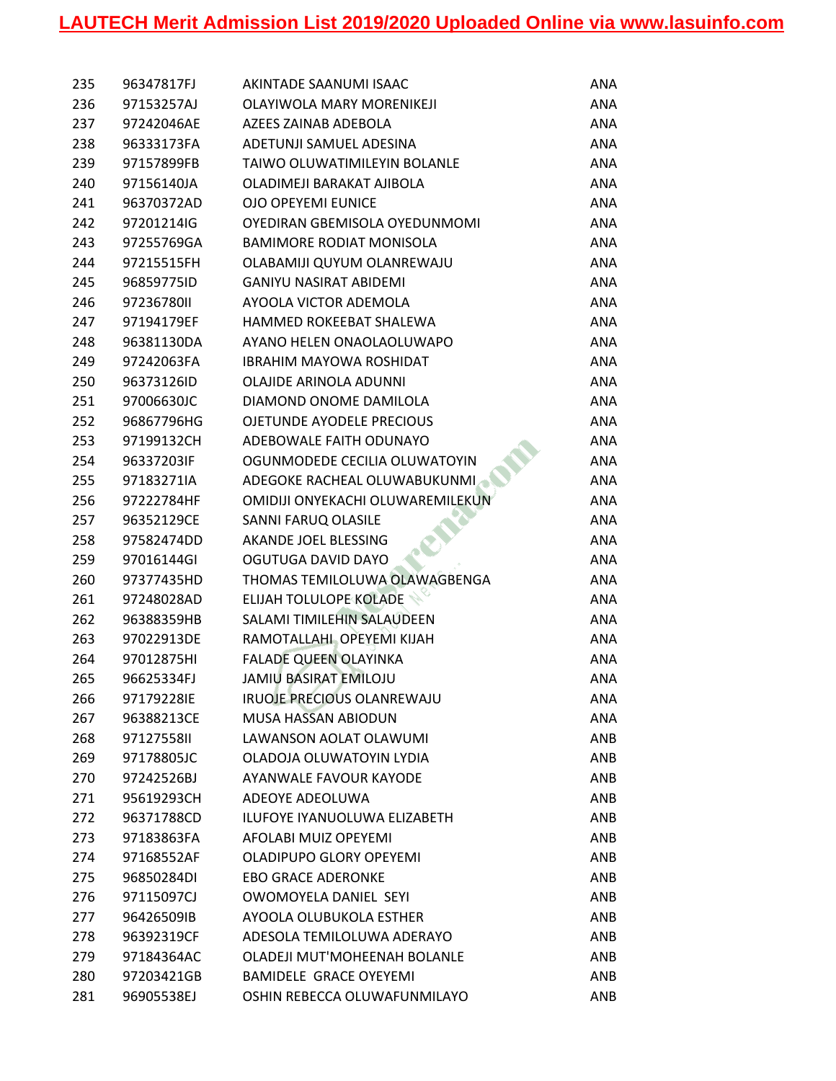| 235 | 96347817FJ | AKINTADE SAANUMI ISAAC            | ANA        |
|-----|------------|-----------------------------------|------------|
| 236 | 97153257AJ | OLAYIWOLA MARY MORENIKEJI         | ANA        |
| 237 | 97242046AE | AZEES ZAINAB ADEBOLA              | ANA        |
| 238 | 96333173FA | ADETUNJI SAMUEL ADESINA           | ANA        |
| 239 | 97157899FB | TAIWO OLUWATIMILEYIN BOLANLE      | <b>ANA</b> |
| 240 | 97156140JA | OLADIMEJI BARAKAT AJIBOLA         | ANA        |
| 241 | 96370372AD | <b>OJO OPEYEMI EUNICE</b>         | ANA        |
| 242 | 97201214IG | OYEDIRAN GBEMISOLA OYEDUNMOMI     | ANA        |
| 243 | 97255769GA | <b>BAMIMORE RODIAT MONISOLA</b>   | <b>ANA</b> |
| 244 | 97215515FH | OLABAMIJI QUYUM OLANREWAJU        | ANA        |
| 245 | 96859775ID | <b>GANIYU NASIRAT ABIDEMI</b>     | ANA        |
| 246 | 9723678011 | AYOOLA VICTOR ADEMOLA             | ANA        |
| 247 | 97194179EF | HAMMED ROKEEBAT SHALEWA           | ANA        |
| 248 | 96381130DA | AYANO HELEN ONAOLAOLUWAPO         | <b>ANA</b> |
| 249 | 97242063FA | <b>IBRAHIM MAYOWA ROSHIDAT</b>    | ANA        |
| 250 | 96373126ID | OLAJIDE ARINOLA ADUNNI            | ANA        |
| 251 | 97006630JC | DIAMOND ONOME DAMILOLA            | ANA        |
| 252 | 96867796HG | <b>OJETUNDE AYODELE PRECIOUS</b>  | ANA        |
| 253 | 97199132CH | ADEBOWALE FAITH ODUNAYO           | ANA        |
| 254 | 96337203IF | OGUNMODEDE CECILIA OLUWATOYIN     | ANA        |
| 255 | 97183271IA | ADEGOKE RACHEAL OLUWABUKUNMI      | ANA        |
| 256 | 97222784HF | OMIDIJI ONYEKACHI OLUWAREMILEKUN  | ANA        |
| 257 | 96352129CE | SANNI FARUQ OLASILE               | <b>ANA</b> |
| 258 | 97582474DD | AKANDE JOEL BLESSING              | <b>ANA</b> |
| 259 | 97016144GI | OGUTUGA DAVID DAYO                | ANA        |
| 260 | 97377435HD | THOMAS TEMILOLUWA OLAWAGBENGA     | ANA        |
| 261 | 97248028AD | <b>ELIJAH TOLULOPE KOLADE</b>     | ANA        |
| 262 | 96388359HB | SALAMI TIMILEHIN SALAUDEEN        | ANA        |
| 263 | 97022913DE | RAMOTALLAHI OPEYEMI KIJAH         | ANA        |
| 264 | 97012875HI | <b>FALADE QUEEN OLAYINKA</b>      | ANA        |
| 265 | 96625334FJ | <b>JAMIU BASIRAT EMILOJU</b>      | ANA        |
| 266 | 97179228IE | <b>IRUOJE PRECIOUS OLANREWAJU</b> | ANA        |
| 267 | 96388213CE | MUSA HASSAN ABIODUN               | ANA        |
| 268 | 9712755811 | LAWANSON AOLAT OLAWUMI            | ANB        |
| 269 | 97178805JC | OLADOJA OLUWATOYIN LYDIA          | ANB        |
| 270 | 97242526BJ | AYANWALE FAVOUR KAYODE            | ANB        |
| 271 | 95619293CH | ADEOYE ADEOLUWA                   | ANB        |
| 272 | 96371788CD | ILUFOYE IYANUOLUWA ELIZABETH      | ANB        |
| 273 | 97183863FA | AFOLABI MUIZ OPEYEMI              | ANB        |
| 274 | 97168552AF | <b>OLADIPUPO GLORY OPEYEMI</b>    | ANB        |
| 275 | 96850284DI | <b>EBO GRACE ADERONKE</b>         | ANB        |
| 276 | 97115097CJ | OWOMOYELA DANIEL SEYI             | ANB        |
| 277 | 96426509IB | AYOOLA OLUBUKOLA ESTHER           | ANB        |
| 278 | 96392319CF | ADESOLA TEMILOLUWA ADERAYO        | ANB        |
| 279 | 97184364AC | OLADEJI MUT'MOHEENAH BOLANLE      | ANB        |
| 280 | 97203421GB | BAMIDELE GRACE OYEYEMI            | ANB        |
| 281 | 96905538EJ | OSHIN REBECCA OLUWAFUNMILAYO      | ANB        |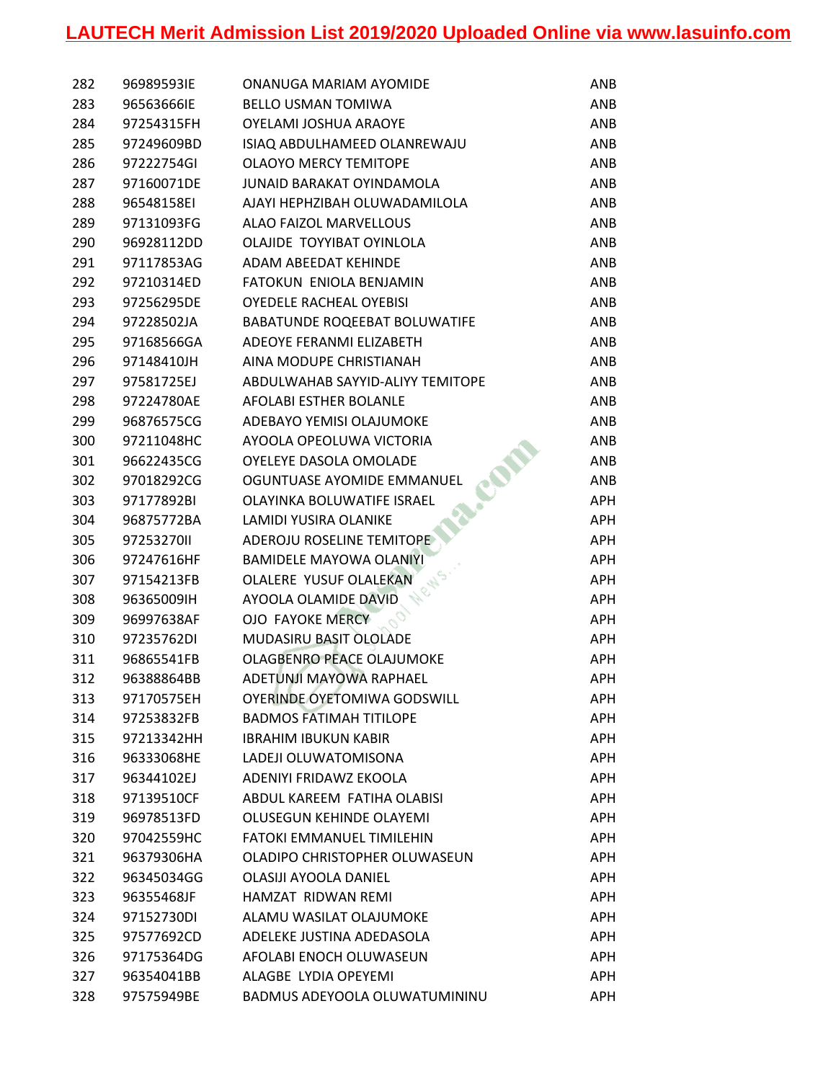| 282 | 96989593IE | ONANUGA MARIAM AYOMIDE           | ANB        |
|-----|------------|----------------------------------|------------|
| 283 | 96563666IE | <b>BELLO USMAN TOMIWA</b>        | ANB        |
| 284 | 97254315FH | OYELAMI JOSHUA ARAOYE            | ANB        |
| 285 | 97249609BD | ISIAQ ABDULHAMEED OLANREWAJU     | ANB        |
| 286 | 97222754GI | <b>OLAOYO MERCY TEMITOPE</b>     | ANB        |
| 287 | 97160071DE | <b>JUNAID BARAKAT OYINDAMOLA</b> | ANB        |
| 288 | 96548158EI | AJAYI HEPHZIBAH OLUWADAMILOLA    | ANB        |
| 289 | 97131093FG | ALAO FAIZOL MARVELLOUS           | ANB        |
| 290 | 96928112DD | OLAJIDE TOYYIBAT OYINLOLA        | ANB        |
| 291 | 97117853AG | <b>ADAM ABEEDAT KEHINDE</b>      | ANB        |
| 292 | 97210314ED | FATOKUN ENIOLA BENJAMIN          | ANB        |
| 293 | 97256295DE | <b>OYEDELE RACHEAL OYEBISI</b>   | ANB        |
| 294 | 97228502JA | BABATUNDE ROQEEBAT BOLUWATIFE    | ANB        |
| 295 | 97168566GA | ADEOYE FERANMI ELIZABETH         | ANB        |
| 296 | 97148410JH | AINA MODUPE CHRISTIANAH          | ANB        |
| 297 | 97581725EJ | ABDULWAHAB SAYYID-ALIYY TEMITOPE | ANB        |
| 298 | 97224780AE | AFOLABI ESTHER BOLANLE           | ANB        |
| 299 | 96876575CG | ADEBAYO YEMISI OLAJUMOKE         | ANB        |
| 300 | 97211048HC | AYOOLA OPEOLUWA VICTORIA         | ANB        |
| 301 | 96622435CG | OYELEYE DASOLA OMOLADE           | ANB        |
| 302 | 97018292CG | OGUNTUASE AYOMIDE EMMANUEL       | ANB        |
| 303 | 97177892BI | OLAYINKA BOLUWATIFE ISRAEL       | <b>APH</b> |
| 304 | 96875772BA | <b>LAMIDI YUSIRA OLANIKE</b>     | <b>APH</b> |
| 305 | 9725327011 | ADEROJU ROSELINE TEMITOPE        | <b>APH</b> |
| 306 | 97247616HF | <b>BAMIDELE MAYOWA OLANIYI</b>   | APH        |
| 307 | 97154213FB | OLALERE YUSUF OLALEKAN           | APH        |
| 308 | 96365009IH | AYOOLA OLAMIDE DAVID             | <b>APH</b> |
| 309 | 96997638AF | <b>OJO FAYOKE MERCY</b>          | <b>APH</b> |
| 310 | 97235762DI | MUDASIRU BASIT OLOLADE           | <b>APH</b> |
| 311 | 96865541FB | OLAGBENRO PEACE OLAJUMOKE        | <b>APH</b> |
| 312 | 96388864BB | ADETUNJI MAYOWA RAPHAEL          | APH        |
| 313 | 97170575EH | OYERINDE OYETOMIWA GODSWILL      | APH.       |
| 314 | 97253832FB | <b>BADMOS FATIMAH TITILOPE</b>   | APH        |
| 315 | 97213342HH | <b>IBRAHIM IBUKUN KABIR</b>      | <b>APH</b> |
| 316 | 96333068HE | LADEJI OLUWATOMISONA             | <b>APH</b> |
| 317 | 96344102EJ | ADENIYI FRIDAWZ EKOOLA           | <b>APH</b> |
| 318 | 97139510CF | ABDUL KAREEM FATIHA OLABISI      | APH        |
| 319 | 96978513FD | OLUSEGUN KEHINDE OLAYEMI         | APH        |
| 320 | 97042559HC | <b>FATOKI EMMANUEL TIMILEHIN</b> | <b>APH</b> |
| 321 | 96379306HA | OLADIPO CHRISTOPHER OLUWASEUN    | APH        |
| 322 | 96345034GG | OLASIJI AYOOLA DANIEL            | APH        |
| 323 | 96355468JF | HAMZAT RIDWAN REMI               | APH        |
| 324 | 97152730DI | ALAMU WASILAT OLAJUMOKE          | APH        |
| 325 | 97577692CD | ADELEKE JUSTINA ADEDASOLA        | <b>APH</b> |
| 326 | 97175364DG | AFOLABI ENOCH OLUWASEUN          | APH        |
| 327 | 96354041BB | ALAGBE LYDIA OPEYEMI             | <b>APH</b> |
| 328 | 97575949BE | BADMUS ADEYOOLA OLUWATUMININU    | <b>APH</b> |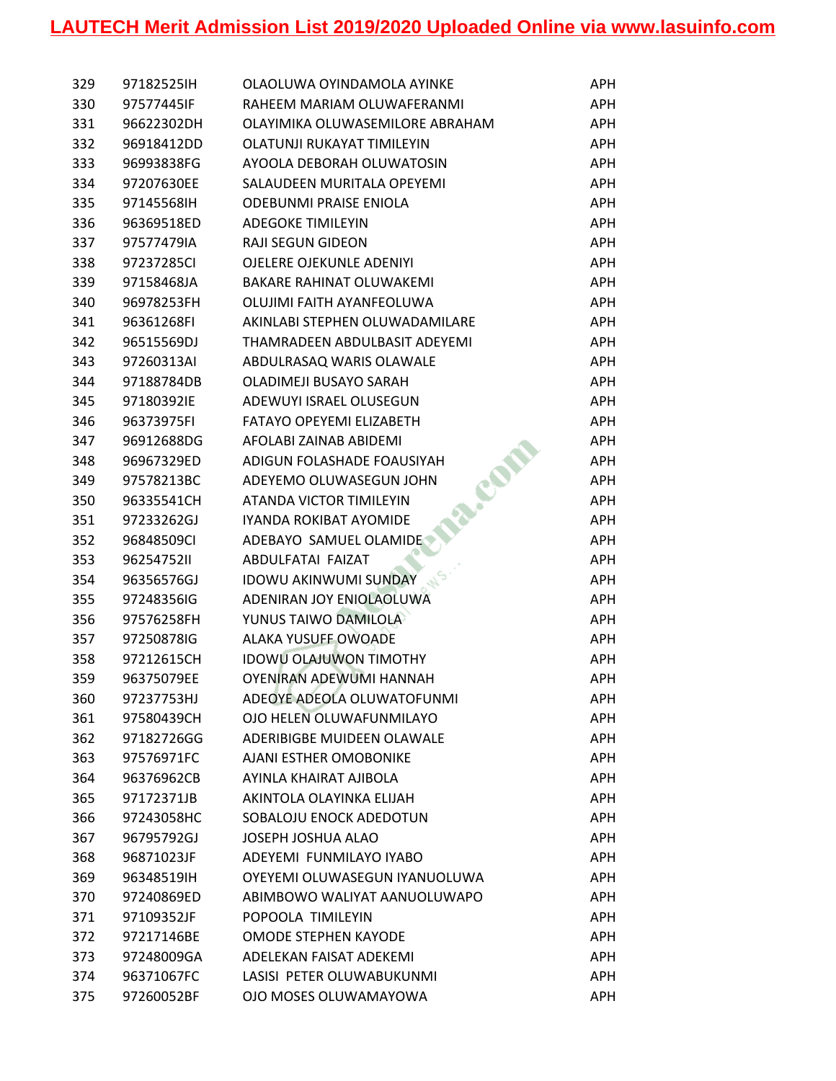| 329 | 97182525IH | OLAOLUWA OYINDAMOLA AYINKE      | APH        |
|-----|------------|---------------------------------|------------|
| 330 | 97577445JF | RAHEEM MARIAM OLUWAFERANMI      | APH        |
| 331 | 96622302DH | OLAYIMIKA OLUWASEMILORE ABRAHAM | APH        |
| 332 | 96918412DD | OLATUNJI RUKAYAT TIMILEYIN      | <b>APH</b> |
| 333 | 96993838FG | AYOOLA DEBORAH OLUWATOSIN       | <b>APH</b> |
| 334 | 97207630EE | SALAUDEEN MURITALA OPEYEMI      | APH        |
| 335 | 97145568IH | <b>ODEBUNMI PRAISE ENIOLA</b>   | <b>APH</b> |
| 336 | 96369518ED | <b>ADEGOKE TIMILEYIN</b>        | <b>APH</b> |
| 337 | 97577479IA | <b>RAJI SEGUN GIDEON</b>        | <b>APH</b> |
| 338 | 97237285CI | OJELERE OJEKUNLE ADENIYI        | <b>APH</b> |
| 339 | 97158468JA | <b>BAKARE RAHINAT OLUWAKEMI</b> | <b>APH</b> |
| 340 | 96978253FH | OLUJIMI FAITH AYANFEOLUWA       | <b>APH</b> |
| 341 | 96361268FI | AKINLABI STEPHEN OLUWADAMILARE  | <b>APH</b> |
| 342 | 96515569DJ | THAMRADEEN ABDULBASIT ADEYEMI   | <b>APH</b> |
| 343 | 97260313AI | ABDULRASAQ WARIS OLAWALE        | APH        |
| 344 | 97188784DB | OLADIMEJI BUSAYO SARAH          | APH        |
| 345 | 97180392IE | ADEWUYI ISRAEL OLUSEGUN         | <b>APH</b> |
| 346 | 96373975FI | FATAYO OPEYEMI ELIZABETH        | <b>APH</b> |
| 347 | 96912688DG | AFOLABI ZAINAB ABIDEMI          | <b>APH</b> |
| 348 | 96967329ED | ADIGUN FOLASHADE FOAUSIYAH      | APH        |
| 349 | 97578213BC | CON<br>ADEYEMO OLUWASEGUN JOHN  | APH        |
| 350 | 96335541CH | ATANDA VICTOR TIMILEYIN         | APH        |
| 351 | 97233262GJ | IYANDA ROKIBAT AYOMIDE          | <b>APH</b> |
| 352 | 96848509CI | ADEBAYO SAMUEL OLAMIDE          | <b>APH</b> |
| 353 | 9625475211 | ABDULFATAI FAIZAT               | <b>APH</b> |
| 354 | 96356576GJ | <b>IDOWU AKINWUMI SUNDAY</b>    | APH        |
| 355 | 97248356IG | ADENIRAN JOY ENIOLAOLUWA        | <b>APH</b> |
| 356 | 97576258FH | YUNUS TAIWO DAMILOLA            | <b>APH</b> |
| 357 | 97250878IG | <b>ALAKA YUSUFF OWOADE</b>      | APH        |
| 358 | 97212615CH | <b>IDOWU OLAJUWON TIMOTHY</b>   | <b>APH</b> |
| 359 | 96375079EE | OYENIRAN ADEWUMI HANNAH         | <b>APH</b> |
| 360 | 97237753HJ | ADEOYE ADEOLA OLUWATOFUNMI      | APH        |
| 361 | 97580439CH | OJO HELEN OLUWAFUNMILAYO        | APH        |
| 362 | 97182726GG | ADERIBIGBE MUIDEEN OLAWALE      | <b>APH</b> |
| 363 | 97576971FC | AJANI ESTHER OMOBONIKE          | <b>APH</b> |
| 364 | 96376962CB | AYINLA KHAIRAT AJIBOLA          | <b>APH</b> |
| 365 | 97172371JB | AKINTOLA OLAYINKA ELIJAH        | APH        |
| 366 | 97243058HC | SOBALOJU ENOCK ADEDOTUN         | <b>APH</b> |
| 367 | 96795792GJ | JOSEPH JOSHUA ALAO              | <b>APH</b> |
| 368 | 96871023JF | ADEYEMI FUNMILAYO IYABO         | <b>APH</b> |
| 369 | 96348519IH | OYEYEMI OLUWASEGUN IYANUOLUWA   | <b>APH</b> |
| 370 | 97240869ED | ABIMBOWO WALIYAT AANUOLUWAPO    | APH        |
| 371 | 97109352JF | POPOOLA TIMILEYIN               | <b>APH</b> |
| 372 | 97217146BE | <b>OMODE STEPHEN KAYODE</b>     | <b>APH</b> |
| 373 | 97248009GA | ADELEKAN FAISAT ADEKEMI         | <b>APH</b> |
| 374 | 96371067FC | LASISI PETER OLUWABUKUNMI       | <b>APH</b> |
| 375 | 97260052BF | OJO MOSES OLUWAMAYOWA           | <b>APH</b> |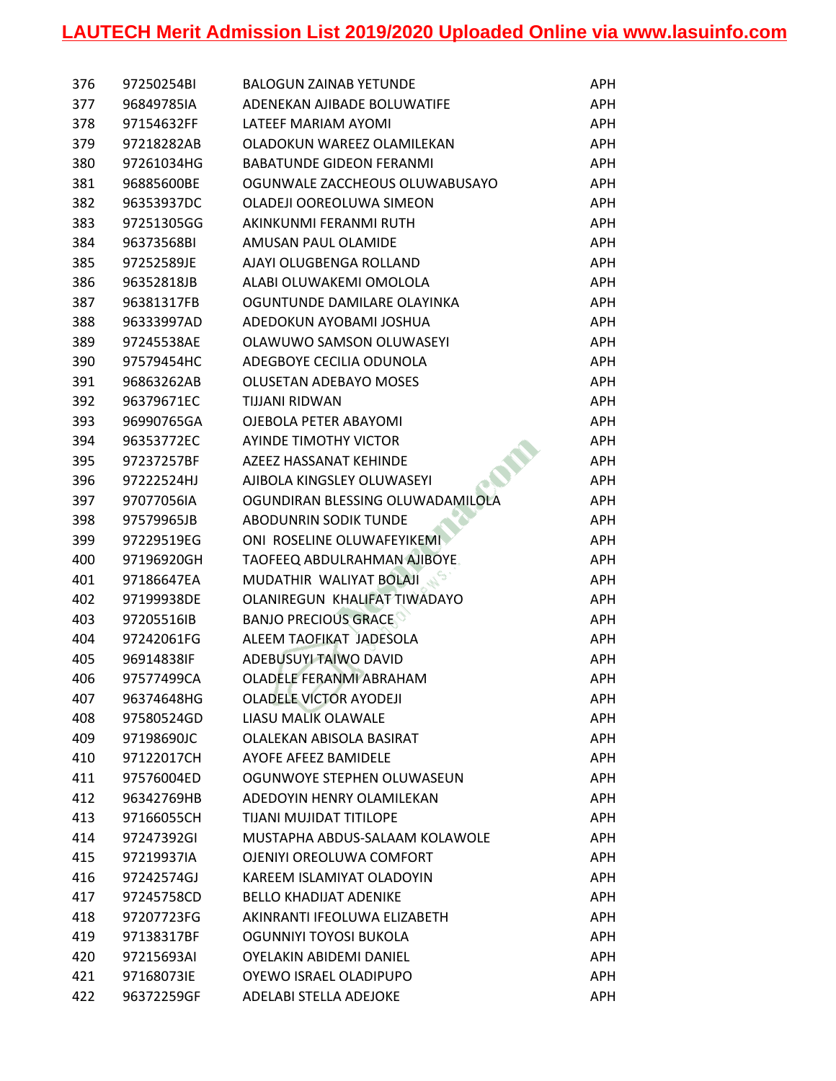| 376 | 97250254BI | <b>BALOGUN ZAINAB YETUNDE</b>    | APH        |
|-----|------------|----------------------------------|------------|
| 377 | 96849785IA | ADENEKAN AJIBADE BOLUWATIFE      | <b>APH</b> |
| 378 | 97154632FF | LATEEF MARIAM AYOMI              | <b>APH</b> |
| 379 | 97218282AB | OLADOKUN WAREEZ OLAMILEKAN       | <b>APH</b> |
| 380 | 97261034HG | <b>BABATUNDE GIDEON FERANMI</b>  | <b>APH</b> |
| 381 | 96885600BE | OGUNWALE ZACCHEOUS OLUWABUSAYO   | <b>APH</b> |
| 382 | 96353937DC | OLADEJI OOREOLUWA SIMEON         | <b>APH</b> |
| 383 | 97251305GG | AKINKUNMI FERANMI RUTH           | <b>APH</b> |
| 384 | 96373568BI | AMUSAN PAUL OLAMIDE              | <b>APH</b> |
| 385 | 97252589JE | AJAYI OLUGBENGA ROLLAND          | <b>APH</b> |
| 386 | 96352818JB | ALABI OLUWAKEMI OMOLOLA          | <b>APH</b> |
| 387 | 96381317FB | OGUNTUNDE DAMILARE OLAYINKA      | <b>APH</b> |
| 388 | 96333997AD | ADEDOKUN AYOBAMI JOSHUA          | <b>APH</b> |
| 389 | 97245538AE | OLAWUWO SAMSON OLUWASEYI         | <b>APH</b> |
| 390 | 97579454HC | ADEGBOYE CECILIA ODUNOLA         | <b>APH</b> |
| 391 | 96863262AB | <b>OLUSETAN ADEBAYO MOSES</b>    | <b>APH</b> |
| 392 | 96379671EC | TIJJANI RIDWAN                   | <b>APH</b> |
| 393 | 96990765GA | OJEBOLA PETER ABAYOMI            | <b>APH</b> |
| 394 | 96353772EC | AYINDE TIMOTHY VICTOR            | <b>APH</b> |
| 395 | 97237257BF | <b>AZEEZ HASSANAT KEHINDE</b>    | <b>APH</b> |
| 396 | 97222524HJ | AJIBOLA KINGSLEY OLUWASEYI       | <b>APH</b> |
| 397 | 97077056IA | OGUNDIRAN BLESSING OLUWADAMILOLA | <b>APH</b> |
| 398 | 97579965JB | <b>ABODUNRIN SODIK TUNDE</b>     | <b>APH</b> |
| 399 | 97229519EG | ONI ROSELINE OLUWAFEYIKEMI       | <b>APH</b> |
| 400 | 97196920GH | TAOFEEQ ABDULRAHMAN AJIBOYE.     | <b>APH</b> |
| 401 | 97186647EA | MUDATHIR WALIYAT BOLAJI          | <b>APH</b> |
| 402 | 97199938DE | OLANIREGUN KHALIFAT TIWADAYO     | <b>APH</b> |
| 403 | 97205516IB | <b>BANJO PRECIOUS GRACE</b>      | <b>APH</b> |
| 404 | 97242061FG | ALEEM TAOFIKAT JADESOLA          | <b>APH</b> |
| 405 | 96914838IF | ADEBUSUYI TAIWO DAVID            | <b>APH</b> |
| 406 | 97577499CA | OLADELE FERANMI ABRAHAM          | <b>APH</b> |
| 407 | 96374648HG | <b>OLADELE VICTOR AYODEJI</b>    | APH        |
| 408 | 97580524GD | LIASU MALIK OLAWALE              | APH        |
| 409 | 97198690JC | OLALEKAN ABISOLA BASIRAT         | APH        |
| 410 | 97122017CH | <b>AYOFE AFEEZ BAMIDELE</b>      | <b>APH</b> |
| 411 | 97576004ED | OGUNWOYE STEPHEN OLUWASEUN       | <b>APH</b> |
| 412 | 96342769HB | ADEDOYIN HENRY OLAMILEKAN        | <b>APH</b> |
| 413 | 97166055CH | TIJANI MUJIDAT TITILOPE          | <b>APH</b> |
| 414 | 97247392GI | MUSTAPHA ABDUS-SALAAM KOLAWOLE   | <b>APH</b> |
| 415 | 97219937IA | OJENIYI OREOLUWA COMFORT         | <b>APH</b> |
| 416 | 97242574GJ | KAREEM ISLAMIYAT OLADOYIN        | <b>APH</b> |
| 417 | 97245758CD | <b>BELLO KHADIJAT ADENIKE</b>    | <b>APH</b> |
| 418 | 97207723FG | AKINRANTI IFEOLUWA ELIZABETH     | <b>APH</b> |
| 419 | 97138317BF | OGUNNIYI TOYOSI BUKOLA           | <b>APH</b> |
| 420 | 97215693AI | OYELAKIN ABIDEMI DANIEL          | <b>APH</b> |
| 421 | 97168073IE | OYEWO ISRAEL OLADIPUPO           | <b>APH</b> |
| 422 | 96372259GF | ADELABI STELLA ADEJOKE           | APH        |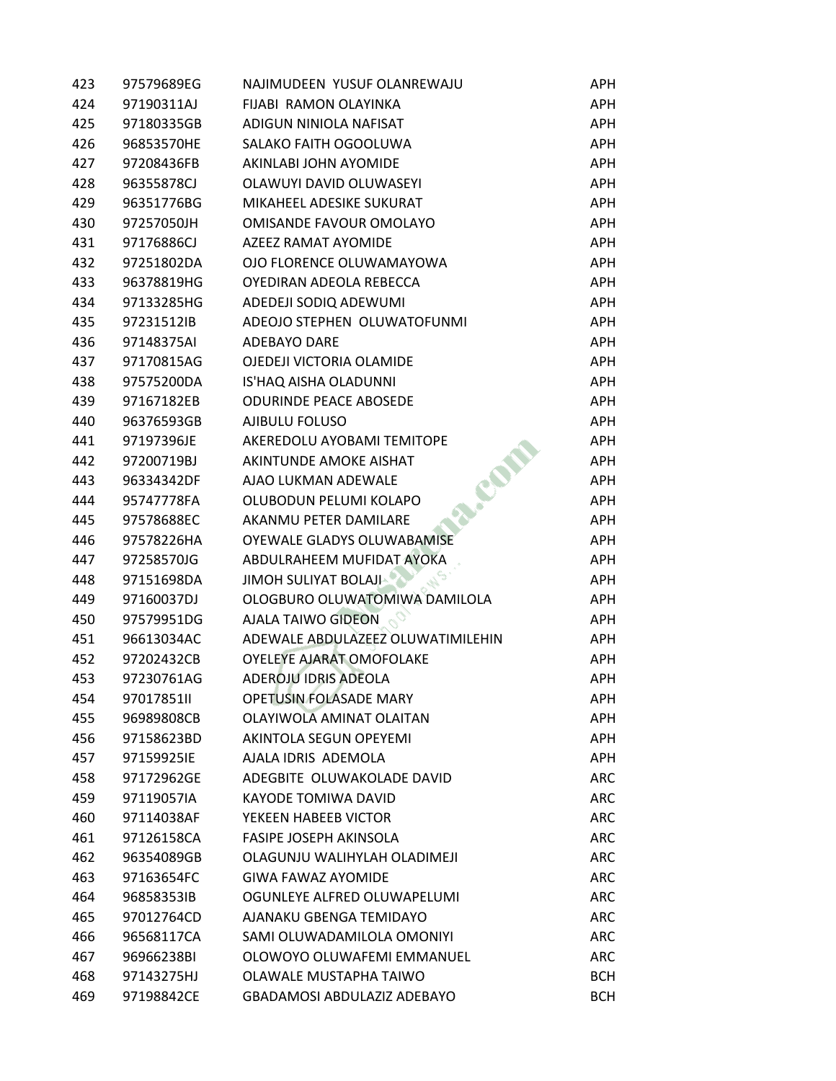| 423 | 97579689EG | NAJIMUDEEN YUSUF OLANREWAJU       | APH.       |
|-----|------------|-----------------------------------|------------|
| 424 | 97190311AJ | FIJABI RAMON OLAYINKA             | APH        |
| 425 | 97180335GB | ADIGUN NINIOLA NAFISAT            | <b>APH</b> |
| 426 | 96853570HE | SALAKO FAITH OGOOLUWA             | <b>APH</b> |
| 427 | 97208436FB | AKINLABI JOHN AYOMIDE             | <b>APH</b> |
| 428 | 96355878CJ | OLAWUYI DAVID OLUWASEYI           | <b>APH</b> |
| 429 | 96351776BG | MIKAHEEL ADESIKE SUKURAT          | <b>APH</b> |
| 430 | 97257050JH | OMISANDE FAVOUR OMOLAYO           | <b>APH</b> |
| 431 | 97176886CJ | <b>AZEEZ RAMAT AYOMIDE</b>        | <b>APH</b> |
| 432 | 97251802DA | OJO FLORENCE OLUWAMAYOWA          | <b>APH</b> |
| 433 | 96378819HG | OYEDIRAN ADEOLA REBECCA           | <b>APH</b> |
| 434 | 97133285HG | ADEDEJI SODIQ ADEWUMI             | <b>APH</b> |
| 435 | 97231512IB | ADEOJO STEPHEN OLUWATOFUNMI       | <b>APH</b> |
| 436 | 97148375AI | <b>ADEBAYO DARE</b>               | <b>APH</b> |
| 437 | 97170815AG | OJEDEJI VICTORIA OLAMIDE          | <b>APH</b> |
| 438 | 97575200DA | IS'HAQ AISHA OLADUNNI             | APH        |
| 439 | 97167182EB | <b>ODURINDE PEACE ABOSEDE</b>     | <b>APH</b> |
| 440 | 96376593GB | AJIBULU FOLUSO                    | <b>APH</b> |
| 441 | 97197396JE | AKEREDOLU AYOBAMI TEMITOPE        | <b>APH</b> |
| 442 | 97200719BJ | AKINTUNDE AMOKE AISHAT            | APH        |
| 443 | 96334342DF | AJAO LUKMAN ADEWALE               | <b>APH</b> |
| 444 | 95747778FA | OLUBODUN PELUMI KOLAPO            | <b>APH</b> |
| 445 | 97578688EC | AKANMU PETER DAMILARE             | <b>APH</b> |
| 446 | 97578226HA | OYEWALE GLADYS OLUWABAMISE        | <b>APH</b> |
| 447 | 97258570JG | ABDULRAHEEM MUFIDAT AYOKA         | <b>APH</b> |
| 448 | 97151698DA | JIMOH SULIYAT BOLAJI              | <b>APH</b> |
| 449 | 97160037DJ | OLOGBURO OLUWATOMIWA DAMILOLA     | <b>APH</b> |
| 450 | 97579951DG | <b>AJALA TAIWO GIDEON</b>         | <b>APH</b> |
| 451 | 96613034AC | ADEWALE ABDULAZEEZ OLUWATIMILEHIN | <b>APH</b> |
| 452 | 97202432CB | OYELEYE AJARAT OMOFOLAKE          | APH        |
| 453 | 97230761AG | <b>ADEROJU IDRIS ADEOLA</b>       | APH        |
| 454 | 97017851II | <b>OPETUSIN FOLASADE MARY</b>     | APH        |
| 455 | 96989808CB | OLAYIWOLA AMINAT OLAITAN          | <b>APH</b> |
| 456 | 97158623BD | AKINTOLA SEGUN OPEYEMI            | <b>APH</b> |
| 457 | 97159925IE | AJALA IDRIS ADEMOLA               | <b>APH</b> |
| 458 | 97172962GE | ADEGBITE OLUWAKOLADE DAVID        | <b>ARC</b> |
| 459 | 97119057IA | <b>KAYODE TOMIWA DAVID</b>        | <b>ARC</b> |
| 460 | 97114038AF | YEKEEN HABEEB VICTOR              | <b>ARC</b> |
| 461 | 97126158CA | <b>FASIPE JOSEPH AKINSOLA</b>     | <b>ARC</b> |
| 462 | 96354089GB | OLAGUNJU WALIHYLAH OLADIMEJI      | <b>ARC</b> |
| 463 | 97163654FC | <b>GIWA FAWAZ AYOMIDE</b>         | <b>ARC</b> |
| 464 | 96858353IB | OGUNLEYE ALFRED OLUWAPELUMI       | <b>ARC</b> |
| 465 | 97012764CD | AJANAKU GBENGA TEMIDAYO           | <b>ARC</b> |
| 466 | 96568117CA | SAMI OLUWADAMILOLA OMONIYI        | <b>ARC</b> |
| 467 | 96966238BI | OLOWOYO OLUWAFEMI EMMANUEL        | <b>ARC</b> |
| 468 | 97143275HJ | OLAWALE MUSTAPHA TAIWO            | <b>BCH</b> |
| 469 | 97198842CE | GBADAMOSI ABDULAZIZ ADEBAYO       | <b>BCH</b> |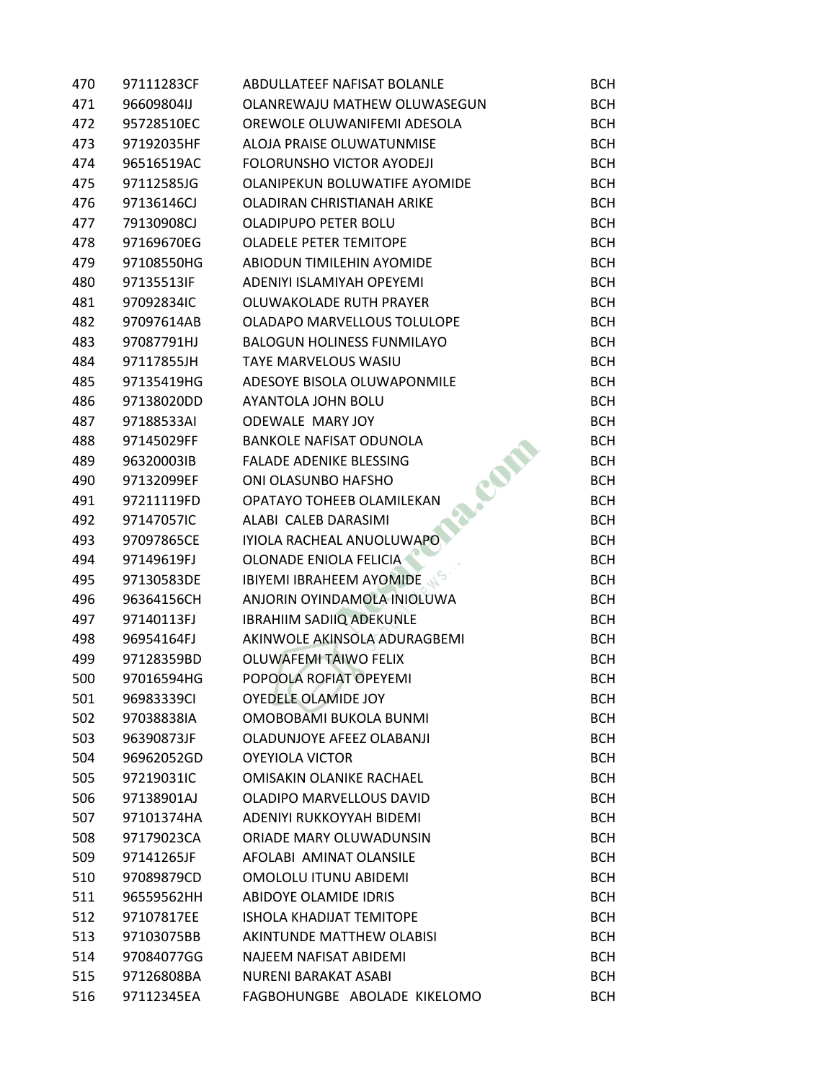| 470 | 97111283CF | ABDULLATEEF NAFISAT BOLANLE       | <b>BCH</b> |
|-----|------------|-----------------------------------|------------|
| 471 | 96609804IJ | OLANREWAJU MATHEW OLUWASEGUN      | <b>BCH</b> |
| 472 | 95728510EC | OREWOLE OLUWANIFEMI ADESOLA       | <b>BCH</b> |
| 473 | 97192035HF | ALOJA PRAISE OLUWATUNMISE         | <b>BCH</b> |
| 474 | 96516519AC | <b>FOLORUNSHO VICTOR AYODEJI</b>  | <b>BCH</b> |
| 475 | 97112585JG | OLANIPEKUN BOLUWATIFE AYOMIDE     | <b>BCH</b> |
| 476 | 97136146CJ | OLADIRAN CHRISTIANAH ARIKE        | <b>BCH</b> |
| 477 | 79130908CJ | OLADIPUPO PETER BOLU              | <b>BCH</b> |
| 478 | 97169670EG | <b>OLADELE PETER TEMITOPE</b>     | <b>BCH</b> |
| 479 | 97108550HG | ABIODUN TIMILEHIN AYOMIDE         | <b>BCH</b> |
| 480 | 97135513IF | ADENIYI ISLAMIYAH OPEYEMI         | <b>BCH</b> |
| 481 | 97092834IC | OLUWAKOLADE RUTH PRAYER           | <b>BCH</b> |
| 482 | 97097614AB | OLADAPO MARVELLOUS TOLULOPE       | <b>BCH</b> |
| 483 | 97087791HJ | <b>BALOGUN HOLINESS FUNMILAYO</b> | <b>BCH</b> |
| 484 | 97117855JH | TAYE MARVELOUS WASIU              | <b>BCH</b> |
| 485 | 97135419HG | ADESOYE BISOLA OLUWAPONMILE       | <b>BCH</b> |
| 486 | 97138020DD | AYANTOLA JOHN BOLU                | <b>BCH</b> |
| 487 | 97188533AI | ODEWALE MARY JOY                  | <b>BCH</b> |
| 488 | 97145029FF | <b>BANKOLE NAFISAT ODUNOLA</b>    | <b>BCH</b> |
| 489 | 96320003IB | <b>FALADE ADENIKE BLESSING</b>    | <b>BCH</b> |
| 490 | 97132099EF | ONI OLASUNBO HAFSHO               | <b>BCH</b> |
| 491 | 97211119FD | OPATAYO TOHEEB OLAMILEKAN         | <b>BCH</b> |
| 492 | 97147057IC | ALABI CALEB DARASIMI              | <b>BCH</b> |
| 493 | 97097865CE | IYIOLA RACHEAL ANUOLUWAPO         | <b>BCH</b> |
| 494 | 97149619FJ | OLONADE ENIOLA FELICIA            | <b>BCH</b> |
| 495 | 97130583DE | <b>IBIYEMI IBRAHEEM AYOMIDE</b>   | <b>BCH</b> |
| 496 | 96364156CH | ANJORIN OYINDAMOLA INIOLUWA       | <b>BCH</b> |
| 497 | 97140113FJ | <b>IBRAHIIM SADIIQ ADEKUNLE</b>   | <b>BCH</b> |
| 498 | 96954164FJ | AKINWOLE AKINSOLA ADURAGBEMI      | <b>BCH</b> |
| 499 | 97128359BD | <b>OLUWAFEMI TAIWO FELIX</b>      | <b>BCH</b> |
| 500 | 97016594HG | POPOOLA ROFIAT OPEYEMI            | <b>BCH</b> |
| 501 | 96983339CI | <b>OYEDELE OLAMIDE JOY</b>        | <b>BCH</b> |
| 502 | 97038838IA | OMOBOBAMI BUKOLA BUNMI            | <b>BCH</b> |
| 503 | 96390873JF | OLADUNJOYE AFEEZ OLABANJI         | <b>BCH</b> |
| 504 | 96962052GD | <b>OYEYIOLA VICTOR</b>            | <b>BCH</b> |
| 505 | 97219031IC | <b>OMISAKIN OLANIKE RACHAEL</b>   | <b>BCH</b> |
| 506 | 97138901AJ | OLADIPO MARVELLOUS DAVID          | <b>BCH</b> |
| 507 | 97101374HA | ADENIYI RUKKOYYAH BIDEMI          | <b>BCH</b> |
| 508 | 97179023CA | ORIADE MARY OLUWADUNSIN           | <b>BCH</b> |
| 509 | 97141265JF | AFOLABI AMINAT OLANSILE           | <b>BCH</b> |
| 510 | 97089879CD | OMOLOLU ITUNU ABIDEMI             | <b>BCH</b> |
| 511 | 96559562HH | ABIDOYE OLAMIDE IDRIS             | <b>BCH</b> |
| 512 | 97107817EE | <b>ISHOLA KHADIJAT TEMITOPE</b>   | <b>BCH</b> |
| 513 | 97103075BB | <b>AKINTUNDE MATTHEW OLABISI</b>  | <b>BCH</b> |
| 514 | 97084077GG | NAJEEM NAFISAT ABIDEMI            | <b>BCH</b> |
| 515 | 97126808BA | <b>NURENI BARAKAT ASABI</b>       | <b>BCH</b> |
| 516 | 97112345EA | FAGBOHUNGBE ABOLADE KIKELOMO      | <b>BCH</b> |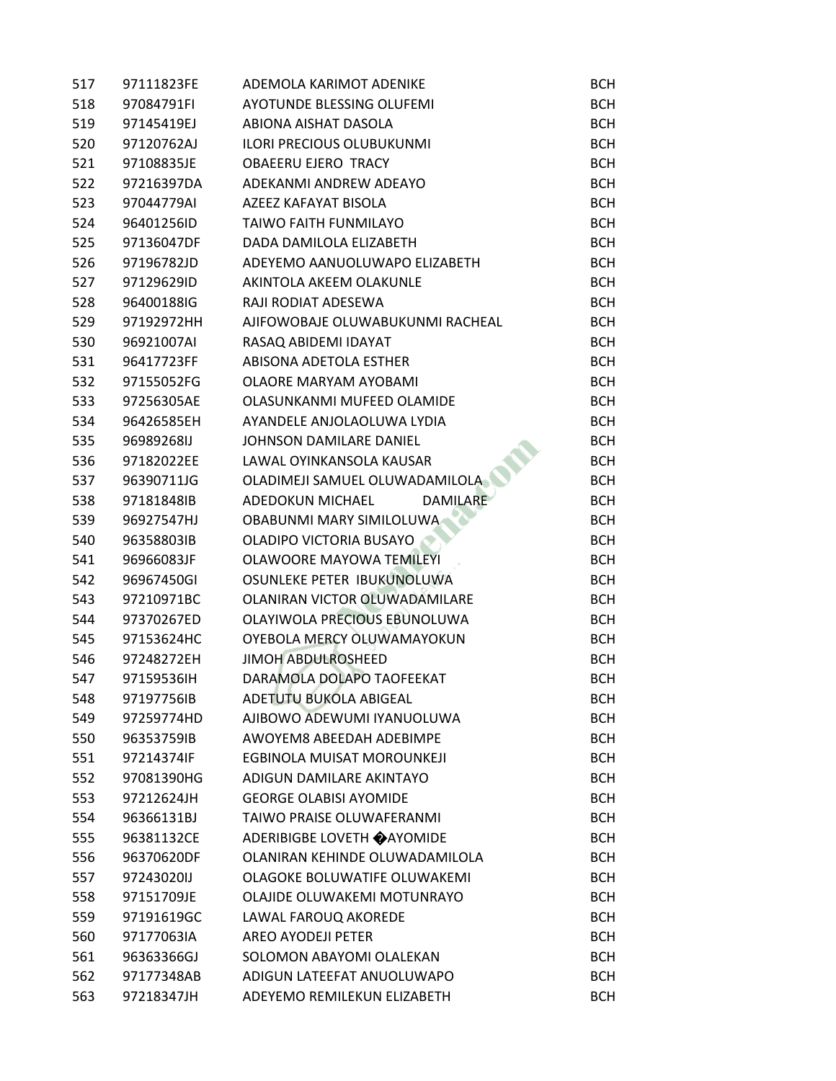| 517 | 97111823FE | ADEMOLA KARIMOT ADENIKE             | <b>BCH</b> |
|-----|------------|-------------------------------------|------------|
| 518 | 97084791FI | <b>AYOTUNDE BLESSING OLUFEMI</b>    | <b>BCH</b> |
| 519 | 97145419EJ | ABIONA AISHAT DASOLA                | <b>BCH</b> |
| 520 | 97120762AJ | <b>ILORI PRECIOUS OLUBUKUNMI</b>    | <b>BCH</b> |
| 521 | 97108835JE | <b>OBAEERU EJERO TRACY</b>          | <b>BCH</b> |
| 522 | 97216397DA | ADEKANMI ANDREW ADEAYO              | <b>BCH</b> |
| 523 | 97044779AI | AZEEZ KAFAYAT BISOLA                | <b>BCH</b> |
| 524 | 96401256ID | <b>TAIWO FAITH FUNMILAYO</b>        | <b>BCH</b> |
| 525 | 97136047DF | DADA DAMILOLA ELIZABETH             | <b>BCH</b> |
| 526 | 97196782JD | ADEYEMO AANUOLUWAPO ELIZABETH       | <b>BCH</b> |
| 527 | 97129629ID | AKINTOLA AKEEM OLAKUNLE             | <b>BCH</b> |
| 528 | 96400188IG | RAJI RODIAT ADESEWA                 | <b>BCH</b> |
| 529 | 97192972HH | AJIFOWOBAJE OLUWABUKUNMI RACHEAL    | <b>BCH</b> |
| 530 | 96921007AI | RASAQ ABIDEMI IDAYAT                | <b>BCH</b> |
| 531 | 96417723FF | ABISONA ADETOLA ESTHER              | <b>BCH</b> |
| 532 | 97155052FG | OLAORE MARYAM AYOBAMI               | <b>BCH</b> |
| 533 | 97256305AE | OLASUNKANMI MUFEED OLAMIDE          | <b>BCH</b> |
| 534 | 96426585EH | AYANDELE ANJOLAOLUWA LYDIA          | <b>BCH</b> |
| 535 | 96989268IJ | <b>JOHNSON DAMILARE DANIEL</b>      | <b>BCH</b> |
| 536 | 97182022EE | LAWAL OYINKANSOLA KAUSAR            | <b>BCH</b> |
| 537 | 96390711JG | OLADIMEJI SAMUEL OLUWADAMILOLA      | <b>BCH</b> |
| 538 | 97181848IB | <b>DAMILARE</b><br>ADEDOKUN MICHAEL | <b>BCH</b> |
| 539 | 96927547HJ | OBABUNMI MARY SIMILOLUWA            | <b>BCH</b> |
| 540 | 96358803IB | OLADIPO VICTORIA BUSAYO             | <b>BCH</b> |
| 541 | 96966083JF | OLAWOORE MAYOWA TEMILEYI            | <b>BCH</b> |
| 542 | 96967450GI | OSUNLEKE PETER IBUKUNOLUWA          | <b>BCH</b> |
| 543 | 97210971BC | OLANIRAN VICTOR OLUWADAMILARE       | <b>BCH</b> |
| 544 | 97370267ED | OLAYIWOLA PRECIOUS EBUNOLUWA        | <b>BCH</b> |
| 545 | 97153624HC | OYEBOLA MERCY OLUWAMAYOKUN          | <b>BCH</b> |
| 546 | 97248272EH | <b>JIMOH ABDULROSHEED</b>           | <b>BCH</b> |
| 547 | 97159536IH | DARAMOLA DOLAPO TAOFEEKAT           | <b>BCH</b> |
| 548 | 97197756IB | ADETUTU BUKOLA ABIGEAL              | <b>BCH</b> |
| 549 | 97259774HD | AJIBOWO ADEWUMI IYANUOLUWA          | <b>BCH</b> |
| 550 | 96353759IB | AWOYEM8 ABEEDAH ADEBIMPE            | <b>BCH</b> |
| 551 | 97214374IF | EGBINOLA MUISAT MOROUNKEJI          | <b>BCH</b> |
| 552 | 97081390HG | ADIGUN DAMILARE AKINTAYO            | <b>BCH</b> |
| 553 | 97212624JH | <b>GEORGE OLABISI AYOMIDE</b>       | <b>BCH</b> |
| 554 | 96366131BJ | TAIWO PRAISE OLUWAFERANMI           | <b>BCH</b> |
| 555 | 96381132CE | <b>ADERIBIGBE LOVETH ◆ AYOMIDE</b>  | <b>BCH</b> |
| 556 | 96370620DF | OLANIRAN KEHINDE OLUWADAMILOLA      | <b>BCH</b> |
| 557 | 97243020IJ | OLAGOKE BOLUWATIFE OLUWAKEMI        | <b>BCH</b> |
| 558 | 97151709JE | OLAJIDE OLUWAKEMI MOTUNRAYO         | <b>BCH</b> |
| 559 | 97191619GC | LAWAL FAROUQ AKOREDE                | <b>BCH</b> |
| 560 | 97177063IA | AREO AYODEJI PETER                  | <b>BCH</b> |
| 561 | 96363366GJ | SOLOMON ABAYOMI OLALEKAN            | <b>BCH</b> |
| 562 | 97177348AB | ADIGUN LATEEFAT ANUOLUWAPO          | <b>BCH</b> |
| 563 | 97218347JH | ADEYEMO REMILEKUN ELIZABETH         | <b>BCH</b> |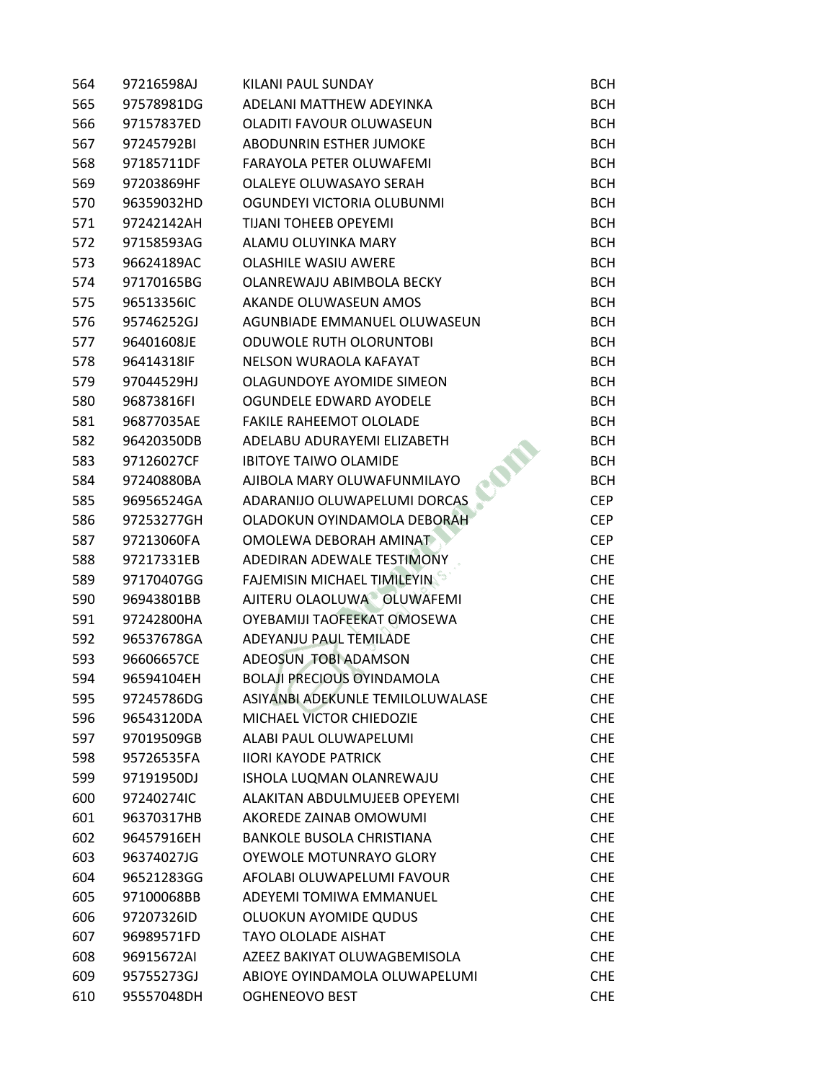| 564 | 97216598AJ | KILANI PAUL SUNDAY                 | <b>BCH</b> |
|-----|------------|------------------------------------|------------|
| 565 | 97578981DG | ADELANI MATTHEW ADEYINKA           | <b>BCH</b> |
| 566 | 97157837ED | OLADITI FAVOUR OLUWASEUN           | <b>BCH</b> |
| 567 | 97245792BI | ABODUNRIN ESTHER JUMOKE            | <b>BCH</b> |
| 568 | 97185711DF | FARAYOLA PETER OLUWAFEMI           | <b>BCH</b> |
| 569 | 97203869HF | OLALEYE OLUWASAYO SERAH            | <b>BCH</b> |
| 570 | 96359032HD | OGUNDEYI VICTORIA OLUBUNMI         | <b>BCH</b> |
| 571 | 97242142AH | <b>TIJANI TOHEEB OPEYEMI</b>       | <b>BCH</b> |
| 572 | 97158593AG | ALAMU OLUYINKA MARY                | <b>BCH</b> |
| 573 | 96624189AC | <b>OLASHILE WASIU AWERE</b>        | <b>BCH</b> |
| 574 | 97170165BG | OLANREWAJU ABIMBOLA BECKY          | <b>BCH</b> |
| 575 | 96513356IC | AKANDE OLUWASEUN AMOS              | <b>BCH</b> |
| 576 | 95746252GJ | AGUNBIADE EMMANUEL OLUWASEUN       | <b>BCH</b> |
| 577 | 96401608JE | <b>ODUWOLE RUTH OLORUNTOBI</b>     | <b>BCH</b> |
| 578 | 96414318IF | NELSON WURAOLA KAFAYAT             | <b>BCH</b> |
| 579 | 97044529HJ | OLAGUNDOYE AYOMIDE SIMEON          | <b>BCH</b> |
| 580 | 96873816FI | OGUNDELE EDWARD AYODELE            | <b>BCH</b> |
| 581 | 96877035AE | FAKILE RAHEEMOT OLOLADE            | <b>BCH</b> |
| 582 | 96420350DB | ADELABU ADURAYEMI ELIZABETH        | <b>BCH</b> |
| 583 | 97126027CF | <b>IBITOYE TAIWO OLAMIDE</b>       | <b>BCH</b> |
| 584 | 97240880BA | AJIBOLA MARY OLUWAFUNMILAYO        | <b>BCH</b> |
| 585 | 96956524GA | ADARANIJO OLUWAPELUMI DORCAS       | <b>CEP</b> |
| 586 | 97253277GH | OLADOKUN OYINDAMOLA DEBORAH        | <b>CEP</b> |
| 587 | 97213060FA | OMOLEWA DEBORAH AMINAT             | <b>CEP</b> |
| 588 | 97217331EB | ADEDIRAN ADEWALE TESTIMONY         | <b>CHE</b> |
| 589 | 97170407GG | <b>FAJEMISIN MICHAEL TIMILEYIN</b> | <b>CHE</b> |
| 590 | 96943801BB | AJITERU OLAOLUWA OLUWAFEMI         | <b>CHE</b> |
| 591 | 97242800HA | OYEBAMIJI TAOFEEKAT OMOSEWA        | <b>CHE</b> |
| 592 | 96537678GA | ADEYANJU PAUL TEMILADE             | <b>CHE</b> |
| 593 | 96606657CE | ADEOSUN TOBI ADAMSON               | <b>CHE</b> |
| 594 | 96594104EH | <b>BOLAJI PRECIOUS OYINDAMOLA</b>  | <b>CHE</b> |
| 595 | 97245786DG | ASIYANBI ADEKUNLE TEMILOLUWALASE   | <b>CHE</b> |
| 596 | 96543120DA | MICHAEL VICTOR CHIEDOZIE           | <b>CHE</b> |
| 597 | 97019509GB | ALABI PAUL OLUWAPELUMI             | <b>CHE</b> |
| 598 | 95726535FA | <b>IIORI KAYODE PATRICK</b>        | <b>CHE</b> |
| 599 | 97191950DJ | ISHOLA LUQMAN OLANREWAJU           | <b>CHE</b> |
| 600 | 97240274IC | ALAKITAN ABDULMUJEEB OPEYEMI       | <b>CHE</b> |
| 601 | 96370317HB | AKOREDE ZAINAB OMOWUMI             | <b>CHE</b> |
| 602 | 96457916EH | <b>BANKOLE BUSOLA CHRISTIANA</b>   | <b>CHE</b> |
| 603 | 96374027JG | OYEWOLE MOTUNRAYO GLORY            | <b>CHE</b> |
| 604 | 96521283GG | AFOLABI OLUWAPELUMI FAVOUR         | <b>CHE</b> |
| 605 | 97100068BB | ADEYEMI TOMIWA EMMANUEL            | <b>CHE</b> |
| 606 | 97207326ID | OLUOKUN AYOMIDE QUDUS              | <b>CHE</b> |
| 607 | 96989571FD | <b>TAYO OLOLADE AISHAT</b>         | <b>CHE</b> |
| 608 | 96915672AI | AZEEZ BAKIYAT OLUWAGBEMISOLA       | <b>CHE</b> |
| 609 | 95755273GJ | ABIOYE OYINDAMOLA OLUWAPELUMI      | <b>CHE</b> |
| 610 | 95557048DH | <b>OGHENEOVO BEST</b>              | <b>CHE</b> |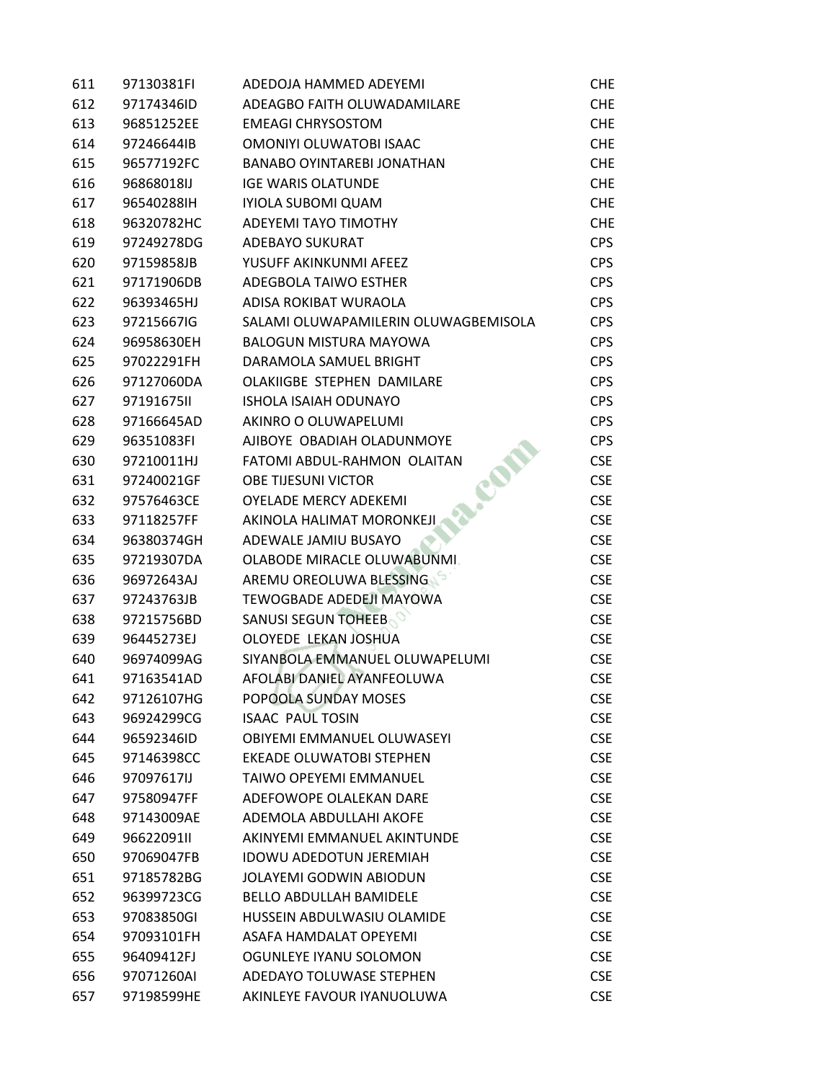| 611 | 97130381FI | ADEDOJA HAMMED ADEYEMI               | CHE        |
|-----|------------|--------------------------------------|------------|
| 612 | 97174346ID | ADEAGBO FAITH OLUWADAMILARE          | <b>CHE</b> |
| 613 | 96851252EE | <b>EMEAGI CHRYSOSTOM</b>             | <b>CHE</b> |
| 614 | 97246644IB | OMONIYI OLUWATOBI ISAAC              | <b>CHE</b> |
| 615 | 96577192FC | <b>BANABO OYINTAREBI JONATHAN</b>    | <b>CHE</b> |
| 616 | 96868018IJ | <b>IGE WARIS OLATUNDE</b>            | <b>CHE</b> |
| 617 | 96540288IH | IYIOLA SUBOMI QUAM                   | <b>CHE</b> |
| 618 | 96320782HC | <b>ADEYEMI TAYO TIMOTHY</b>          | <b>CHE</b> |
| 619 | 97249278DG | <b>ADEBAYO SUKURAT</b>               | <b>CPS</b> |
| 620 | 97159858JB | YUSUFF AKINKUNMI AFEEZ               | <b>CPS</b> |
| 621 | 97171906DB | ADEGBOLA TAIWO ESTHER                | <b>CPS</b> |
| 622 | 96393465HJ | ADISA ROKIBAT WURAOLA                | <b>CPS</b> |
| 623 | 97215667IG | SALAMI OLUWAPAMILERIN OLUWAGBEMISOLA | <b>CPS</b> |
| 624 | 96958630EH | <b>BALOGUN MISTURA MAYOWA</b>        | <b>CPS</b> |
| 625 | 97022291FH | DARAMOLA SAMUEL BRIGHT               | <b>CPS</b> |
| 626 | 97127060DA | OLAKIIGBE STEPHEN DAMILARE           | <b>CPS</b> |
| 627 | 97191675II | <b>ISHOLA ISAIAH ODUNAYO</b>         | <b>CPS</b> |
| 628 | 97166645AD | AKINRO O OLUWAPELUMI                 | <b>CPS</b> |
| 629 | 96351083FI | AJIBOYE OBADIAH OLADUNMOYE           | <b>CPS</b> |
| 630 | 97210011HJ | FATOMI ABDUL-RAHMON OLAITAN          | <b>CSE</b> |
| 631 | 97240021GF | OBE TIJESUNI VICTOR                  | <b>CSE</b> |
| 632 | 97576463CE | <b>OYELADE MERCY ADEKEMI</b>         | <b>CSE</b> |
| 633 | 97118257FF | AKINOLA HALIMAT MORONKEJI            | <b>CSE</b> |
| 634 | 96380374GH | ADEWALE JAMIU BUSAYO                 | <b>CSE</b> |
| 635 | 97219307DA | OLABODE MIRACLE OLUWABUNMI.          | <b>CSE</b> |
| 636 | 96972643AJ | AREMU OREOLUWA BLESSING              | <b>CSE</b> |
| 637 | 97243763JB | <b>TEWOGBADE ADEDEJI MAYOWA</b>      | <b>CSE</b> |
| 638 | 97215756BD | <b>SANUSI SEGUN TOHEEB</b>           | <b>CSE</b> |
| 639 | 96445273EJ | OLOYEDE LEKAN JOSHUA                 | <b>CSE</b> |
| 640 | 96974099AG | SIYANBOLA EMMANUEL OLUWAPELUMI       | <b>CSE</b> |
| 641 | 97163541AD | AFOLABI DANIEL AYANFEOLUWA           | <b>CSE</b> |
| 642 | 97126107HG | POPOOLA SUNDAY MOSES                 | <b>CSE</b> |
| 643 | 96924299CG | <b>ISAAC PAUL TOSIN</b>              | <b>CSE</b> |
| 644 | 96592346ID | OBIYEMI EMMANUEL OLUWASEYI           | <b>CSE</b> |
| 645 | 97146398CC | EKEADE OLUWATOBI STEPHEN             | <b>CSE</b> |
| 646 | 97097617IJ | <b>TAIWO OPEYEMI EMMANUEL</b>        | <b>CSE</b> |
| 647 | 97580947FF | ADEFOWOPE OLALEKAN DARE              | <b>CSE</b> |
| 648 | 97143009AE | ADEMOLA ABDULLAHI AKOFE              | <b>CSE</b> |
| 649 | 96622091II | AKINYEMI EMMANUEL AKINTUNDE          | <b>CSE</b> |
| 650 | 97069047FB | <b>IDOWU ADEDOTUN JEREMIAH</b>       | <b>CSE</b> |
| 651 | 97185782BG | <b>JOLAYEMI GODWIN ABIODUN</b>       | <b>CSE</b> |
| 652 | 96399723CG | <b>BELLO ABDULLAH BAMIDELE</b>       | <b>CSE</b> |
| 653 | 97083850GI | HUSSEIN ABDULWASIU OLAMIDE           | <b>CSE</b> |
| 654 | 97093101FH | ASAFA HAMDALAT OPEYEMI               | <b>CSE</b> |
| 655 | 96409412FJ | OGUNLEYE IYANU SOLOMON               | <b>CSE</b> |
| 656 | 97071260AI | ADEDAYO TOLUWASE STEPHEN             | <b>CSE</b> |
| 657 | 97198599HE | AKINLEYE FAVOUR IYANUOLUWA           | <b>CSE</b> |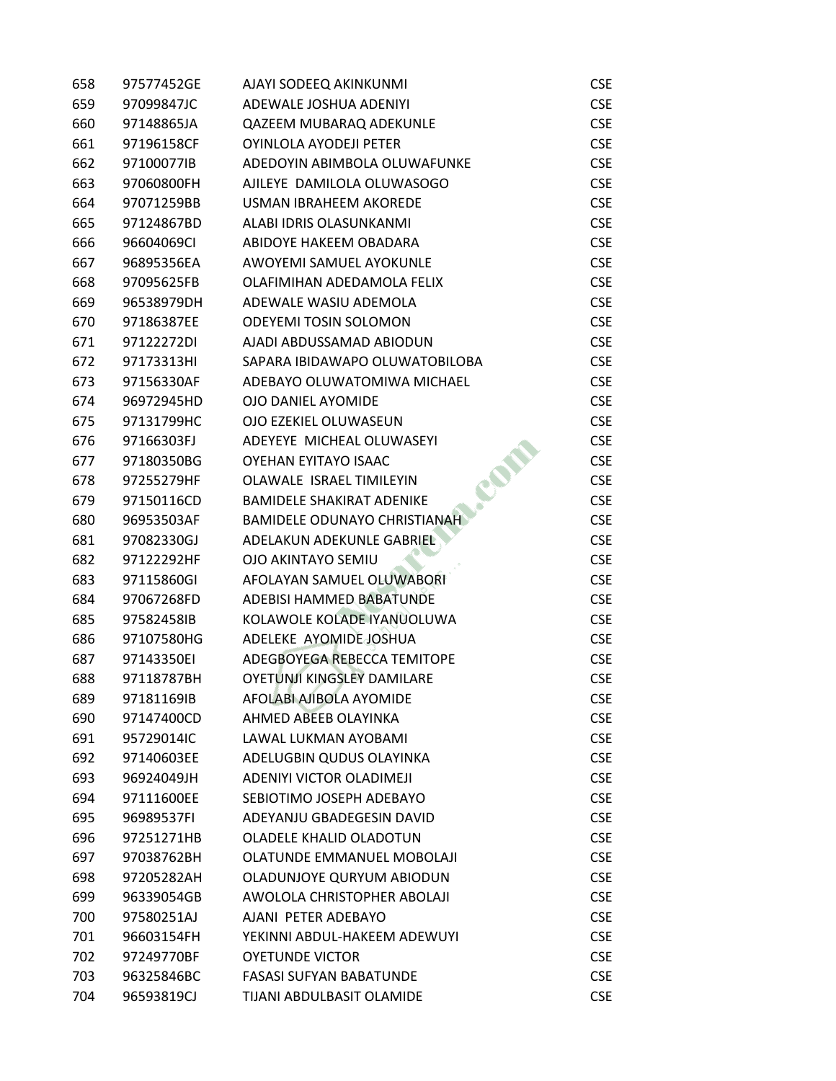| 658 | 97577452GE | AJAYI SODEEQ AKINKUNMI              | <b>CSE</b> |
|-----|------------|-------------------------------------|------------|
| 659 | 97099847JC | ADEWALE JOSHUA ADENIYI              | <b>CSE</b> |
| 660 | 97148865JA | QAZEEM MUBARAQ ADEKUNLE             | <b>CSE</b> |
| 661 | 97196158CF | OYINLOLA AYODEJI PETER              | <b>CSE</b> |
| 662 | 97100077IB | ADEDOYIN ABIMBOLA OLUWAFUNKE        | <b>CSE</b> |
| 663 | 97060800FH | AJILEYE DAMILOLA OLUWASOGO          | <b>CSE</b> |
| 664 | 97071259BB | USMAN IBRAHEEM AKOREDE              | <b>CSE</b> |
| 665 | 97124867BD | ALABI IDRIS OLASUNKANMI             | <b>CSE</b> |
| 666 | 96604069CI | ABIDOYE HAKEEM OBADARA              | <b>CSE</b> |
| 667 | 96895356EA | AWOYEMI SAMUEL AYOKUNLE             | <b>CSE</b> |
| 668 | 97095625FB | OLAFIMIHAN ADEDAMOLA FELIX          | <b>CSE</b> |
| 669 | 96538979DH | ADEWALE WASIU ADEMOLA               | <b>CSE</b> |
| 670 | 97186387EE | <b>ODEYEMI TOSIN SOLOMON</b>        | <b>CSE</b> |
| 671 | 97122272DI | AJADI ABDUSSAMAD ABIODUN            | <b>CSE</b> |
| 672 | 97173313HI | SAPARA IBIDAWAPO OLUWATOBILOBA      | <b>CSE</b> |
| 673 | 97156330AF | ADEBAYO OLUWATOMIWA MICHAEL         | <b>CSE</b> |
| 674 | 96972945HD | OJO DANIEL AYOMIDE                  | <b>CSE</b> |
| 675 | 97131799HC | OJO EZEKIEL OLUWASEUN               | <b>CSE</b> |
| 676 | 97166303FJ | ADEYEYE MICHEAL OLUWASEYI           | <b>CSE</b> |
| 677 | 97180350BG | OYEHAN EYITAYO ISAAC                | <b>CSE</b> |
| 678 | 97255279HF | BRE<br>OLAWALE ISRAEL TIMILEYIN     | <b>CSE</b> |
| 679 | 97150116CD | <b>BAMIDELE SHAKIRAT ADENIKE</b>    | <b>CSE</b> |
| 680 | 96953503AF | <b>BAMIDELE ODUNAYO CHRISTIANAH</b> | <b>CSE</b> |
| 681 | 97082330GJ | ADELAKUN ADEKUNLE GABRIEL           | <b>CSE</b> |
| 682 | 97122292HF | <b>OJO AKINTAYO SEMIU</b>           | <b>CSE</b> |
| 683 | 97115860GI | AFOLAYAN SAMUEL OLUWABORI           | <b>CSE</b> |
| 684 | 97067268FD | ADEBISI HAMMED BABATUNDE            | <b>CSE</b> |
| 685 | 97582458IB | KOLAWOLE KOLADE IYANUOLUWA          | <b>CSE</b> |
| 686 | 97107580HG | ADELEKE AYOMIDE JOSHUA              | <b>CSE</b> |
| 687 | 97143350EI | ADEGBOYEGA REBECCA TEMITOPE         | <b>CSE</b> |
| 688 | 97118787BH | <b>OYETUNJI KINGSLEY DAMILARE</b>   | <b>CSE</b> |
| 689 | 97181169IB | AFOLABI AJIBOLA AYOMIDE             | <b>CSE</b> |
| 690 | 97147400CD | AHMED ABEEB OLAYINKA                | <b>CSE</b> |
| 691 | 95729014IC | LAWAL LUKMAN AYOBAMI                | <b>CSE</b> |
| 692 | 97140603EE | ADELUGBIN QUDUS OLAYINKA            | <b>CSE</b> |
| 693 | 96924049JH | ADENIYI VICTOR OLADIMEJI            | <b>CSE</b> |
| 694 | 97111600EE | SEBIOTIMO JOSEPH ADEBAYO            | <b>CSE</b> |
| 695 | 96989537FI | ADEYANJU GBADEGESIN DAVID           | <b>CSE</b> |
| 696 | 97251271HB | <b>OLADELE KHALID OLADOTUN</b>      | <b>CSE</b> |
| 697 | 97038762BH | <b>OLATUNDE EMMANUEL MOBOLAJI</b>   | <b>CSE</b> |
| 698 | 97205282AH | OLADUNJOYE QURYUM ABIODUN           | <b>CSE</b> |
| 699 | 96339054GB | AWOLOLA CHRISTOPHER ABOLAJI         | <b>CSE</b> |
| 700 | 97580251AJ | AJANI PETER ADEBAYO                 | <b>CSE</b> |
| 701 | 96603154FH | YEKINNI ABDUL-HAKEEM ADEWUYI        | <b>CSE</b> |
| 702 | 97249770BF | <b>OYETUNDE VICTOR</b>              | <b>CSE</b> |
| 703 | 96325846BC | <b>FASASI SUFYAN BABATUNDE</b>      | <b>CSE</b> |
| 704 | 96593819CJ | TIJANI ABDULBASIT OLAMIDE           | <b>CSE</b> |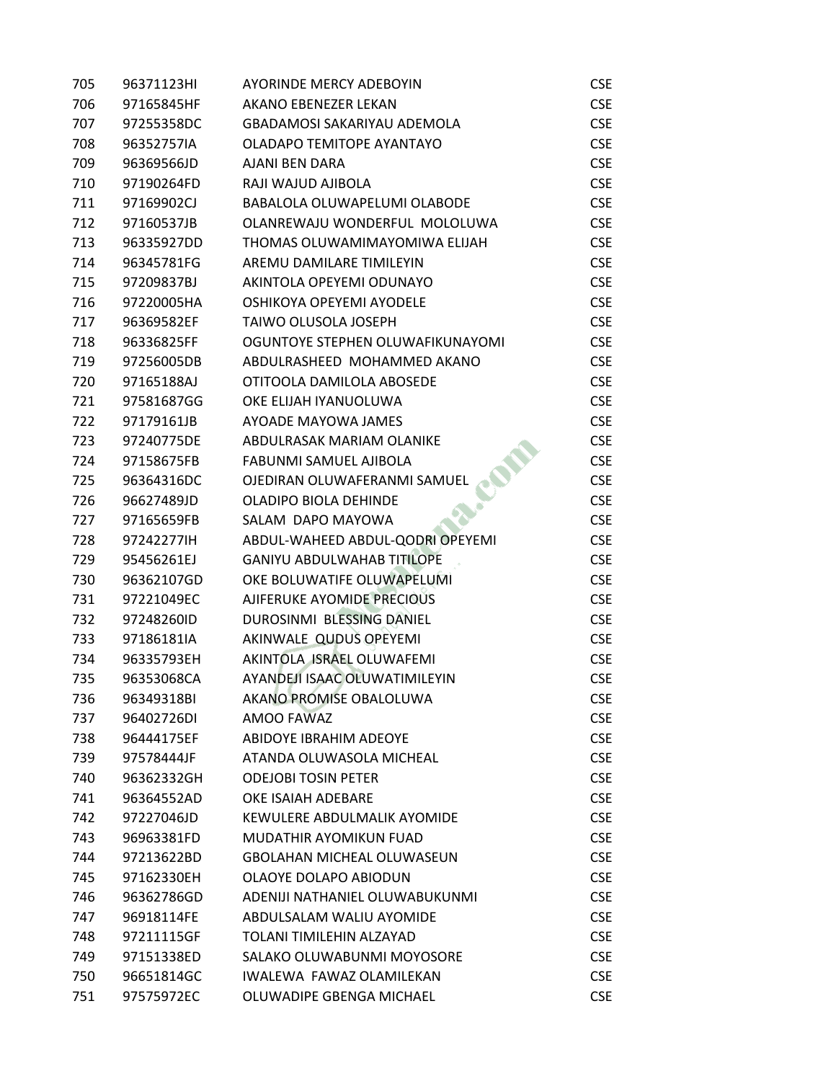| 705 | 96371123HI | <b>AYORINDE MERCY ADEBOYIN</b>     | <b>CSE</b> |
|-----|------------|------------------------------------|------------|
| 706 | 97165845HF | AKANO EBENEZER LEKAN               | <b>CSE</b> |
| 707 | 97255358DC | <b>GBADAMOSI SAKARIYAU ADEMOLA</b> | <b>CSE</b> |
| 708 | 96352757IA | OLADAPO TEMITOPE AYANTAYO          | <b>CSE</b> |
| 709 | 96369566JD | <b>AJANI BEN DARA</b>              | <b>CSE</b> |
| 710 | 97190264FD | RAJI WAJUD AJIBOLA                 | <b>CSE</b> |
| 711 | 97169902CJ | BABALOLA OLUWAPELUMI OLABODE       | <b>CSE</b> |
| 712 | 97160537JB | OLANREWAJU WONDERFUL MOLOLUWA      | <b>CSE</b> |
| 713 | 96335927DD | THOMAS OLUWAMIMAYOMIWA ELIJAH      | <b>CSE</b> |
| 714 | 96345781FG | AREMU DAMILARE TIMILEYIN           | <b>CSE</b> |
| 715 | 97209837BJ | AKINTOLA OPEYEMI ODUNAYO           | <b>CSE</b> |
| 716 | 97220005HA | OSHIKOYA OPEYEMI AYODELE           | <b>CSE</b> |
| 717 | 96369582EF | TAIWO OLUSOLA JOSEPH               | <b>CSE</b> |
| 718 | 96336825FF | OGUNTOYE STEPHEN OLUWAFIKUNAYOMI   | <b>CSE</b> |
| 719 | 97256005DB | ABDULRASHEED MOHAMMED AKANO        | <b>CSE</b> |
| 720 | 97165188AJ | OTITOOLA DAMILOLA ABOSEDE          | <b>CSE</b> |
| 721 | 97581687GG | OKE ELIJAH IYANUOLUWA              | <b>CSE</b> |
| 722 | 97179161JB | AYOADE MAYOWA JAMES                | <b>CSE</b> |
| 723 | 97240775DE | ABDULRASAK MARIAM OLANIKE          | <b>CSE</b> |
| 724 | 97158675FB | FABUNMI SAMUEL AJIBOLA             | <b>CSE</b> |
| 725 | 96364316DC | OJEDIRAN OLUWAFERANMI SAMUEL       | <b>CSE</b> |
| 726 | 96627489JD | OLADIPO BIOLA DEHINDE              | <b>CSE</b> |
| 727 | 97165659FB | SALAM DAPO MAYOWA                  | <b>CSE</b> |
| 728 | 972422771H | ABDUL-WAHEED ABDUL-QODRI OPEYEMI   | <b>CSE</b> |
| 729 | 95456261EJ | <b>GANIYU ABDULWAHAB TITILOPE</b>  | <b>CSE</b> |
| 730 | 96362107GD | OKE BOLUWATIFE OLUWAPELUMI         | <b>CSE</b> |
| 731 | 97221049EC | AJIFERUKE AYOMIDE PRECIOUS         | <b>CSE</b> |
| 732 | 97248260ID | DUROSINMI BLESSING DANIEL          | <b>CSE</b> |
| 733 | 97186181IA | AKINWALE QUDUS OPEYEMI             | <b>CSE</b> |
| 734 | 96335793EH | AKINTOLA ISRAEL OLUWAFEMI          | <b>CSE</b> |
| 735 | 96353068CA | AYANDEJI ISAAC OLUWATIMILEYIN      | <b>CSE</b> |
| 736 | 96349318BI | AKANO PROMISE OBALOLUWA            | <b>CSE</b> |
| 737 | 96402726DI | AMOO FAWAZ                         | <b>CSE</b> |
| 738 | 96444175EF | ABIDOYE IBRAHIM ADEOYE             | <b>CSE</b> |
| 739 | 97578444JF | ATANDA OLUWASOLA MICHEAL           | <b>CSE</b> |
| 740 | 96362332GH | <b>ODEJOBI TOSIN PETER</b>         | <b>CSE</b> |
| 741 | 96364552AD | OKE ISAIAH ADEBARE                 | <b>CSE</b> |
| 742 | 97227046JD | <b>KEWULERE ABDULMALIK AYOMIDE</b> | <b>CSE</b> |
| 743 | 96963381FD | MUDATHIR AYOMIKUN FUAD             | <b>CSE</b> |
| 744 | 97213622BD | <b>GBOLAHAN MICHEAL OLUWASEUN</b>  | <b>CSE</b> |
| 745 | 97162330EH | OLAOYE DOLAPO ABIODUN              | <b>CSE</b> |
| 746 | 96362786GD | ADENIJI NATHANIEL OLUWABUKUNMI     | <b>CSE</b> |
| 747 | 96918114FE | ABDULSALAM WALIU AYOMIDE           | <b>CSE</b> |
| 748 | 97211115GF | TOLANI TIMILEHIN ALZAYAD           | <b>CSE</b> |
| 749 | 97151338ED | SALAKO OLUWABUNMI MOYOSORE         | <b>CSE</b> |
| 750 | 96651814GC | IWALEWA FAWAZ OLAMILEKAN           | <b>CSE</b> |
| 751 | 97575972EC | OLUWADIPE GBENGA MICHAEL           | <b>CSE</b> |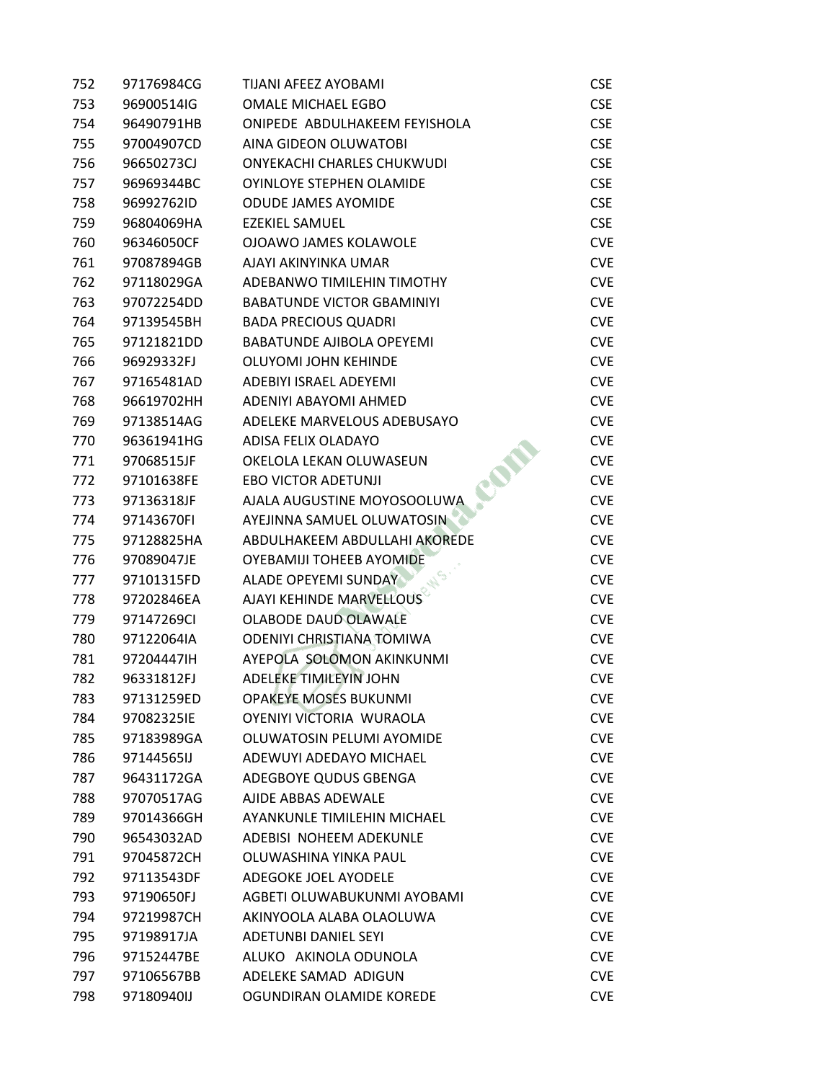| 752 | 97176984CG | TIJANI AFEEZ AYOBAMI               | <b>CSE</b> |
|-----|------------|------------------------------------|------------|
| 753 | 96900514IG | <b>OMALE MICHAEL EGBO</b>          | <b>CSE</b> |
| 754 | 96490791HB | ONIPEDE ABDULHAKEEM FEYISHOLA      | <b>CSE</b> |
| 755 | 97004907CD | AINA GIDEON OLUWATOBI              | <b>CSE</b> |
| 756 | 96650273CJ | <b>ONYEKACHI CHARLES CHUKWUDI</b>  | <b>CSE</b> |
| 757 | 96969344BC | OYINLOYE STEPHEN OLAMIDE           | <b>CSE</b> |
| 758 | 96992762ID | <b>ODUDE JAMES AYOMIDE</b>         | <b>CSE</b> |
| 759 | 96804069HA | <b>EZEKIEL SAMUEL</b>              | <b>CSE</b> |
| 760 | 96346050CF | <b>OJOAWO JAMES KOLAWOLE</b>       | <b>CVE</b> |
| 761 | 97087894GB | AJAYI AKINYINKA UMAR               | <b>CVE</b> |
| 762 | 97118029GA | ADEBANWO TIMILEHIN TIMOTHY         | <b>CVE</b> |
| 763 | 97072254DD | <b>BABATUNDE VICTOR GBAMINIYI</b>  | <b>CVE</b> |
| 764 | 97139545BH | <b>BADA PRECIOUS QUADRI</b>        | <b>CVE</b> |
| 765 | 97121821DD | <b>BABATUNDE AJIBOLA OPEYEMI</b>   | <b>CVE</b> |
| 766 | 96929332FJ | <b>OLUYOMI JOHN KEHINDE</b>        | <b>CVE</b> |
| 767 | 97165481AD | <b>ADEBIYI ISRAEL ADEYEMI</b>      | <b>CVE</b> |
| 768 | 96619702HH | ADENIYI ABAYOMI AHMED              | <b>CVE</b> |
| 769 | 97138514AG | ADELEKE MARVELOUS ADEBUSAYO        | <b>CVE</b> |
| 770 | 96361941HG | <b>ADISA FELIX OLADAYO</b>         | <b>CVE</b> |
| 771 | 97068515JF | OKELOLA LEKAN OLUWASEUN            | <b>CVE</b> |
| 772 | 97101638FE | <b>EBO VICTOR ADETUNJI</b>         | <b>CVE</b> |
| 773 | 97136318JF | AJALA AUGUSTINE MOYOSOOLUWA        | <b>CVE</b> |
| 774 | 97143670FI | AYEJINNA SAMUEL OLUWATOSIN         | <b>CVE</b> |
| 775 | 97128825HA | ABDULHAKEEM ABDULLAHI AKOREDE      | <b>CVE</b> |
| 776 | 97089047JE | <b>OYEBAMIJI TOHEEB AYOMIDE</b>    | <b>CVE</b> |
| 777 | 97101315FD | ALADE OPEYEMI SUNDAY               | <b>CVE</b> |
| 778 | 97202846EA | AJAYI KEHINDE MARVELLOUS           | <b>CVE</b> |
| 779 | 97147269CI | <b>OLABODE DAUD OLAWALE</b>        | <b>CVE</b> |
| 780 | 97122064IA | <b>ODENIYI CHRISTIANA TOMIWA</b>   | <b>CVE</b> |
| 781 | 97204447IH | AYEPOLA SOLOMON AKINKUNMI          | <b>CVE</b> |
| 782 | 96331812FJ | <b>ADELEKE TIMILEYIN JOHN</b>      | <b>CVE</b> |
| 783 | 97131259ED | <b>OPAKEYE MOSES BUKUNMI</b>       | <b>CVE</b> |
| 784 | 97082325IE | OYENIYI VICTORIA WURAOLA           | <b>CVE</b> |
| 785 | 97183989GA | OLUWATOSIN PELUMI AYOMIDE          | <b>CVE</b> |
| 786 | 97144565IJ | ADEWUYI ADEDAYO MICHAEL            | <b>CVE</b> |
| 787 | 96431172GA | ADEGBOYE QUDUS GBENGA              | <b>CVE</b> |
| 788 | 97070517AG | AJIDE ABBAS ADEWALE                | <b>CVE</b> |
| 789 | 97014366GH | <b>AYANKUNLE TIMILEHIN MICHAEL</b> | <b>CVE</b> |
| 790 | 96543032AD | ADEBISI NOHEEM ADEKUNLE            | <b>CVE</b> |
| 791 | 97045872CH | OLUWASHINA YINKA PAUL              | <b>CVE</b> |
| 792 | 97113543DF | ADEGOKE JOEL AYODELE               | <b>CVE</b> |
| 793 | 97190650FJ | AGBETI OLUWABUKUNMI AYOBAMI        | <b>CVE</b> |
| 794 | 97219987CH | AKINYOOLA ALABA OLAOLUWA           | <b>CVE</b> |
| 795 | 97198917JA | <b>ADETUNBI DANIEL SEYI</b>        | <b>CVE</b> |
| 796 | 97152447BE | ALUKO AKINOLA ODUNOLA              | <b>CVE</b> |
| 797 | 97106567BB | ADELEKE SAMAD ADIGUN               | <b>CVE</b> |
| 798 | 97180940IJ | OGUNDIRAN OLAMIDE KOREDE           | <b>CVE</b> |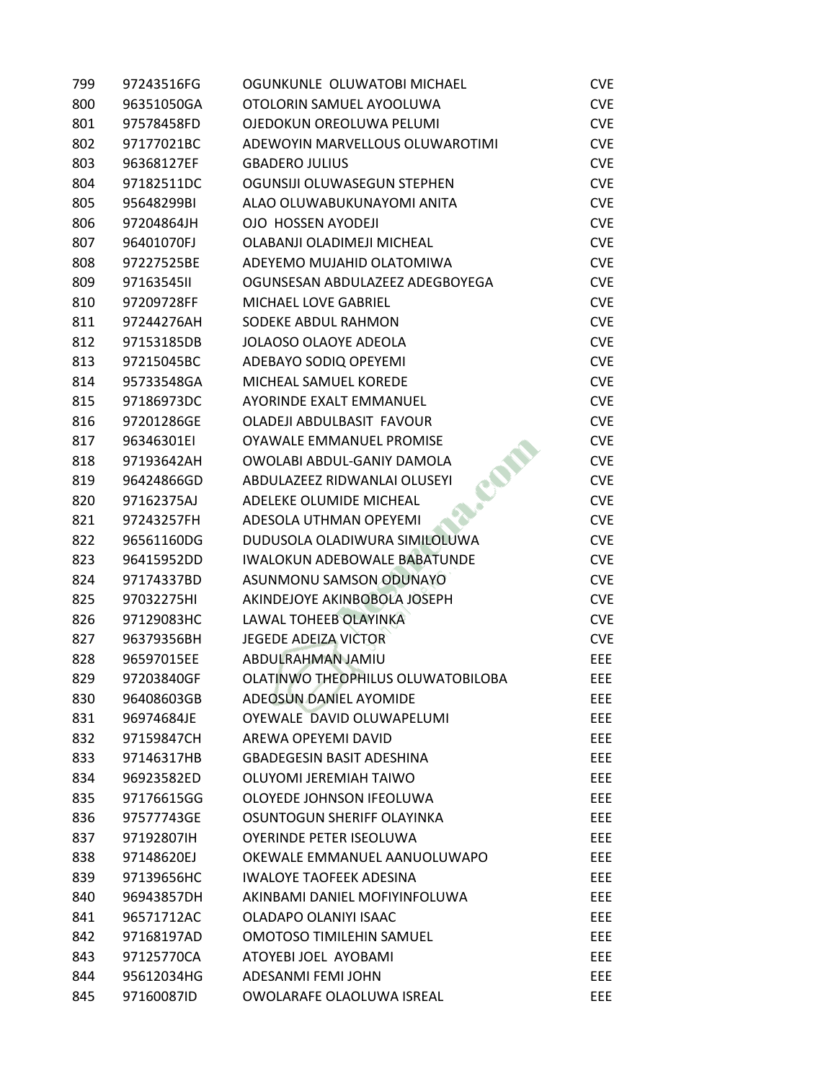| 799 | 97243516FG | OGUNKUNLE OLUWATOBI MICHAEL         | <b>CVE</b> |
|-----|------------|-------------------------------------|------------|
| 800 | 96351050GA | OTOLORIN SAMUEL AYOOLUWA            | <b>CVE</b> |
| 801 | 97578458FD | OJEDOKUN OREOLUWA PELUMI            | <b>CVE</b> |
| 802 | 97177021BC | ADEWOYIN MARVELLOUS OLUWAROTIMI     | <b>CVE</b> |
| 803 | 96368127EF | <b>GBADERO JULIUS</b>               | <b>CVE</b> |
| 804 | 97182511DC | OGUNSIJI OLUWASEGUN STEPHEN         | <b>CVE</b> |
| 805 | 95648299BI | ALAO OLUWABUKUNAYOMI ANITA          | <b>CVE</b> |
| 806 | 97204864JH | OJO HOSSEN AYODEJI                  | <b>CVE</b> |
| 807 | 96401070FJ | OLABANJI OLADIMEJI MICHEAL          | <b>CVE</b> |
| 808 | 97227525BE | ADEYEMO MUJAHID OLATOMIWA           | <b>CVE</b> |
| 809 | 9716354511 | OGUNSESAN ABDULAZEEZ ADEGBOYEGA     | <b>CVE</b> |
| 810 | 97209728FF | MICHAEL LOVE GABRIEL                | <b>CVE</b> |
| 811 | 97244276AH | SODEKE ABDUL RAHMON                 | <b>CVE</b> |
| 812 | 97153185DB | <b>JOLAOSO OLAOYE ADEOLA</b>        | <b>CVE</b> |
| 813 | 97215045BC | ADEBAYO SODIQ OPEYEMI               | <b>CVE</b> |
| 814 | 95733548GA | MICHEAL SAMUEL KOREDE               | <b>CVE</b> |
| 815 | 97186973DC | AYORINDE EXALT EMMANUEL             | <b>CVE</b> |
| 816 | 97201286GE | OLADEJI ABDULBASIT FAVOUR           | <b>CVE</b> |
| 817 | 96346301EI | OYAWALE EMMANUEL PROMISE            | <b>CVE</b> |
| 818 | 97193642AH | OWOLABI ABDUL-GANIY DAMOLA          | <b>CVE</b> |
| 819 | 96424866GD | ABDULAZEEZ RIDWANLAI OLUSEYI        | <b>CVE</b> |
| 820 | 97162375AJ | ADELEKE OLUMIDE MICHEAL             | <b>CVE</b> |
| 821 | 97243257FH | ADESOLA UTHMAN OPEYEMI              | <b>CVE</b> |
| 822 | 96561160DG | DUDUSOLA OLADIWURA SIMILOLUWA       | <b>CVE</b> |
| 823 | 96415952DD | <b>IWALOKUN ADEBOWALE BABATUNDE</b> | <b>CVE</b> |
| 824 | 97174337BD | ASUNMONU SAMSON ODUNAYO             | <b>CVE</b> |
| 825 | 97032275HI | AKINDEJOYE AKINBOBOLA JOSEPH        | <b>CVE</b> |
| 826 | 97129083HC | LAWAL TOHEEB OLAYINKA               | <b>CVE</b> |
| 827 | 96379356BH | <b>JEGEDE ADEIZA VICTOR</b>         | <b>CVE</b> |
| 828 | 96597015EE | ABDULRAHMAN JAMIU                   | EEE        |
| 829 | 97203840GF | OLATINWO THEOPHILUS OLUWATOBILOBA   | <b>EEE</b> |
| 830 | 96408603GB | ADEOSUN DANIEL AYOMIDE              | EEE.       |
| 831 | 96974684JE | OYEWALE DAVID OLUWAPELUMI           | <b>EEE</b> |
| 832 | 97159847CH | AREWA OPEYEMI DAVID                 | EEE.       |
| 833 | 97146317HB | <b>GBADEGESIN BASIT ADESHINA</b>    | EEE.       |
| 834 | 96923582ED | OLUYOMI JEREMIAH TAIWO              | EEE.       |
| 835 | 97176615GG | OLOYEDE JOHNSON IFEOLUWA            | EEE.       |
| 836 | 97577743GE | OSUNTOGUN SHERIFF OLAYINKA          | EEE.       |
| 837 | 97192807IH | <b>OYERINDE PETER ISEOLUWA</b>      | EEE.       |
| 838 | 97148620EJ | OKEWALE EMMANUEL AANUOLUWAPO        | EEE.       |
| 839 | 97139656HC | <b>IWALOYE TAOFEEK ADESINA</b>      | EEE.       |
| 840 | 96943857DH | AKINBAMI DANIEL MOFIYINFOLUWA       | EEE.       |
| 841 | 96571712AC | OLADAPO OLANIYI ISAAC               | EEE.       |
| 842 | 97168197AD | <b>OMOTOSO TIMILEHIN SAMUEL</b>     | EEE.       |
| 843 | 97125770CA | ATOYEBI JOEL AYOBAMI                | EEE.       |
| 844 | 95612034HG | ADESANMI FEMI JOHN                  | EEE        |
| 845 | 97160087ID | OWOLARAFE OLAOLUWA ISREAL           | EEE        |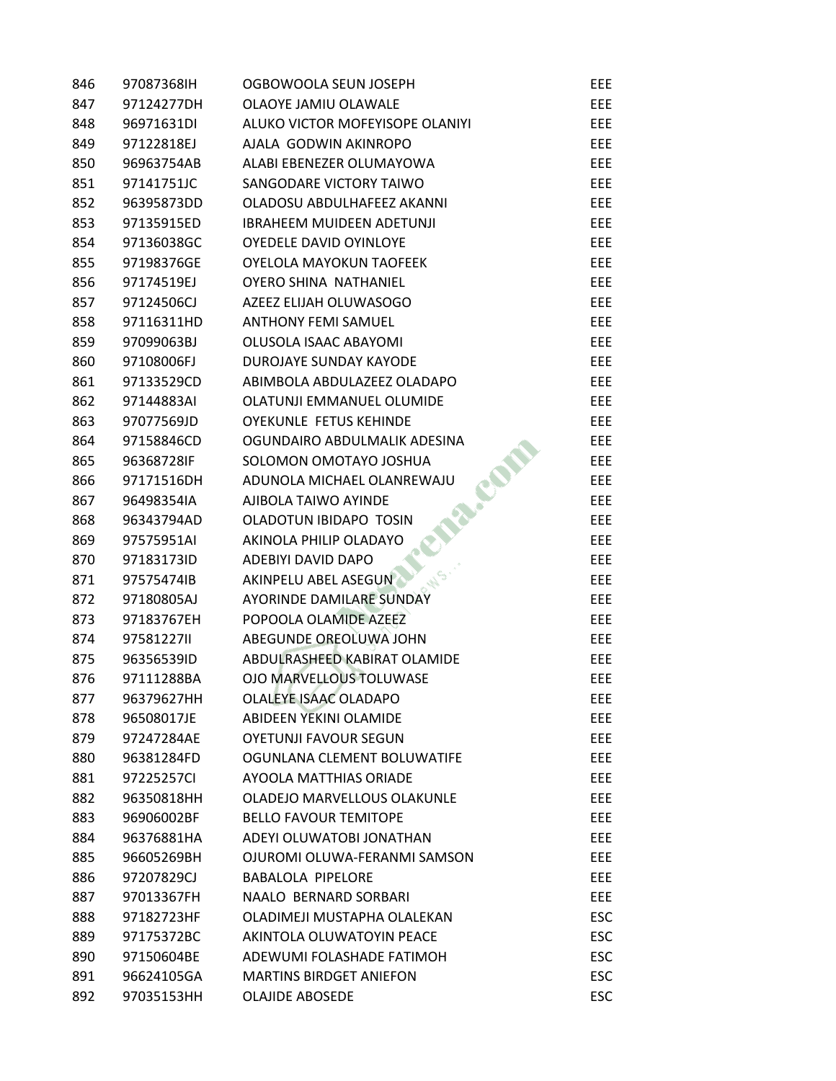| 846 | 97087368IH | OGBOWOOLA SEUN JOSEPH            | EEE.       |
|-----|------------|----------------------------------|------------|
| 847 | 97124277DH | OLAOYE JAMIU OLAWALE             | <b>EEE</b> |
| 848 | 96971631DI | ALUKO VICTOR MOFEYISOPE OLANIYI  | EEE        |
| 849 | 97122818EJ | AJALA GODWIN AKINROPO            | EEE        |
| 850 | 96963754AB | ALABI EBENEZER OLUMAYOWA         | <b>EEE</b> |
| 851 | 97141751JC | SANGODARE VICTORY TAIWO          | EEE        |
| 852 | 96395873DD | OLADOSU ABDULHAFEEZ AKANNI       | <b>EEE</b> |
| 853 | 97135915ED | <b>IBRAHEEM MUIDEEN ADETUNJI</b> | EEE        |
| 854 | 97136038GC | OYEDELE DAVID OYINLOYE           | <b>EEE</b> |
| 855 | 97198376GE | <b>OYELOLA MAYOKUN TAOFEEK</b>   | <b>EEE</b> |
| 856 | 97174519EJ | <b>OYERO SHINA NATHANIEL</b>     | EEE        |
| 857 | 97124506CJ | AZEEZ ELIJAH OLUWASOGO           | EEE        |
| 858 | 97116311HD | <b>ANTHONY FEMI SAMUEL</b>       | EEE        |
| 859 | 97099063BJ | OLUSOLA ISAAC ABAYOMI            | <b>EEE</b> |
| 860 | 97108006FJ | DUROJAYE SUNDAY KAYODE           | EEE.       |
| 861 | 97133529CD | ABIMBOLA ABDULAZEEZ OLADAPO      | EEE.       |
| 862 | 97144883AI | OLATUNJI EMMANUEL OLUMIDE        | <b>EEE</b> |
| 863 | 97077569JD | <b>OYEKUNLE FETUS KEHINDE</b>    | EEE        |
| 864 | 97158846CD | OGUNDAIRO ABDULMALIK ADESINA     | <b>EEE</b> |
| 865 | 96368728IF | SOLOMON OMOTAYO JOSHUA           | EEE        |
| 866 | 97171516DH | ADUNOLA MICHAEL OLANREWAJU       | EEE.       |
| 867 | 96498354IA | AJIBOLA TAIWO AYINDE             | <b>EEE</b> |
| 868 | 96343794AD | OLADOTUN IBIDAPO TOSIN           | <b>EEE</b> |
| 869 | 97575951AI | AKINOLA PHILIP OLADAYO           | <b>EEE</b> |
| 870 | 97183173ID | ADEBIYI DAVID DAPO               | EEE        |
| 871 | 97575474IB | AKINPELU ABEL ASEGUN             | EEE        |
| 872 | 97180805AJ | AYORINDE DAMILARE SUNDAY         | EEE        |
| 873 | 97183767EH | POPOOLA OLAMIDE AZEEZ            | <b>EEE</b> |
| 874 | 9758122711 | ABEGUNDE OREOLUWA JOHN           | <b>EEE</b> |
| 875 | 96356539ID | ABDULRASHEED KABIRAT OLAMIDE     | EEE        |
| 876 | 97111288BA | OJO MARVELLOUS TOLUWASE          | EEE.       |
| 877 | 96379627HH | OLALEYE ISAAC OLADAPO            | EEE        |
| 878 | 96508017JE | ABIDEEN YEKINI OLAMIDE           | EEE        |
| 879 | 97247284AE | <b>OYETUNJI FAVOUR SEGUN</b>     | EEE.       |
| 880 | 96381284FD | OGUNLANA CLEMENT BOLUWATIFE      | EEE.       |
| 881 | 97225257CI | AYOOLA MATTHIAS ORIADE           | <b>EEE</b> |
| 882 | 96350818HH | OLADEJO MARVELLOUS OLAKUNLE      | EEE        |
| 883 | 96906002BF | <b>BELLO FAVOUR TEMITOPE</b>     | EEE        |
| 884 | 96376881HA | ADEYI OLUWATOBI JONATHAN         | EEE        |
| 885 | 96605269BH | OJUROMI OLUWA-FERANMI SAMSON     | EEE.       |
| 886 | 97207829CJ | BABALOLA PIPELORE                | EEE        |
| 887 | 97013367FH | NAALO BERNARD SORBARI            | EEE        |
| 888 | 97182723HF | OLADIMEJI MUSTAPHA OLALEKAN      | <b>ESC</b> |
| 889 | 97175372BC | AKINTOLA OLUWATOYIN PEACE        | <b>ESC</b> |
| 890 | 97150604BE | ADEWUMI FOLASHADE FATIMOH        | <b>ESC</b> |
| 891 | 96624105GA | <b>MARTINS BIRDGET ANIEFON</b>   | <b>ESC</b> |
| 892 | 97035153HH | <b>OLAJIDE ABOSEDE</b>           | <b>ESC</b> |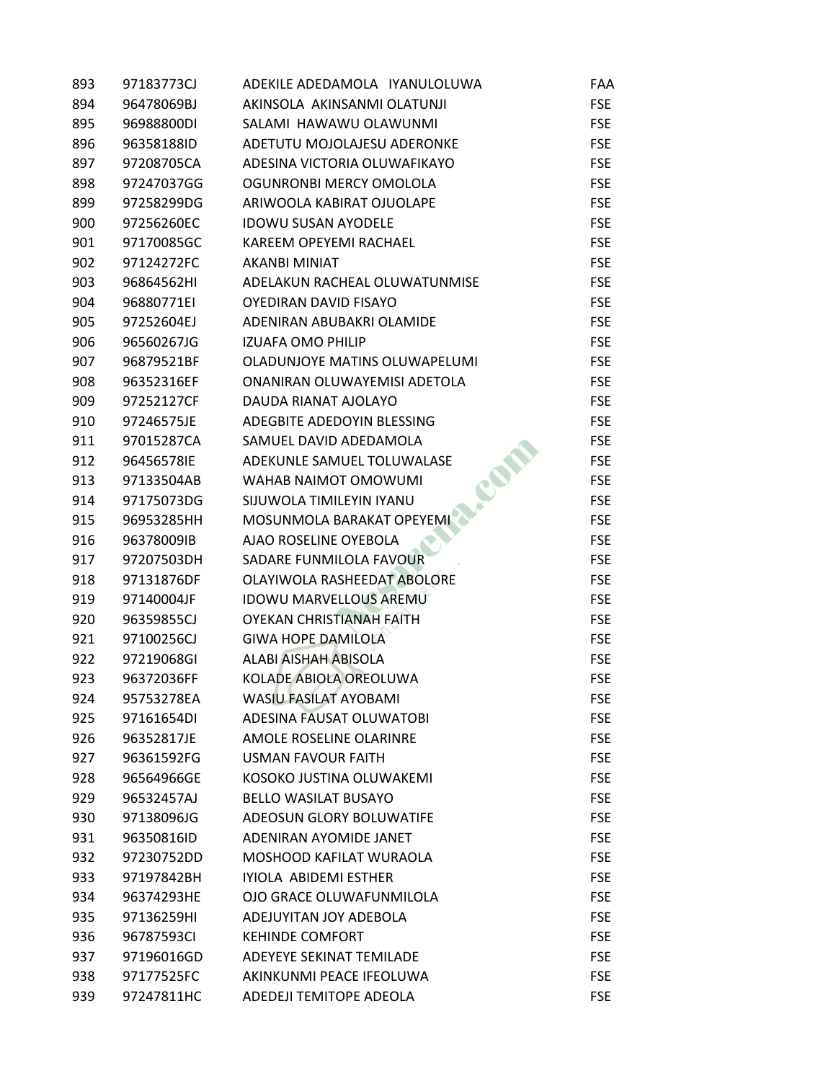| 893 | 97183773CJ | ADEKILE ADEDAMOLA IYANULOLUWA   | <b>FAA</b> |
|-----|------------|---------------------------------|------------|
| 894 | 96478069BJ | AKINSOLA AKINSANMI OLATUNJI     | <b>FSE</b> |
| 895 | 96988800DI | SALAMI HAWAWU OLAWUNMI          | <b>FSE</b> |
| 896 | 96358188ID | ADETUTU MOJOLAJESU ADERONKE     | <b>FSE</b> |
| 897 | 97208705CA | ADESINA VICTORIA OLUWAFIKAYO    | <b>FSE</b> |
| 898 | 97247037GG | OGUNRONBI MERCY OMOLOLA         | <b>FSE</b> |
| 899 | 97258299DG | ARIWOOLA KABIRAT OJUOLAPE       | <b>FSE</b> |
| 900 | 97256260EC | <b>IDOWU SUSAN AYODELE</b>      | <b>FSE</b> |
| 901 | 97170085GC | <b>KAREEM OPEYEMI RACHAEL</b>   | <b>FSE</b> |
| 902 | 97124272FC | <b>AKANBI MINIAT</b>            | <b>FSE</b> |
| 903 | 96864562HI | ADELAKUN RACHEAL OLUWATUNMISE   | <b>FSE</b> |
| 904 | 96880771EI | <b>OYEDIRAN DAVID FISAYO</b>    | <b>FSE</b> |
| 905 | 97252604EJ | ADENIRAN ABUBAKRI OLAMIDE       | <b>FSE</b> |
| 906 | 96560267JG | <b>IZUAFA OMO PHILIP</b>        | <b>FSE</b> |
| 907 | 96879521BF | OLADUNJOYE MATINS OLUWAPELUMI   | <b>FSE</b> |
| 908 | 96352316EF | ONANIRAN OLUWAYEMISI ADETOLA    | <b>FSE</b> |
| 909 | 97252127CF | DAUDA RIANAT AJOLAYO            | <b>FSE</b> |
| 910 | 97246575JE | ADEGBITE ADEDOYIN BLESSING      | <b>FSE</b> |
| 911 | 97015287CA | SAMUEL DAVID ADEDAMOLA          | <b>FSE</b> |
| 912 | 96456578IE | ADEKUNLE SAMUEL TOLUWALASE      | <b>FSE</b> |
| 913 | 97133504AB | <b>WAHAB NAIMOT OMOWUMI</b>     | <b>FSE</b> |
| 914 | 97175073DG | SIJUWOLA TIMILEYIN IYANU        | <b>FSE</b> |
| 915 | 96953285HH | MOSUNMOLA BARAKAT OPEYEMI       | <b>FSE</b> |
| 916 | 96378009IB | AJAO ROSELINE OYEBOLA           | <b>FSE</b> |
| 917 | 97207503DH | SADARE FUNMILOLA FAVOUR         | <b>FSE</b> |
| 918 | 97131876DF | OLAYIWOLA RASHEEDAT ABOLORE     | <b>FSE</b> |
| 919 | 97140004JF | <b>IDOWU MARVELLOUS AREMU</b>   | <b>FSE</b> |
| 920 | 96359855CJ | <b>OYEKAN CHRISTIANAH FAITH</b> | <b>FSE</b> |
| 921 | 97100256CJ | <b>GIWA HOPE DAMILOLA</b>       | <b>FSE</b> |
| 922 | 97219068GI | <b>ALABI AISHAH ABISOLA</b>     | <b>FSE</b> |
| 923 | 96372036FF | KOLADE ABIOLA OREOLUWA          | <b>FSE</b> |
| 924 | 95753278EA | WASIU FASILAT AYOBAMI           | <b>FSE</b> |
| 925 | 97161654DI | ADESINA FAUSAT OLUWATOBI        | <b>FSE</b> |
| 926 | 96352817JE | AMOLE ROSELINE OLARINRE         | <b>FSE</b> |
| 927 | 96361592FG | <b>USMAN FAVOUR FAITH</b>       | <b>FSE</b> |
| 928 | 96564966GE | KOSOKO JUSTINA OLUWAKEMI        | <b>FSE</b> |
| 929 | 96532457AJ | <b>BELLO WASILAT BUSAYO</b>     | <b>FSE</b> |
| 930 | 97138096JG | ADEOSUN GLORY BOLUWATIFE        | <b>FSE</b> |
| 931 | 96350816ID | ADENIRAN AYOMIDE JANET          | <b>FSE</b> |
| 932 | 97230752DD | MOSHOOD KAFILAT WURAOLA         | <b>FSE</b> |
| 933 | 97197842BH | IYIOLA ABIDEMI ESTHER           | <b>FSE</b> |
| 934 | 96374293HE | OJO GRACE OLUWAFUNMILOLA        | <b>FSE</b> |
| 935 | 97136259HI | ADEJUYITAN JOY ADEBOLA          | <b>FSE</b> |
| 936 | 96787593CI | <b>KEHINDE COMFORT</b>          | <b>FSE</b> |
| 937 | 97196016GD | ADEYEYE SEKINAT TEMILADE        | <b>FSE</b> |
| 938 | 97177525FC | AKINKUNMI PEACE IFEOLUWA        | <b>FSE</b> |
| 939 | 97247811HC | ADEDEJI TEMITOPE ADEOLA         | <b>FSE</b> |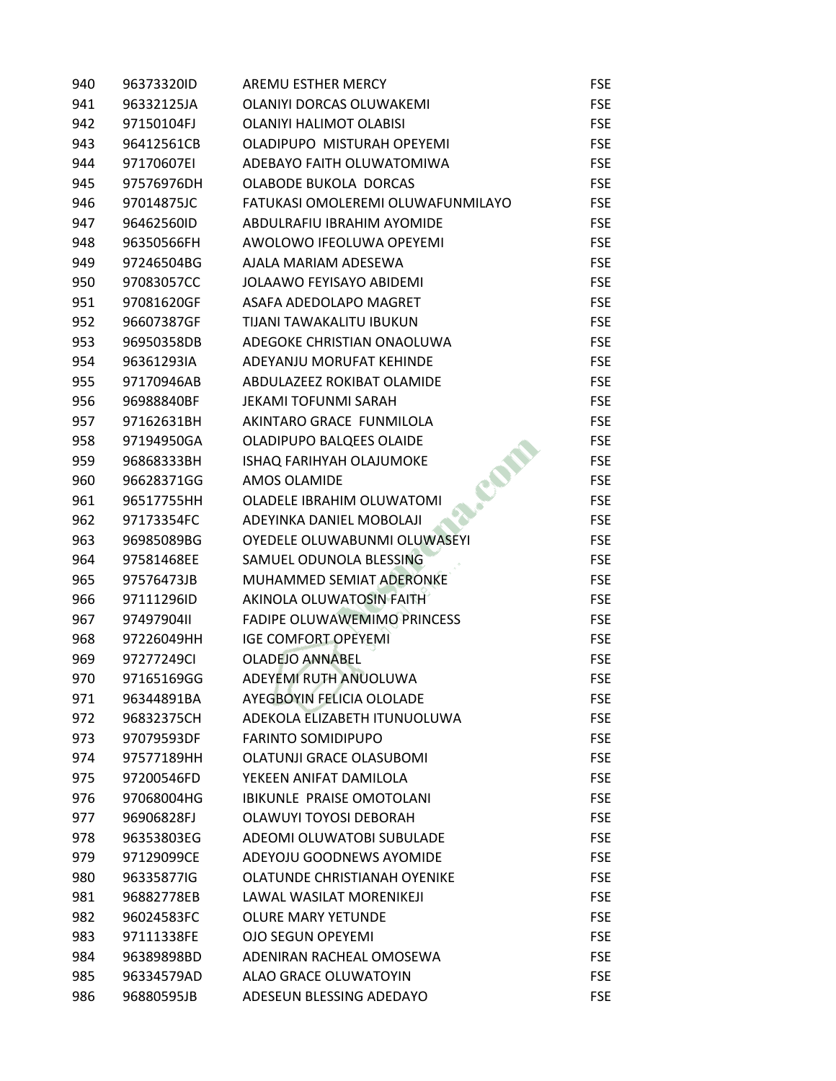| 940 | 96373320ID | <b>AREMU ESTHER MERCY</b>          | <b>FSE</b> |
|-----|------------|------------------------------------|------------|
| 941 | 96332125JA | OLANIYI DORCAS OLUWAKEMI           | <b>FSE</b> |
| 942 | 97150104FJ | OLANIYI HALIMOT OLABISI            | <b>FSE</b> |
| 943 | 96412561CB | OLADIPUPO MISTURAH OPEYEMI         | <b>FSE</b> |
| 944 | 97170607EI | ADEBAYO FAITH OLUWATOMIWA          | <b>FSE</b> |
| 945 | 97576976DH | <b>OLABODE BUKOLA DORCAS</b>       | <b>FSE</b> |
| 946 | 97014875JC | FATUKASI OMOLEREMI OLUWAFUNMILAYO  | <b>FSE</b> |
| 947 | 96462560ID | ABDULRAFIU IBRAHIM AYOMIDE         | <b>FSE</b> |
| 948 | 96350566FH | AWOLOWO IFEOLUWA OPEYEMI           | <b>FSE</b> |
| 949 | 97246504BG | AJALA MARIAM ADESEWA               | <b>FSE</b> |
| 950 | 97083057CC | <b>JOLAAWO FEYISAYO ABIDEMI</b>    | <b>FSE</b> |
| 951 | 97081620GF | ASAFA ADEDOLAPO MAGRET             | <b>FSE</b> |
| 952 | 96607387GF | TIJANI TAWAKALITU IBUKUN           | <b>FSE</b> |
| 953 | 96950358DB | ADEGOKE CHRISTIAN ONAOLUWA         | <b>FSE</b> |
| 954 | 96361293IA | ADEYANJU MORUFAT KEHINDE           | <b>FSE</b> |
| 955 | 97170946AB | ABDULAZEEZ ROKIBAT OLAMIDE         | <b>FSE</b> |
| 956 | 96988840BF | <b>JEKAMI TOFUNMI SARAH</b>        | <b>FSE</b> |
| 957 | 97162631BH | AKINTARO GRACE FUNMILOLA           | <b>FSE</b> |
| 958 | 97194950GA | OLADIPUPO BALQEES OLAIDE           | <b>FSE</b> |
| 959 | 96868333BH | ISHAQ FARIHYAH OLAJUMOKE           | <b>FSE</b> |
| 960 | 96628371GG | <b>AMOS OLAMIDE</b>                | <b>FSE</b> |
| 961 | 96517755HH | OLADELE IBRAHIM OLUWATOMI          | <b>FSE</b> |
| 962 | 97173354FC | ADEYINKA DANIEL MOBOLAJI           | <b>FSE</b> |
| 963 | 96985089BG | OYEDELE OLUWABUNMI OLUWASEYI       | <b>FSE</b> |
| 964 | 97581468EE | SAMUEL ODUNOLA BLESSING            | <b>FSE</b> |
| 965 | 97576473JB | MUHAMMED SEMIAT ADERONKE           | <b>FSE</b> |
| 966 | 97111296ID | AKINOLA OLUWATOSIN FAITH           | <b>FSE</b> |
| 967 | 9749790411 | <b>FADIPE OLUWAWEMIMO PRINCESS</b> | <b>FSE</b> |
| 968 | 97226049HH | <b>IGE COMFORT OPEYEMI</b>         | <b>FSE</b> |
| 969 | 97277249CI | <b>OLADEJO ANNABEL</b>             | <b>FSE</b> |
| 970 | 97165169GG | ADEYEMI RUTH ANUOLUWA              | <b>FSE</b> |
| 971 | 96344891BA | <b>AYEGBOYIN FELICIA OLOLADE</b>   | <b>FSE</b> |
| 972 | 96832375CH | ADEKOLA ELIZABETH ITUNUOLUWA       | <b>FSE</b> |
| 973 | 97079593DF | <b>FARINTO SOMIDIPUPO</b>          | <b>FSE</b> |
| 974 | 97577189HH | OLATUNJI GRACE OLASUBOMI           | <b>FSE</b> |
| 975 | 97200546FD | YEKEEN ANIFAT DAMILOLA             | <b>FSE</b> |
| 976 | 97068004HG | <b>IBIKUNLE PRAISE OMOTOLANI</b>   | <b>FSE</b> |
| 977 | 96906828FJ | <b>OLAWUYI TOYOSI DEBORAH</b>      | <b>FSE</b> |
| 978 | 96353803EG | ADEOMI OLUWATOBI SUBULADE          | <b>FSE</b> |
| 979 | 97129099CE | ADEYOJU GOODNEWS AYOMIDE           | <b>FSE</b> |
| 980 | 96335877IG | OLATUNDE CHRISTIANAH OYENIKE       | <b>FSE</b> |
| 981 | 96882778EB | LAWAL WASILAT MORENIKEJI           | <b>FSE</b> |
| 982 | 96024583FC | <b>OLURE MARY YETUNDE</b>          | <b>FSE</b> |
| 983 | 97111338FE | <b>OJO SEGUN OPEYEMI</b>           | <b>FSE</b> |
| 984 | 96389898BD | ADENIRAN RACHEAL OMOSEWA           | <b>FSE</b> |
| 985 | 96334579AD | ALAO GRACE OLUWATOYIN              | <b>FSE</b> |
| 986 | 96880595JB | ADESEUN BLESSING ADEDAYO           | <b>FSE</b> |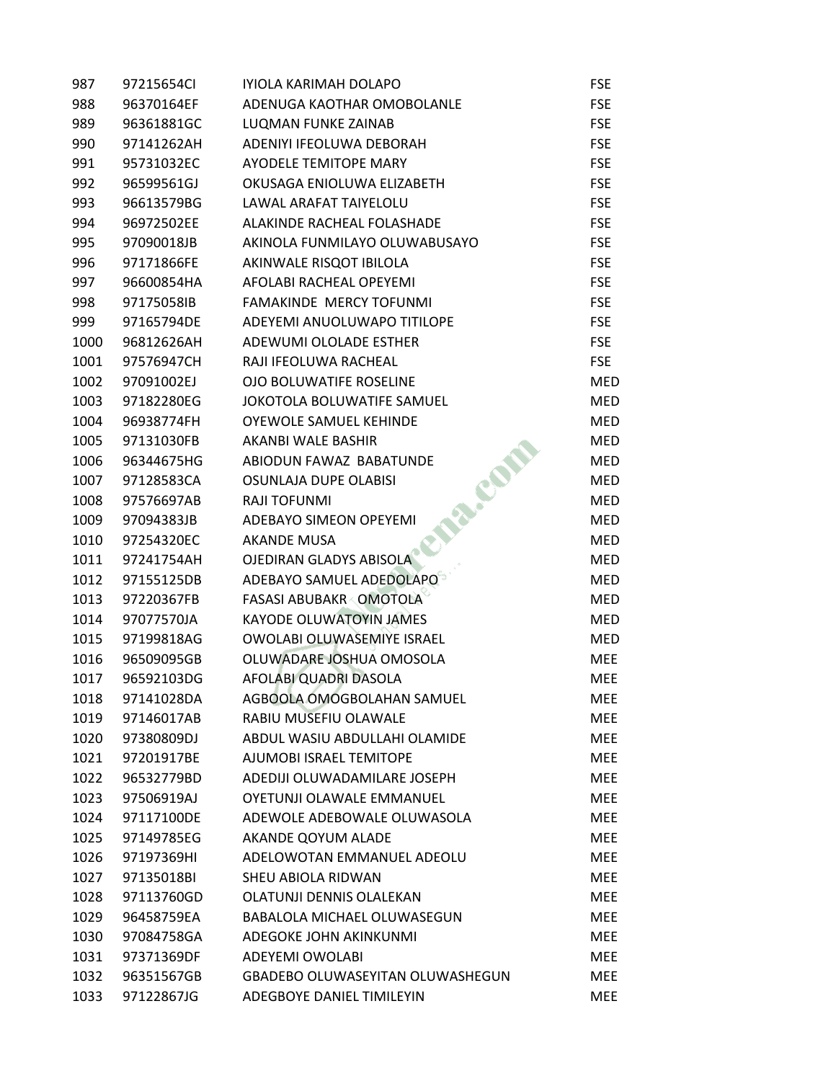| 987  | 97215654CI | IYIOLA KARIMAH DOLAPO              | <b>FSE</b> |
|------|------------|------------------------------------|------------|
| 988  | 96370164EF | ADENUGA KAOTHAR OMOBOLANLE         | <b>FSE</b> |
| 989  | 96361881GC | <b>LUQMAN FUNKE ZAINAB</b>         | <b>FSE</b> |
| 990  | 97141262AH | ADENIYI IFEOLUWA DEBORAH           | <b>FSE</b> |
| 991  | 95731032EC | <b>AYODELE TEMITOPE MARY</b>       | <b>FSE</b> |
| 992  | 96599561GJ | OKUSAGA ENIOLUWA ELIZABETH         | <b>FSE</b> |
| 993  | 96613579BG | LAWAL ARAFAT TAIYELOLU             | <b>FSE</b> |
| 994  | 96972502EE | ALAKINDE RACHEAL FOLASHADE         | <b>FSE</b> |
| 995  | 97090018JB | AKINOLA FUNMILAYO OLUWABUSAYO      | <b>FSE</b> |
| 996  | 97171866FE | AKINWALE RISQOT IBILOLA            | <b>FSE</b> |
| 997  | 96600854HA | AFOLABI RACHEAL OPEYEMI            | <b>FSE</b> |
| 998  | 97175058IB | FAMAKINDE MERCY TOFUNMI            | <b>FSE</b> |
| 999  | 97165794DE | ADEYEMI ANUOLUWAPO TITILOPE        | <b>FSE</b> |
| 1000 | 96812626AH | ADEWUMI OLOLADE ESTHER             | <b>FSE</b> |
| 1001 | 97576947CH | RAJI IFEOLUWA RACHEAL              | <b>FSE</b> |
| 1002 | 97091002EJ | <b>OJO BOLUWATIFE ROSELINE</b>     | <b>MED</b> |
| 1003 | 97182280EG | JOKOTOLA BOLUWATIFE SAMUEL         | <b>MED</b> |
| 1004 | 96938774FH | OYEWOLE SAMUEL KEHINDE             | <b>MED</b> |
| 1005 | 97131030FB | AKANBI WALE BASHIR                 | <b>MED</b> |
| 1006 | 96344675HG | ABIODUN FAWAZ BABATUNDE            | <b>MED</b> |
| 1007 | 97128583CA | COM<br>OSUNLAJA DUPE OLABISI       | <b>MED</b> |
| 1008 | 97576697AB | RAJI TOFUNMI                       | <b>MED</b> |
| 1009 | 97094383JB | ADEBAYO SIMEON OPEYEMI             | <b>MED</b> |
| 1010 | 97254320EC | <b>AKANDE MUSA</b>                 | <b>MED</b> |
| 1011 | 97241754AH | OJEDIRAN GLADYS ABISOLA            | <b>MED</b> |
| 1012 | 97155125DB | ADEBAYO SAMUEL ADEDOLAPO           | <b>MED</b> |
| 1013 | 97220367FB | <b>FASASI ABUBAKR OMOTOLA</b>      | <b>MED</b> |
| 1014 | 97077570JA | <b>KAYODE OLUWATOYIN JAMES</b>     | <b>MED</b> |
| 1015 | 97199818AG | OWOLABI OLUWASEMIYE ISRAEL         | <b>MED</b> |
| 1016 | 96509095GB | OLUWADARE JOSHUA OMOSOLA           | <b>MEE</b> |
| 1017 | 96592103DG | AFOLABI QUADRI DASOLA              | <b>MEE</b> |
| 1018 | 97141028DA | AGBOOLA OMOGBOLAHAN SAMUEL         | MEE        |
| 1019 | 97146017AB | RABIU MUSEFIU OLAWALE              | <b>MEE</b> |
| 1020 | 97380809DJ | ABDUL WASIU ABDULLAHI OLAMIDE      | MEE        |
| 1021 | 97201917BE | AJUMOBI ISRAEL TEMITOPE            | <b>MEE</b> |
| 1022 | 96532779BD | ADEDIJI OLUWADAMILARE JOSEPH       | <b>MEE</b> |
| 1023 | 97506919AJ | OYETUNJI OLAWALE EMMANUEL          | <b>MEE</b> |
| 1024 | 97117100DE | ADEWOLE ADEBOWALE OLUWASOLA        | <b>MEE</b> |
| 1025 | 97149785EG | AKANDE QOYUM ALADE                 | <b>MEE</b> |
| 1026 | 97197369HI | ADELOWOTAN EMMANUEL ADEOLU         | <b>MEE</b> |
| 1027 | 97135018BI | SHEU ABIOLA RIDWAN                 | <b>MEE</b> |
| 1028 | 97113760GD | OLATUNJI DENNIS OLALEKAN           | <b>MEE</b> |
| 1029 | 96458759EA | <b>BABALOLA MICHAEL OLUWASEGUN</b> | <b>MEE</b> |
| 1030 | 97084758GA | ADEGOKE JOHN AKINKUNMI             | <b>MEE</b> |
| 1031 | 97371369DF | ADEYEMI OWOLABI                    | <b>MEE</b> |
| 1032 | 96351567GB | GBADEBO OLUWASEYITAN OLUWASHEGUN   | MEE        |
| 1033 | 97122867JG | ADEGBOYE DANIEL TIMILEYIN          | <b>MEE</b> |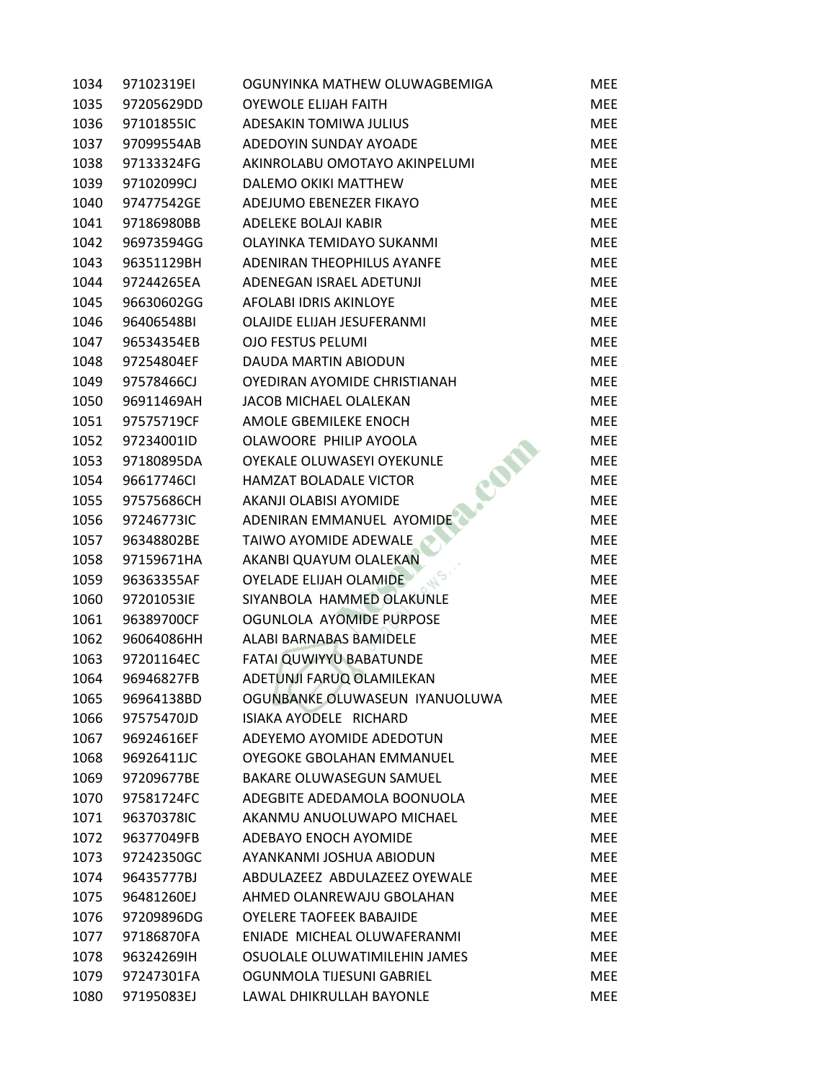| 1034 | 97102319EI | OGUNYINKA MATHEW OLUWAGBEMIGA   | MEE        |
|------|------------|---------------------------------|------------|
| 1035 | 97205629DD | <b>OYEWOLE ELIJAH FAITH</b>     | <b>MEE</b> |
| 1036 | 97101855IC | ADESAKIN TOMIWA JULIUS          | <b>MEE</b> |
| 1037 | 97099554AB | ADEDOYIN SUNDAY AYOADE          | <b>MEE</b> |
| 1038 | 97133324FG | AKINROLABU OMOTAYO AKINPELUMI   | <b>MEE</b> |
| 1039 | 97102099CJ | DALEMO OKIKI MATTHEW            | <b>MEE</b> |
| 1040 | 97477542GE | ADEJUMO EBENEZER FIKAYO         | <b>MEE</b> |
| 1041 | 97186980BB | ADELEKE BOLAJI KABIR            | <b>MEE</b> |
| 1042 | 96973594GG | OLAYINKA TEMIDAYO SUKANMI       | <b>MEE</b> |
| 1043 | 96351129BH | ADENIRAN THEOPHILUS AYANFE      | <b>MEE</b> |
| 1044 | 97244265EA | ADENEGAN ISRAEL ADETUNJI        | <b>MEE</b> |
| 1045 | 96630602GG | AFOLABI IDRIS AKINLOYE          | <b>MEE</b> |
| 1046 | 96406548BI | OLAJIDE ELIJAH JESUFERANMI      | <b>MEE</b> |
| 1047 | 96534354EB | <b>OJO FESTUS PELUMI</b>        | <b>MEE</b> |
| 1048 | 97254804EF | DAUDA MARTIN ABIODUN            | <b>MEE</b> |
| 1049 | 97578466CJ | OYEDIRAN AYOMIDE CHRISTIANAH    | <b>MEE</b> |
| 1050 | 96911469AH | JACOB MICHAEL OLALEKAN          | <b>MEE</b> |
| 1051 | 97575719CF | AMOLE GBEMILEKE ENOCH           | <b>MEE</b> |
| 1052 | 97234001ID | OLAWOORE PHILIP AYOOLA          | <b>MEE</b> |
| 1053 | 97180895DA | OYEKALE OLUWASEYI OYEKUNLE      | <b>MEE</b> |
| 1054 | 96617746CI | HAMZAT BOLADALE VICTOR          | <b>MEE</b> |
| 1055 | 97575686CH | AKANJI OLABISI AYOMIDE          | <b>MEE</b> |
| 1056 | 97246773IC | ADENIRAN EMMANUEL AYOMIDE       | <b>MEE</b> |
| 1057 | 96348802BE | TAIWO AYOMIDE ADEWALE           | <b>MEE</b> |
| 1058 | 97159671HA | AKANBI QUAYUM OLALEKAN          | <b>MEE</b> |
| 1059 | 96363355AF | <b>OYELADE ELIJAH OLAMIDE</b>   | <b>MEE</b> |
| 1060 | 97201053IE | SIYANBOLA HAMMED OLAKUNLE       | <b>MEE</b> |
| 1061 | 96389700CF | OGUNLOLA AYOMIDE PURPOSE        | <b>MEE</b> |
| 1062 | 96064086HH | ALABI BARNABAS BAMIDELE         | <b>MEE</b> |
| 1063 | 97201164EC | FATAI QUWIYYU BABATUNDE         | <b>MEE</b> |
| 1064 | 96946827FB | ADETUNJI FARUQ OLAMILEKAN       | <b>MEE</b> |
| 1065 | 96964138BD | OGUNBANKE OLUWASEUN IYANUOLUWA  | MEE        |
| 1066 | 97575470JD | ISIAKA AYODELE RICHARD          | <b>MEE</b> |
| 1067 | 96924616EF | ADEYEMO AYOMIDE ADEDOTUN        | <b>MEE</b> |
| 1068 | 96926411JC | OYEGOKE GBOLAHAN EMMANUEL       | <b>MEE</b> |
| 1069 | 97209677BE | <b>BAKARE OLUWASEGUN SAMUEL</b> | <b>MEE</b> |
| 1070 | 97581724FC | ADEGBITE ADEDAMOLA BOONUOLA     | <b>MEE</b> |
| 1071 | 96370378IC | AKANMU ANUOLUWAPO MICHAEL       | <b>MEE</b> |
| 1072 | 96377049FB | ADEBAYO ENOCH AYOMIDE           | <b>MEE</b> |
| 1073 | 97242350GC | AYANKANMI JOSHUA ABIODUN        | <b>MEE</b> |
| 1074 | 96435777BJ | ABDULAZEEZ ABDULAZEEZ OYEWALE   | <b>MEE</b> |
| 1075 | 96481260EJ | AHMED OLANREWAJU GBOLAHAN       | <b>MEE</b> |
| 1076 | 97209896DG | <b>OYELERE TAOFEEK BABAJIDE</b> | <b>MEE</b> |
| 1077 | 97186870FA | ENIADE MICHEAL OLUWAFERANMI     | <b>MEE</b> |
| 1078 | 96324269IH | OSUOLALE OLUWATIMILEHIN JAMES   | <b>MEE</b> |
| 1079 | 97247301FA | OGUNMOLA TIJESUNI GABRIEL       | <b>MEE</b> |
| 1080 | 97195083EJ | LAWAL DHIKRULLAH BAYONLE        | MEE        |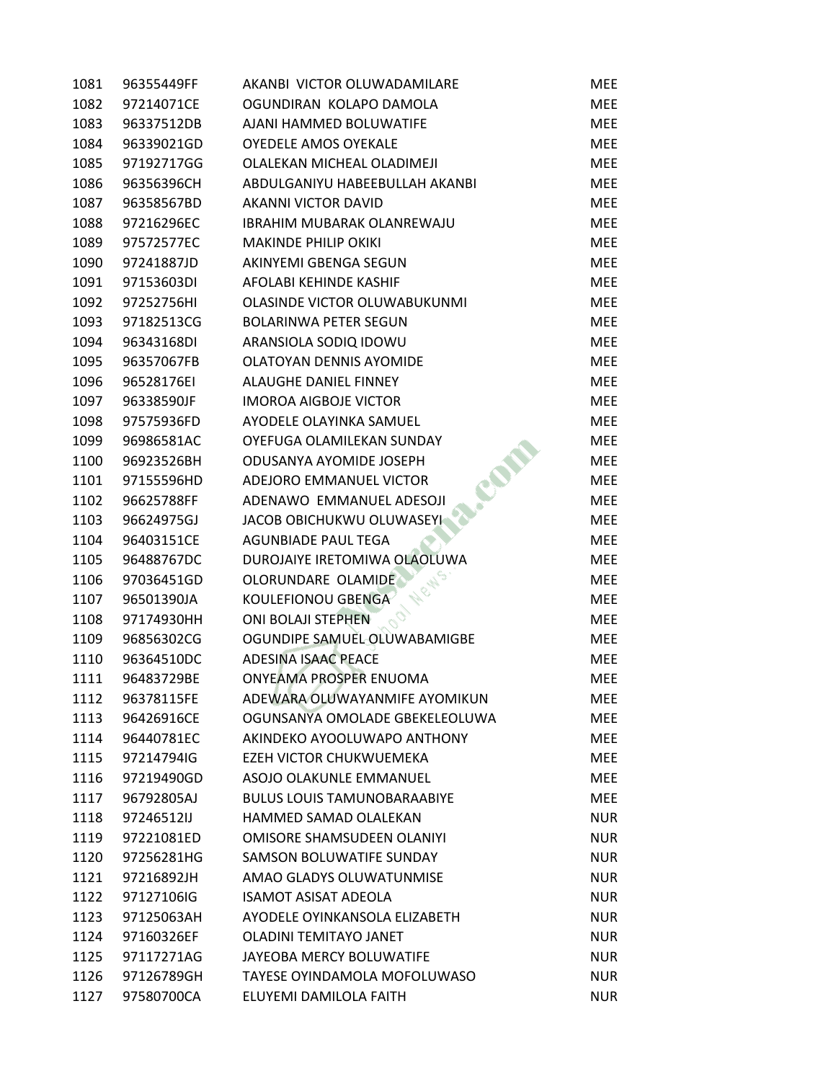| 1081 | 96355449FF | AKANBI VICTOR OLUWADAMILARE        | <b>MEE</b> |
|------|------------|------------------------------------|------------|
| 1082 | 97214071CE | OGUNDIRAN KOLAPO DAMOLA            | <b>MEE</b> |
| 1083 | 96337512DB | AJANI HAMMED BOLUWATIFE            | <b>MEE</b> |
| 1084 | 96339021GD | <b>OYEDELE AMOS OYEKALE</b>        | <b>MEE</b> |
| 1085 | 97192717GG | OLALEKAN MICHEAL OLADIMEJI         | <b>MEE</b> |
| 1086 | 96356396CH | ABDULGANIYU HABEEBULLAH AKANBI     | <b>MEE</b> |
| 1087 | 96358567BD | AKANNI VICTOR DAVID                | <b>MEE</b> |
| 1088 | 97216296EC | IBRAHIM MUBARAK OLANREWAJU         | <b>MEE</b> |
| 1089 | 97572577EC | <b>MAKINDE PHILIP OKIKI</b>        | <b>MEE</b> |
| 1090 | 97241887JD | AKINYEMI GBENGA SEGUN              | <b>MEE</b> |
| 1091 | 97153603DI | AFOLABI KEHINDE KASHIF             | <b>MEE</b> |
| 1092 | 97252756HI | OLASINDE VICTOR OLUWABUKUNMI       | <b>MEE</b> |
| 1093 | 97182513CG | <b>BOLARINWA PETER SEGUN</b>       | <b>MEE</b> |
| 1094 | 96343168DI | ARANSIOLA SODIQ IDOWU              | <b>MEE</b> |
| 1095 | 96357067FB | OLATOYAN DENNIS AYOMIDE            | <b>MEE</b> |
| 1096 | 96528176EI | ALAUGHE DANIEL FINNEY              | <b>MEE</b> |
| 1097 | 96338590JF | <b>IMOROA AIGBOJE VICTOR</b>       | <b>MEE</b> |
| 1098 | 97575936FD | AYODELE OLAYINKA SAMUEL            | <b>MEE</b> |
| 1099 | 96986581AC | OYEFUGA OLAMILEKAN SUNDAY          | <b>MEE</b> |
| 1100 | 96923526BH | ODUSANYA AYOMIDE JOSEPH            | <b>MEE</b> |
| 1101 | 97155596HD | ADEJORO EMMANUEL VICTOR            | <b>MEE</b> |
| 1102 | 96625788FF | ADENAWO EMMANUEL ADESOJI           | <b>MEE</b> |
| 1103 | 96624975GJ | JACOB OBICHUKWU OLUWASEYI          | <b>MEE</b> |
| 1104 | 96403151CE | <b>AGUNBIADE PAUL TEGA</b>         | <b>MEE</b> |
| 1105 | 96488767DC | DUROJAIYE IRETOMIWA OLAOLUWA       | <b>MEE</b> |
| 1106 | 97036451GD | OLORUNDARE OLAMIDE                 | <b>MEE</b> |
| 1107 | 96501390JA | KOULEFIONOU GBENGA                 | <b>MEE</b> |
| 1108 | 97174930HH | <b>ONI BOLAJI STEPHEN</b>          | <b>MEE</b> |
| 1109 | 96856302CG | OGUNDIPE SAMUEL OLUWABAMIGBE       | <b>MEE</b> |
| 1110 | 96364510DC | ADESINA ISAAC PEACE                | <b>MEE</b> |
| 1111 | 96483729BE | ONYEAMA PROSPER ENUOMA             | <b>MEE</b> |
| 1112 | 96378115FE | ADEWARA OLUWAYANMIFE AYOMIKUN      | MEE        |
| 1113 | 96426916CE | OGUNSANYA OMOLADE GBEKELEOLUWA     | <b>MEE</b> |
| 1114 | 96440781EC | AKINDEKO AYOOLUWAPO ANTHONY        | <b>MEE</b> |
| 1115 | 97214794IG | EZEH VICTOR CHUKWUEMEKA            | <b>MEE</b> |
| 1116 | 97219490GD | ASOJO OLAKUNLE EMMANUEL            | <b>MEE</b> |
| 1117 | 96792805AJ | <b>BULUS LOUIS TAMUNOBARAABIYE</b> | <b>MEE</b> |
| 1118 | 97246512IJ | HAMMED SAMAD OLALEKAN              | <b>NUR</b> |
| 1119 | 97221081ED | OMISORE SHAMSUDEEN OLANIYI         | <b>NUR</b> |
| 1120 | 97256281HG | SAMSON BOLUWATIFE SUNDAY           | <b>NUR</b> |
| 1121 | 97216892JH | AMAO GLADYS OLUWATUNMISE           | <b>NUR</b> |
| 1122 | 97127106IG | <b>ISAMOT ASISAT ADEOLA</b>        | <b>NUR</b> |
| 1123 | 97125063AH | AYODELE OYINKANSOLA ELIZABETH      | <b>NUR</b> |
| 1124 | 97160326EF | OLADINI TEMITAYO JANET             | <b>NUR</b> |
| 1125 | 97117271AG | JAYEOBA MERCY BOLUWATIFE           | <b>NUR</b> |
| 1126 | 97126789GH | TAYESE OYINDAMOLA MOFOLUWASO       | <b>NUR</b> |
| 1127 | 97580700CA | ELUYEMI DAMILOLA FAITH             | <b>NUR</b> |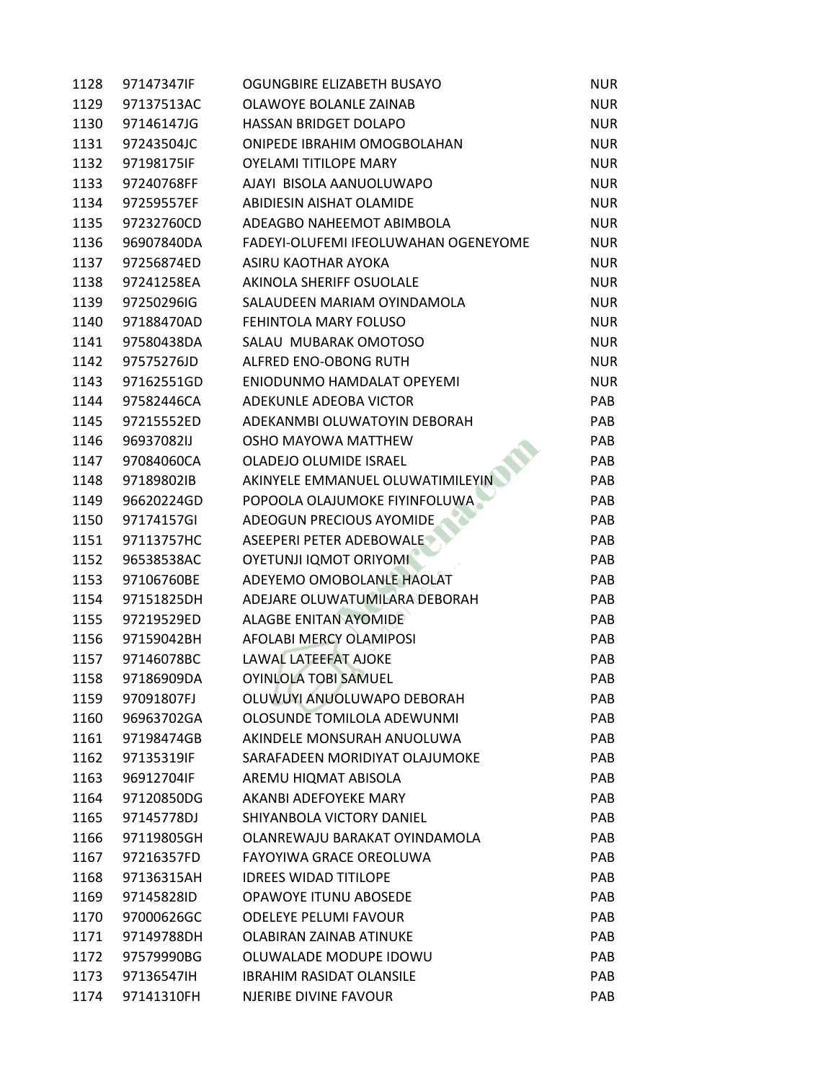| 1128 | 97147347IF | OGUNGBIRE ELIZABETH BUSAYO           | <b>NUR</b> |
|------|------------|--------------------------------------|------------|
| 1129 | 97137513AC | OLAWOYE BOLANLE ZAINAB               | <b>NUR</b> |
| 1130 | 97146147JG | HASSAN BRIDGET DOLAPO                | <b>NUR</b> |
| 1131 | 97243504JC | ONIPEDE IBRAHIM OMOGBOLAHAN          | <b>NUR</b> |
| 1132 | 97198175IF | <b>OYELAMI TITILOPE MARY</b>         | <b>NUR</b> |
| 1133 | 97240768FF | AJAYI BISOLA AANUOLUWAPO             | <b>NUR</b> |
| 1134 | 97259557EF | ABIDIESIN AISHAT OLAMIDE             | <b>NUR</b> |
| 1135 | 97232760CD | ADEAGBO NAHEEMOT ABIMBOLA            | <b>NUR</b> |
| 1136 | 96907840DA | FADEYI-OLUFEMI IFEOLUWAHAN OGENEYOME | <b>NUR</b> |
| 1137 | 97256874ED | ASIRU KAOTHAR AYOKA                  | <b>NUR</b> |
| 1138 | 97241258EA | AKINOLA SHERIFF OSUOLALE             | <b>NUR</b> |
| 1139 | 97250296IG | SALAUDEEN MARIAM OYINDAMOLA          | <b>NUR</b> |
| 1140 | 97188470AD | FEHINTOLA MARY FOLUSO                | <b>NUR</b> |
| 1141 | 97580438DA | SALAU MUBARAK OMOTOSO                | <b>NUR</b> |
| 1142 | 97575276JD | ALFRED ENO-OBONG RUTH                | <b>NUR</b> |
| 1143 | 97162551GD | ENIODUNMO HAMDALAT OPEYEMI           | <b>NUR</b> |
| 1144 | 97582446CA | ADEKUNLE ADEOBA VICTOR               | PAB        |
| 1145 | 97215552ED | ADEKANMBI OLUWATOYIN DEBORAH         | PAB        |
| 1146 | 96937082IJ | OSHO MAYOWA MATTHEW                  | PAB        |
| 1147 | 97084060CA | <b>OLADEJO OLUMIDE ISRAEL</b>        | <b>PAB</b> |
| 1148 | 97189802IB | AKINYELE EMMANUEL OLUWATIMILEYIN     | <b>PAB</b> |
| 1149 | 96620224GD | POPOOLA OLAJUMOKE FIYINFOLUWA        | PAB        |
| 1150 | 97174157GI | ADEOGUN PRECIOUS AYOMIDE             | PAB        |
| 1151 | 97113757HC | ASEEPERI PETER ADEBOWALE             | PAB        |
| 1152 | 96538538AC | <b>OYETUNJI IQMOT ORIYOMI</b>        | <b>PAB</b> |
| 1153 | 97106760BE | ADEYEMO OMOBOLANLE HAOLAT            | PAB        |
| 1154 | 97151825DH | ADEJARE OLUWATUMILARA DEBORAH        | PAB        |
| 1155 | 97219529ED | <b>ALAGBE ENITAN AYOMIDE</b>         | PAB        |
| 1156 | 97159042BH | AFOLABI MERCY OLAMIPOSI              | <b>PAB</b> |
| 1157 | 97146078BC | <b>LAWAL LATEEFAT AJOKE</b>          | <b>PAB</b> |
| 1158 | 97186909DA | <b>OYINLOLA TOBI SAMUEL</b>          | PAB        |
| 1159 | 97091807FJ | OLUWUYI ANUOLUWAPO DEBORAH           | PAB        |
| 1160 | 96963702GA | OLOSUNDE TOMILOLA ADEWUNMI           | PAB        |
| 1161 | 97198474GB | AKINDELE MONSURAH ANUOLUWA           | PAB        |
| 1162 | 97135319IF | SARAFADEEN MORIDIYAT OLAJUMOKE       | PAB        |
| 1163 | 96912704IF | AREMU HIQMAT ABISOLA                 | PAB        |
| 1164 | 97120850DG | AKANBI ADEFOYEKE MARY                | PAB        |
| 1165 | 97145778DJ | SHIYANBOLA VICTORY DANIEL            | PAB        |
| 1166 | 97119805GH | OLANREWAJU BARAKAT OYINDAMOLA        | PAB        |
| 1167 | 97216357FD | FAYOYIWA GRACE OREOLUWA              | <b>PAB</b> |
| 1168 | 97136315AH | <b>IDREES WIDAD TITILOPE</b>         | <b>PAB</b> |
| 1169 | 97145828ID | <b>OPAWOYE ITUNU ABOSEDE</b>         | PAB        |
| 1170 | 97000626GC | <b>ODELEYE PELUMI FAVOUR</b>         | PAB        |
| 1171 | 97149788DH | OLABIRAN ZAINAB ATINUKE              | PAB        |
| 1172 | 97579990BG | OLUWALADE MODUPE IDOWU               | PAB        |
| 1173 | 97136547IH | <b>IBRAHIM RASIDAT OLANSILE</b>      | PAB        |
| 1174 | 97141310FH | NJERIBE DIVINE FAVOUR                | PAB        |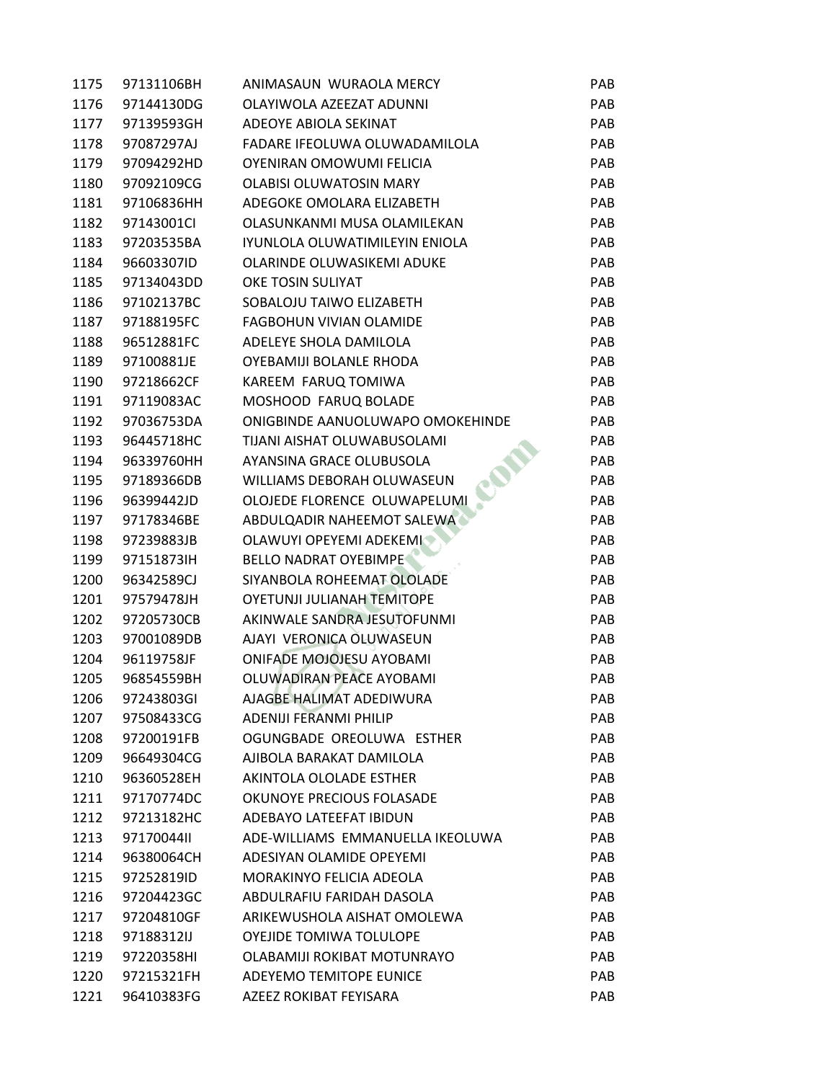| 1175 | 97131106BH | ANIMASAUN WURAOLA MERCY           | <b>PAB</b> |
|------|------------|-----------------------------------|------------|
| 1176 | 97144130DG | OLAYIWOLA AZEEZAT ADUNNI          | PAB        |
| 1177 | 97139593GH | ADEOYE ABIOLA SEKINAT             | PAB        |
| 1178 | 97087297AJ | FADARE IFEOLUWA OLUWADAMILOLA     | PAB        |
| 1179 | 97094292HD | OYENIRAN OMOWUMI FELICIA          | PAB        |
| 1180 | 97092109CG | <b>OLABISI OLUWATOSIN MARY</b>    | PAB        |
| 1181 | 97106836HH | ADEGOKE OMOLARA ELIZABETH         | PAB        |
| 1182 | 97143001Cl | OLASUNKANMI MUSA OLAMILEKAN       | PAB        |
| 1183 | 97203535BA | IYUNLOLA OLUWATIMILEYIN ENIOLA    | PAB        |
| 1184 | 96603307ID | OLARINDE OLUWASIKEMI ADUKE        | PAB        |
| 1185 | 97134043DD | OKE TOSIN SULIYAT                 | PAB        |
| 1186 | 97102137BC | SOBALOJU TAIWO ELIZABETH          | PAB        |
| 1187 | 97188195FC | <b>FAGBOHUN VIVIAN OLAMIDE</b>    | PAB        |
| 1188 | 96512881FC | ADELEYE SHOLA DAMILOLA            | PAB        |
| 1189 | 97100881JE | OYEBAMIJI BOLANLE RHODA           | PAB        |
| 1190 | 97218662CF | KAREEM FARUQ TOMIWA               | <b>PAB</b> |
| 1191 | 97119083AC | MOSHOOD FARUQ BOLADE              | PAB        |
| 1192 | 97036753DA | ONIGBINDE AANUOLUWAPO OMOKEHINDE  | PAB        |
| 1193 | 96445718HC | TIJANI AISHAT OLUWABUSOLAMI       | <b>PAB</b> |
| 1194 | 96339760HH | AYANSINA GRACE OLUBUSOLA          | <b>PAB</b> |
| 1195 | 97189366DB | WILLIAMS DEBORAH OLUWASEUN        | PAB        |
| 1196 | 96399442JD | OLOJEDE FLORENCE OLUWAPELUMI      | PAB        |
| 1197 | 97178346BE | ABDULQADIR NAHEEMOT SALEWA        | PAB        |
| 1198 | 97239883JB | OLAWUYI OPEYEMI ADEKEMI           | PAB        |
| 1199 | 97151873IH | <b>BELLO NADRAT OYEBIMPE</b>      | PAB        |
| 1200 | 96342589CJ | SIYANBOLA ROHEEMAT OLOLADE        | PAB        |
| 1201 | 97579478JH | <b>OYETUNJI JULIANAH TEMITOPE</b> | PAB        |
| 1202 | 97205730CB | AKINWALE SANDRA JESUTOFUNMI       | PAB        |
| 1203 | 97001089DB | AJAYI VERONICA OLUWASEUN          | PAB        |
| 1204 | 96119758JF | ONIFADE MOJOJESU AYOBAMI          | PAB        |
| 1205 | 96854559BH | OLUWADIRAN PEACE AYOBAMI          | PAB        |
| 1206 | 97243803GI | AJAGBE HALIMAT ADEDIWURA          | PAB        |
| 1207 | 97508433CG | ADENIJI FERANMI PHILIP            | <b>PAB</b> |
| 1208 | 97200191FB | OGUNGBADE OREOLUWA ESTHER         | PAB        |
| 1209 | 96649304CG | AJIBOLA BARAKAT DAMILOLA          | <b>PAB</b> |
| 1210 | 96360528EH | AKINTOLA OLOLADE ESTHER           | PAB        |
| 1211 | 97170774DC | OKUNOYE PRECIOUS FOLASADE         | <b>PAB</b> |
| 1212 | 97213182HC | ADEBAYO LATEEFAT IBIDUN           | <b>PAB</b> |
| 1213 | 97170044II | ADE-WILLIAMS EMMANUELLA IKEOLUWA  | <b>PAB</b> |
| 1214 | 96380064CH | ADESIYAN OLAMIDE OPEYEMI          | <b>PAB</b> |
| 1215 | 97252819ID | MORAKINYO FELICIA ADEOLA          | <b>PAB</b> |
| 1216 | 97204423GC | ABDULRAFIU FARIDAH DASOLA         | <b>PAB</b> |
| 1217 | 97204810GF | ARIKEWUSHOLA AISHAT OMOLEWA       | <b>PAB</b> |
| 1218 | 97188312IJ | OYEJIDE TOMIWA TOLULOPE           | PAB        |
| 1219 | 97220358HI | OLABAMIJI ROKIBAT MOTUNRAYO       | PAB        |
| 1220 | 97215321FH | ADEYEMO TEMITOPE EUNICE           | <b>PAB</b> |
| 1221 | 96410383FG | AZEEZ ROKIBAT FEYISARA            | PAB        |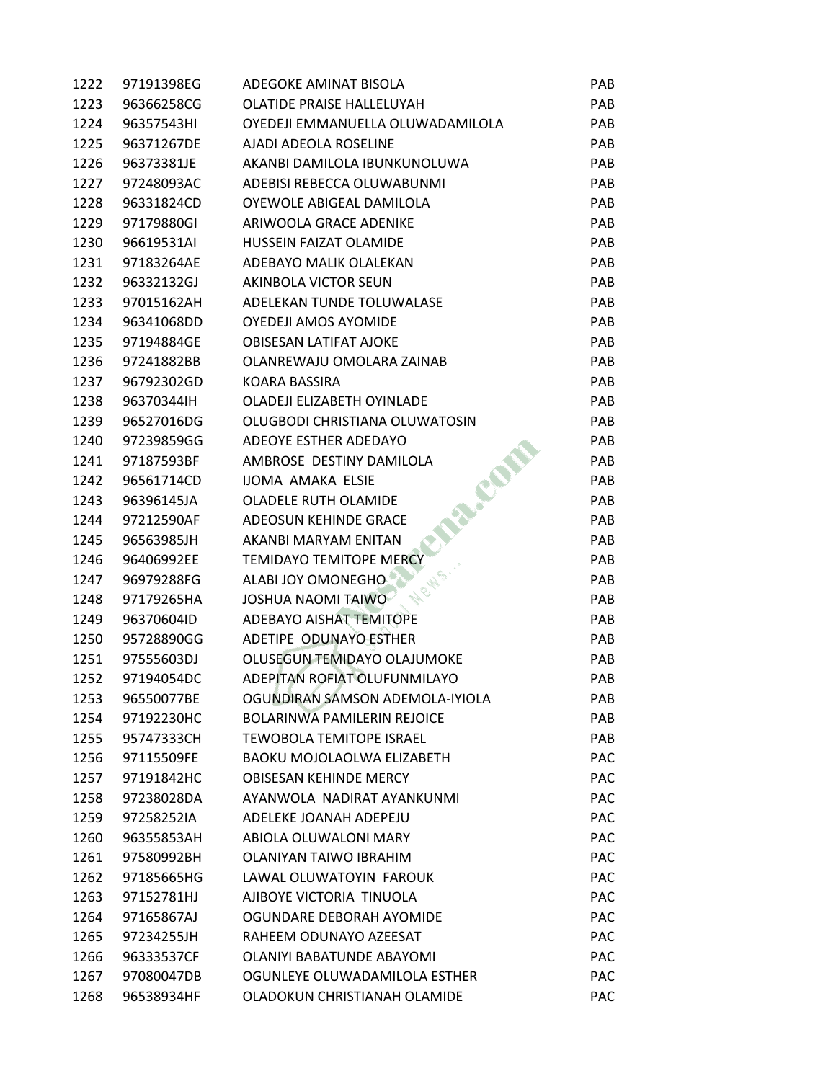| 1222 | 97191398EG | ADEGOKE AMINAT BISOLA              | PAB        |
|------|------------|------------------------------------|------------|
| 1223 | 96366258CG | OLATIDE PRAISE HALLELUYAH          | PAB        |
| 1224 | 96357543HI | OYEDEJI EMMANUELLA OLUWADAMILOLA   | PAB        |
| 1225 | 96371267DE | AJADI ADEOLA ROSELINE              | <b>PAB</b> |
| 1226 | 96373381JE | AKANBI DAMILOLA IBUNKUNOLUWA       | <b>PAB</b> |
| 1227 | 97248093AC | ADEBISI REBECCA OLUWABUNMI         | <b>PAB</b> |
| 1228 | 96331824CD | OYEWOLE ABIGEAL DAMILOLA           | <b>PAB</b> |
| 1229 | 97179880GI | ARIWOOLA GRACE ADENIKE             | PAB        |
| 1230 | 96619531AI | <b>HUSSEIN FAIZAT OLAMIDE</b>      | <b>PAB</b> |
| 1231 | 97183264AE | ADEBAYO MALIK OLALEKAN             | <b>PAB</b> |
| 1232 | 96332132GJ | AKINBOLA VICTOR SEUN               | PAB        |
| 1233 | 97015162AH | ADELEKAN TUNDE TOLUWALASE          | <b>PAB</b> |
| 1234 | 96341068DD | <b>OYEDEJI AMOS AYOMIDE</b>        | PAB        |
| 1235 | 97194884GE | <b>OBISESAN LATIFAT AJOKE</b>      | PAB        |
| 1236 | 97241882BB | OLANREWAJU OMOLARA ZAINAB          | <b>PAB</b> |
| 1237 | 96792302GD | KOARA BASSIRA                      | <b>PAB</b> |
| 1238 | 96370344IH | OLADEJI ELIZABETH OYINLADE         | <b>PAB</b> |
| 1239 | 96527016DG | OLUGBODI CHRISTIANA OLUWATOSIN     | <b>PAB</b> |
| 1240 | 97239859GG | ADEOYE ESTHER ADEDAYO              | <b>PAB</b> |
| 1241 | 97187593BF | AMBROSE DESTINY DAMILOLA           | <b>PAB</b> |
| 1242 | 96561714CD | IJOMA AMAKA ELSIE                  | PAB        |
| 1243 | 96396145JA | <b>OLADELE RUTH OLAMIDE</b>        | PAB        |
| 1244 | 97212590AF | ADEOSUN KEHINDE GRACE              | PAB        |
| 1245 | 96563985JH | AKANBI MARYAM ENITAN               | PAB        |
| 1246 | 96406992EE | <b>TEMIDAYO TEMITOPE MERCY</b>     | <b>PAB</b> |
| 1247 | 96979288FG | ALABI JOY OMONEGHO                 | PAB        |
| 1248 | 97179265HA | JOSHUA NAOMI TAIWO                 | PAB        |
| 1249 | 96370604ID | ADEBAYO AISHAT TEMITOPE            | <b>PAB</b> |
| 1250 | 95728890GG | ADETIPE ODUNAYO ESTHER             | <b>PAB</b> |
| 1251 | 97555603DJ | OLUSEGUN TEMIDAYO OLAJUMOKE        | PAB        |
| 1252 | 97194054DC | ADEPITAN ROFIAT OLUFUNMILAYO       | <b>PAB</b> |
| 1253 | 96550077BE | OGUNDIRAN SAMSON ADEMOLA-IYIOLA    | PAB        |
| 1254 | 97192230HC | <b>BOLARINWA PAMILERIN REJOICE</b> | PAB        |
| 1255 | 95747333CH | TEWOBOLA TEMITOPE ISRAEL           | <b>PAB</b> |
| 1256 | 97115509FE | <b>BAOKU MOJOLAOLWA ELIZABETH</b>  | PAC        |
| 1257 | 97191842HC | <b>OBISESAN KEHINDE MERCY</b>      | <b>PAC</b> |
| 1258 | 97238028DA | AYANWOLA NADIRAT AYANKUNMI         | <b>PAC</b> |
| 1259 | 97258252IA | ADELEKE JOANAH ADEPEJU             | <b>PAC</b> |
| 1260 | 96355853AH | ABIOLA OLUWALONI MARY              | <b>PAC</b> |
| 1261 | 97580992BH | <b>OLANIYAN TAIWO IBRAHIM</b>      | <b>PAC</b> |
| 1262 | 97185665HG | LAWAL OLUWATOYIN FAROUK            | <b>PAC</b> |
| 1263 | 97152781HJ | AJIBOYE VICTORIA TINUOLA           | <b>PAC</b> |
| 1264 | 97165867AJ | OGUNDARE DEBORAH AYOMIDE           | <b>PAC</b> |
| 1265 | 97234255JH | RAHEEM ODUNAYO AZEESAT             | <b>PAC</b> |
| 1266 | 96333537CF | <b>OLANIYI BABATUNDE ABAYOMI</b>   | <b>PAC</b> |
| 1267 | 97080047DB | OGUNLEYE OLUWADAMILOLA ESTHER      | <b>PAC</b> |
| 1268 | 96538934HF | OLADOKUN CHRISTIANAH OLAMIDE       | <b>PAC</b> |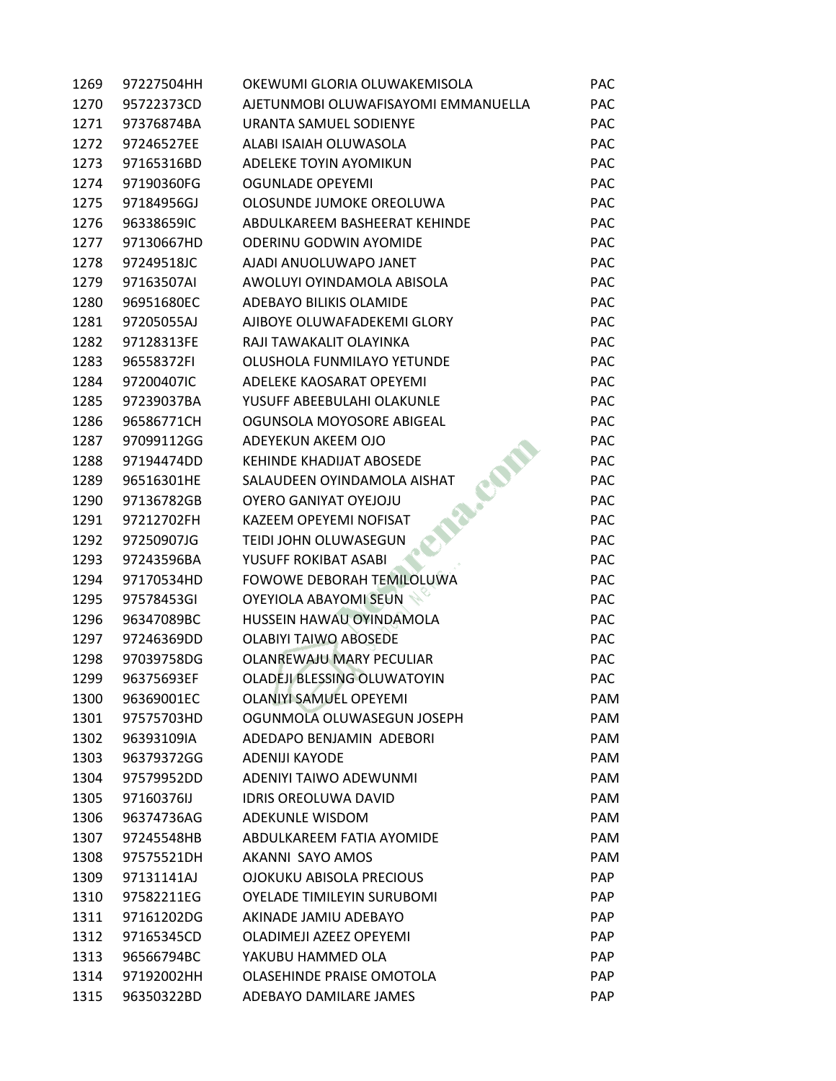| 1269 | 97227504HH | OKEWUMI GLORIA OLUWAKEMISOLA        | <b>PAC</b> |
|------|------------|-------------------------------------|------------|
| 1270 | 95722373CD | AJETUNMOBI OLUWAFISAYOMI EMMANUELLA | <b>PAC</b> |
| 1271 | 97376874BA | URANTA SAMUEL SODIENYE              | <b>PAC</b> |
| 1272 | 97246527EE | ALABI ISAIAH OLUWASOLA              | PAC        |
| 1273 | 97165316BD | ADELEKE TOYIN AYOMIKUN              | PAC        |
| 1274 | 97190360FG | <b>OGUNLADE OPEYEMI</b>             | <b>PAC</b> |
| 1275 | 97184956GJ | OLOSUNDE JUMOKE OREOLUWA            | <b>PAC</b> |
| 1276 | 96338659IC | ABDULKAREEM BASHEERAT KEHINDE       | <b>PAC</b> |
| 1277 | 97130667HD | <b>ODERINU GODWIN AYOMIDE</b>       | PAC        |
| 1278 | 97249518JC | AJADI ANUOLUWAPO JANET              | <b>PAC</b> |
| 1279 | 97163507AI | AWOLUYI OYINDAMOLA ABISOLA          | <b>PAC</b> |
| 1280 | 96951680EC | ADEBAYO BILIKIS OLAMIDE             | <b>PAC</b> |
| 1281 | 97205055AJ | AJIBOYE OLUWAFADEKEMI GLORY         | PAC        |
| 1282 | 97128313FE | RAJI TAWAKALIT OLAYINKA             | PAC        |
| 1283 | 96558372FI | OLUSHOLA FUNMILAYO YETUNDE          | <b>PAC</b> |
| 1284 | 97200407IC | ADELEKE KAOSARAT OPEYEMI            | <b>PAC</b> |
| 1285 | 97239037BA | YUSUFF ABEEBULAHI OLAKUNLE          | <b>PAC</b> |
| 1286 | 96586771CH | OGUNSOLA MOYOSORE ABIGEAL           | PAC        |
| 1287 | 97099112GG | ADEYEKUN AKEEM OJO                  | <b>PAC</b> |
| 1288 | 97194474DD | <b>KEHINDE KHADIJAT ABOSEDE</b>     | <b>PAC</b> |
| 1289 | 96516301HE | EN<br>SALAUDEEN OYINDAMOLA AISHAT   | <b>PAC</b> |
| 1290 | 97136782GB | OYERO GANIYAT OYEJOJU               | <b>PAC</b> |
| 1291 | 97212702FH | KAZEEM OPEYEMI NOFISAT              | PAC        |
| 1292 | 97250907JG | TEIDI JOHN OLUWASEGUN               | <b>PAC</b> |
| 1293 | 97243596BA | YUSUFF ROKIBAT ASABI                | <b>PAC</b> |
| 1294 | 97170534HD | FOWOWE DEBORAH TEMILOLUWA           | <b>PAC</b> |
| 1295 | 97578453GI | OYEYIOLA ABAYOMI SEUN               | <b>PAC</b> |
| 1296 | 96347089BC | HUSSEIN HAWAU OYINDAMOLA            | <b>PAC</b> |
| 1297 | 97246369DD | <b>OLABIYI TAIWO ABOSEDE</b>        | <b>PAC</b> |
| 1298 | 97039758DG | OLANREWAJU MARY PECULIAR            | <b>PAC</b> |
| 1299 | 96375693EF | OLADEJI BLESSING OLUWATOYIN         | <b>PAC</b> |
| 1300 | 96369001EC | <b>OLANIYI SAMUEL OPEYEMI</b>       | PAM        |
| 1301 | 97575703HD | OGUNMOLA OLUWASEGUN JOSEPH          | PAM        |
| 1302 | 96393109IA | ADEDAPO BENJAMIN ADEBORI            | <b>PAM</b> |
| 1303 | 96379372GG | <b>ADENIJI KAYODE</b>               | PAM        |
| 1304 | 97579952DD | ADENIYI TAIWO ADEWUNMI              | PAM        |
| 1305 | 97160376IJ | <b>IDRIS OREOLUWA DAVID</b>         | PAM        |
| 1306 | 96374736AG | ADEKUNLE WISDOM                     | <b>PAM</b> |
| 1307 | 97245548HB | ABDULKAREEM FATIA AYOMIDE           | PAM        |
| 1308 | 97575521DH | AKANNI SAYO AMOS                    | PAM        |
| 1309 | 97131141AJ | OJOKUKU ABISOLA PRECIOUS            | <b>PAP</b> |
| 1310 | 97582211EG | <b>OYELADE TIMILEYIN SURUBOMI</b>   | <b>PAP</b> |
| 1311 | 97161202DG | AKINADE JAMIU ADEBAYO               | <b>PAP</b> |
| 1312 | 97165345CD | OLADIMEJI AZEEZ OPEYEMI             | <b>PAP</b> |
| 1313 | 96566794BC | YAKUBU HAMMED OLA                   | <b>PAP</b> |
| 1314 | 97192002HH | OLASEHINDE PRAISE OMOTOLA           | <b>PAP</b> |
| 1315 | 96350322BD | ADEBAYO DAMILARE JAMES              | <b>PAP</b> |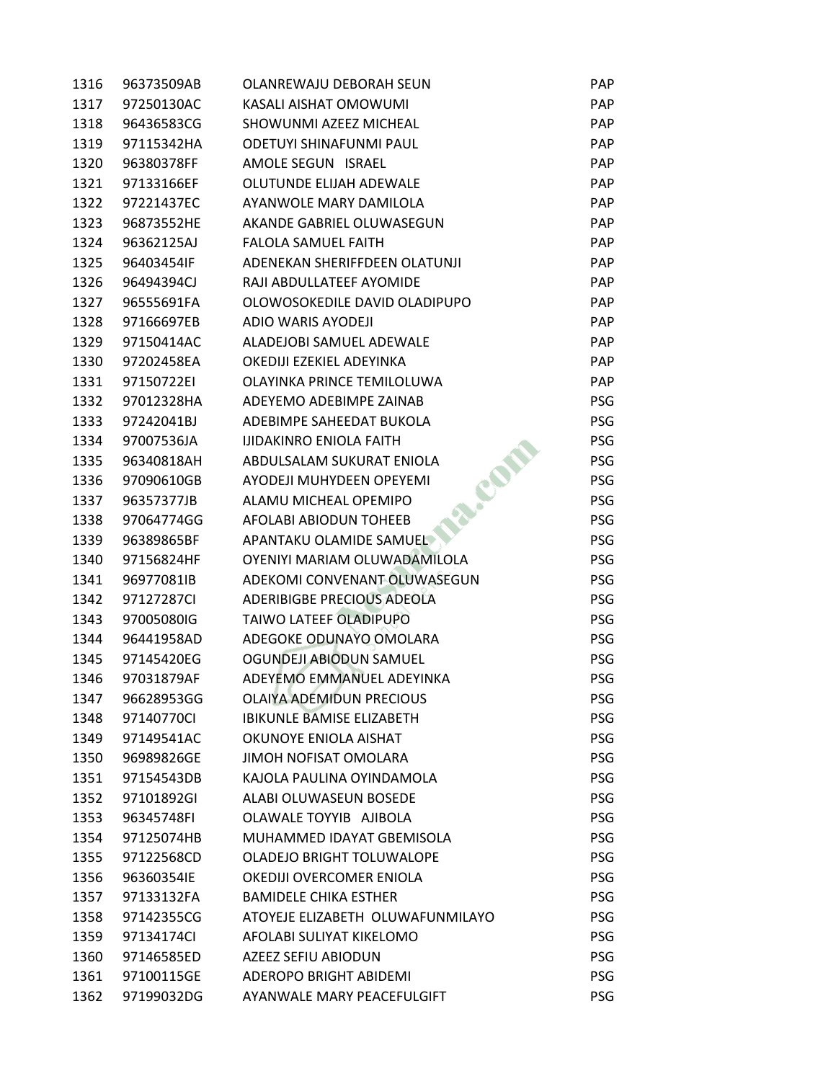| 1316 | 96373509AB | OLANREWAJU DEBORAH SEUN          | <b>PAP</b> |
|------|------------|----------------------------------|------------|
| 1317 | 97250130AC | <b>KASALI AISHAT OMOWUMI</b>     | <b>PAP</b> |
| 1318 | 96436583CG | SHOWUNMI AZEEZ MICHEAL           | <b>PAP</b> |
| 1319 | 97115342HA | ODETUYI SHINAFUNMI PAUL          | <b>PAP</b> |
| 1320 | 96380378FF | AMOLE SEGUN ISRAEL               | <b>PAP</b> |
| 1321 | 97133166EF | OLUTUNDE ELIJAH ADEWALE          | <b>PAP</b> |
| 1322 | 97221437EC | AYANWOLE MARY DAMILOLA           | <b>PAP</b> |
| 1323 | 96873552HE | AKANDE GABRIEL OLUWASEGUN        | <b>PAP</b> |
| 1324 | 96362125AJ | <b>FALOLA SAMUEL FAITH</b>       | <b>PAP</b> |
| 1325 | 96403454IF | ADENEKAN SHERIFFDEEN OLATUNJI    | <b>PAP</b> |
| 1326 | 96494394CJ | RAJI ABDULLATEEF AYOMIDE         | <b>PAP</b> |
| 1327 | 96555691FA | OLOWOSOKEDILE DAVID OLADIPUPO    | <b>PAP</b> |
| 1328 | 97166697EB | ADIO WARIS AYODEJI               | <b>PAP</b> |
| 1329 | 97150414AC | ALADEJOBI SAMUEL ADEWALE         | <b>PAP</b> |
| 1330 | 97202458EA | OKEDIJI EZEKIEL ADEYINKA         | <b>PAP</b> |
| 1331 | 97150722EI | OLAYINKA PRINCE TEMILOLUWA       | <b>PAP</b> |
| 1332 | 97012328HA | ADEYEMO ADEBIMPE ZAINAB          | PSG        |
| 1333 | 97242041BJ | ADEBIMPE SAHEEDAT BUKOLA         | PSG        |
| 1334 | 97007536JA | <b>IJIDAKINRO ENIOLA FAITH</b>   | PSG        |
| 1335 | 96340818AH | ABDULSALAM SUKURAT ENIOLA        | <b>PSG</b> |
| 1336 | 97090610GB | <b>AYODEJI MUHYDEEN OPEYEMI</b>  | PSG        |
| 1337 | 96357377JB | ALAMU MICHEAL OPEMIPO            | PSG        |
| 1338 | 97064774GG | AFOLABI ABIODUN TOHEEB           | PSG        |
| 1339 | 96389865BF | APANTAKU OLAMIDE SAMUEL          | PSG        |
| 1340 | 97156824HF | OYENIYI MARIAM OLUWADAMILOLA     | PSG        |
| 1341 | 96977081IB | ADEKOMI CONVENANT OLUWASEGUN     | <b>PSG</b> |
| 1342 | 97127287CI | ADERIBIGBE PRECIOUS ADEOLA       | PSG        |
| 1343 | 97005080IG | TAIWO LATEEF OLADIPUPO           | PSG        |
| 1344 | 96441958AD | ADEGOKE ODUNAYO OMOLARA          | PSG        |
| 1345 | 97145420EG | OGUNDEJI ABIODUN SAMUEL          | PSG        |
| 1346 | 97031879AF | ADEYEMO EMMANUEL ADEYINKA        | PSG        |
| 1347 | 96628953GG | <b>OLAIYA ADEMIDUN PRECIOUS</b>  | <b>PSG</b> |
| 1348 | 97140770CI | <b>IBIKUNLE BAMISE ELIZABETH</b> | PSG        |
| 1349 | 97149541AC | OKUNOYE ENIOLA AISHAT            | PSG        |
| 1350 | 96989826GE | JIMOH NOFISAT OMOLARA            | PSG        |
| 1351 | 97154543DB | KAJOLA PAULINA OYINDAMOLA        | PSG        |
| 1352 | 97101892GI | ALABI OLUWASEUN BOSEDE           | <b>PSG</b> |
| 1353 | 96345748FI | OLAWALE TOYYIB AJIBOLA           | <b>PSG</b> |
| 1354 | 97125074HB | MUHAMMED IDAYAT GBEMISOLA        | <b>PSG</b> |
| 1355 | 97122568CD | OLADEJO BRIGHT TOLUWALOPE        | PSG        |
| 1356 | 96360354IE | OKEDIJI OVERCOMER ENIOLA         | PSG        |
| 1357 | 97133132FA | <b>BAMIDELE CHIKA ESTHER</b>     | <b>PSG</b> |
| 1358 | 97142355CG | ATOYEJE ELIZABETH OLUWAFUNMILAYO | <b>PSG</b> |
| 1359 | 97134174Cl | AFOLABI SULIYAT KIKELOMO         | PSG        |
| 1360 | 97146585ED | <b>AZEEZ SEFIU ABIODUN</b>       | PSG        |
| 1361 | 97100115GE | ADEROPO BRIGHT ABIDEMI           | PSG        |
| 1362 | 97199032DG | AYANWALE MARY PEACEFULGIFT       | PSG        |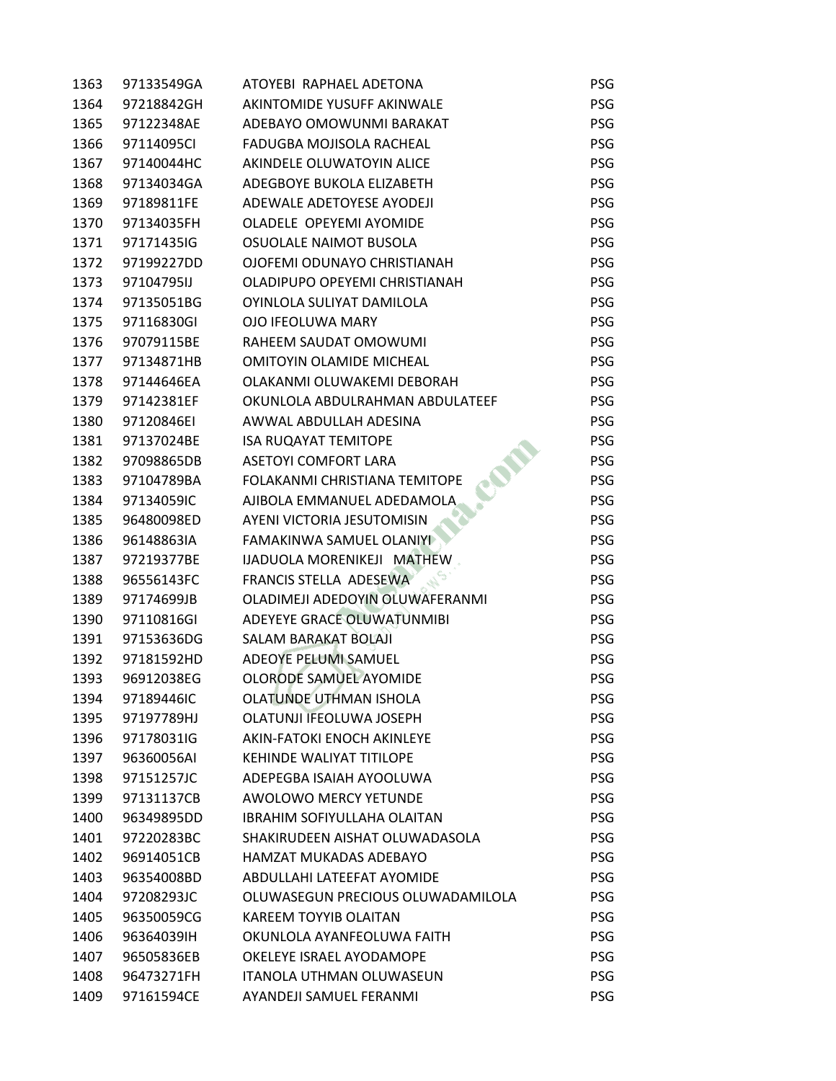| 1363 | 97133549GA | ATOYEBI RAPHAEL ADETONA            | <b>PSG</b> |
|------|------------|------------------------------------|------------|
| 1364 | 97218842GH | AKINTOMIDE YUSUFF AKINWALE         | PSG        |
| 1365 | 97122348AE | ADEBAYO OMOWUNMI BARAKAT           | PSG        |
| 1366 | 97114095CI | FADUGBA MOJISOLA RACHEAL           | PSG        |
| 1367 | 97140044HC | AKINDELE OLUWATOYIN ALICE          | PSG        |
| 1368 | 97134034GA | ADEGBOYE BUKOLA ELIZABETH          | PSG        |
| 1369 | 97189811FE | ADEWALE ADETOYESE AYODEJI          | <b>PSG</b> |
| 1370 | 97134035FH | OLADELE OPEYEMI AYOMIDE            | <b>PSG</b> |
| 1371 | 97171435IG | OSUOLALE NAIMOT BUSOLA             | PSG        |
| 1372 | 97199227DD | OJOFEMI ODUNAYO CHRISTIANAH        | PSG        |
| 1373 | 97104795IJ | OLADIPUPO OPEYEMI CHRISTIANAH      | <b>PSG</b> |
| 1374 | 97135051BG | OYINLOLA SULIYAT DAMILOLA          | PSG        |
| 1375 | 97116830GI | OJO IFEOLUWA MARY                  | PSG        |
| 1376 | 97079115BE | RAHEEM SAUDAT OMOWUMI              | PSG        |
| 1377 | 97134871HB | <b>OMITOYIN OLAMIDE MICHEAL</b>    | PSG        |
| 1378 | 97144646EA | OLAKANMI OLUWAKEMI DEBORAH         | PSG        |
| 1379 | 97142381EF | OKUNLOLA ABDULRAHMAN ABDULATEEF    | <b>PSG</b> |
| 1380 | 97120846EI | AWWAL ABDULLAH ADESINA             | PSG        |
| 1381 | 97137024BE | <b>ISA RUQAYAT TEMITOPE</b>        | PSG        |
| 1382 | 97098865DB | <b>ASETOYI COMFORT LARA</b>        | <b>PSG</b> |
| 1383 | 97104789BA | FOLAKANMI CHRISTIANA TEMITOPE      | PSG        |
| 1384 | 97134059IC | AJIBOLA EMMANUEL ADEDAMOLA         | PSG        |
| 1385 | 96480098ED | AYENI VICTORIA JESUTOMISIN         | PSG        |
| 1386 | 96148863IA | <b>FAMAKINWA SAMUEL OLANIYI</b>    | PSG        |
| 1387 | 97219377BE | IJADUOLA MORENIKEJI MATHEW         | PSG        |
| 1388 | 96556143FC | FRANCIS STELLA ADESEWA             | <b>PSG</b> |
| 1389 | 97174699JB | OLADIMEJI ADEDOYIN OLUWAFERANMI    | <b>PSG</b> |
| 1390 | 97110816GI | ADEYEYE GRACE OLUWATUNMIBI         | PSG        |
| 1391 | 97153636DG | SALAM BARAKAT BOLAJI               | PSG        |
| 1392 | 97181592HD | ADEOYE PELUMI SAMUEL               | PSG        |
| 1393 | 96912038EG | <b>OLORODE SAMUEL AYOMIDE</b>      | PSG        |
| 1394 | 97189446IC | OLATUNDE UTHMAN ISHOLA             | <b>PSG</b> |
| 1395 | 97197789HJ | OLATUNJI IFEOLUWA JOSEPH           | <b>PSG</b> |
| 1396 | 97178031IG | AKIN-FATOKI ENOCH AKINLEYE         | <b>PSG</b> |
| 1397 | 96360056AI | <b>KEHINDE WALIYAT TITILOPE</b>    | PSG        |
| 1398 | 97151257JC | ADEPEGBA ISAIAH AYOOLUWA           | PSG        |
| 1399 | 97131137CB | <b>AWOLOWO MERCY YETUNDE</b>       | PSG        |
| 1400 | 96349895DD | <b>IBRAHIM SOFIYULLAHA OLAITAN</b> | <b>PSG</b> |
| 1401 | 97220283BC | SHAKIRUDEEN AISHAT OLUWADASOLA     | PSG        |
| 1402 | 96914051CB | HAMZAT MUKADAS ADEBAYO             | PSG        |
| 1403 | 96354008BD | ABDULLAHI LATEEFAT AYOMIDE         | PSG        |
| 1404 | 97208293JC | OLUWASEGUN PRECIOUS OLUWADAMILOLA  | <b>PSG</b> |
| 1405 | 96350059CG | <b>KAREEM TOYYIB OLAITAN</b>       | <b>PSG</b> |
| 1406 | 96364039IH | OKUNLOLA AYANFEOLUWA FAITH         | <b>PSG</b> |
| 1407 | 96505836EB | OKELEYE ISRAEL AYODAMOPE           | PSG        |
| 1408 | 96473271FH | <b>ITANOLA UTHMAN OLUWASEUN</b>    | <b>PSG</b> |
| 1409 | 97161594CE | AYANDEJI SAMUEL FERANMI            | PSG        |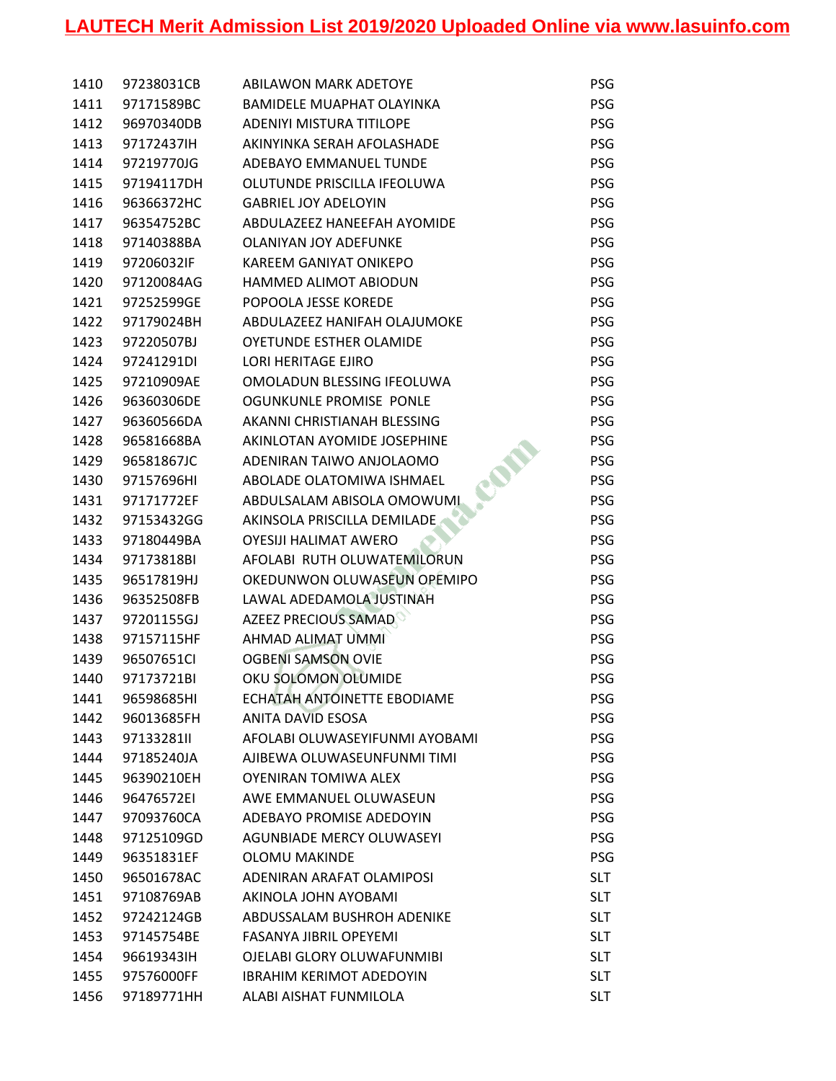| 1410 | 97238031CB | <b>ABILAWON MARK ADETOYE</b>     | <b>PSG</b> |
|------|------------|----------------------------------|------------|
| 1411 | 97171589BC | <b>BAMIDELE MUAPHAT OLAYINKA</b> | PSG        |
| 1412 | 96970340DB | <b>ADENIYI MISTURA TITILOPE</b>  | PSG        |
| 1413 | 97172437IH | AKINYINKA SERAH AFOLASHADE       | <b>PSG</b> |
| 1414 | 97219770JG | ADEBAYO EMMANUEL TUNDE           | PSG        |
| 1415 | 97194117DH | OLUTUNDE PRISCILLA IFEOLUWA      | <b>PSG</b> |
| 1416 | 96366372HC | <b>GABRIEL JOY ADELOYIN</b>      | <b>PSG</b> |
| 1417 | 96354752BC | ABDULAZEEZ HANEEFAH AYOMIDE      | <b>PSG</b> |
| 1418 | 97140388BA | <b>OLANIYAN JOY ADEFUNKE</b>     | <b>PSG</b> |
| 1419 | 97206032IF | KAREEM GANIYAT ONIKEPO           | PSG        |
| 1420 | 97120084AG | HAMMED ALIMOT ABIODUN            | <b>PSG</b> |
| 1421 | 97252599GE | POPOOLA JESSE KOREDE             | <b>PSG</b> |
| 1422 | 97179024BH | ABDULAZEEZ HANIFAH OLAJUMOKE     | <b>PSG</b> |
| 1423 | 97220507BJ | OYETUNDE ESTHER OLAMIDE          | <b>PSG</b> |
| 1424 | 97241291DI | <b>LORI HERITAGE EJIRO</b>       | PSG        |
| 1425 | 97210909AE | OMOLADUN BLESSING IFEOLUWA       | PSG        |
| 1426 | 96360306DE | <b>OGUNKUNLE PROMISE PONLE</b>   | <b>PSG</b> |
| 1427 | 96360566DA | AKANNI CHRISTIANAH BLESSING      | <b>PSG</b> |
| 1428 | 96581668BA | AKINLOTAN AYOMIDE JOSEPHINE      | PSG        |
| 1429 | 96581867JC | ADENIRAN TAIWO ANJOLAOMO         | <b>PSG</b> |
| 1430 | 97157696HI | ABOLADE OLATOMIWA ISHMAEL        | <b>PSG</b> |
| 1431 | 97171772EF | ABDULSALAM ABISOLA OMOWUMI       | PSG        |
| 1432 | 97153432GG | AKINSOLA PRISCILLA DEMILADE      | <b>PSG</b> |
| 1433 | 97180449BA | OYESIJI HALIMAT AWERO            | PSG        |
| 1434 | 97173818BI | AFOLABI RUTH OLUWATEMILORUN      | <b>PSG</b> |
| 1435 | 96517819HJ | OKEDUNWON OLUWASEUN OPEMIPO      | <b>PSG</b> |
| 1436 | 96352508FB | LAWAL ADEDAMOLA JUSTINAH         | <b>PSG</b> |
| 1437 | 97201155GJ | AZEEZ PRECIOUS SAMAD             | <b>PSG</b> |
| 1438 | 97157115HF | AHMAD ALIMAT UMMI                | PSG        |
| 1439 | 96507651Cl | <b>OGBENI SAMSON OVIE</b>        | <b>PSG</b> |
| 1440 | 97173721BI | OKU SOLOMON OLUMIDE              | PSG        |
| 1441 | 96598685HI | ECHATAH ANTOINETTE EBODIAME      | <b>PSG</b> |
| 1442 | 96013685FH | ANITA DAVID ESOSA                | PSG        |
| 1443 | 97133281II | AFOLABI OLUWASEYIFUNMI AYOBAMI   | PSG        |
| 1444 | 97185240JA | AJIBEWA OLUWASEUNFUNMI TIMI      | <b>PSG</b> |
| 1445 | 96390210EH | OYENIRAN TOMIWA ALEX             | PSG        |
| 1446 | 96476572EI | AWE EMMANUEL OLUWASEUN           | <b>PSG</b> |
| 1447 | 97093760CA | <b>ADEBAYO PROMISE ADEDOYIN</b>  | <b>PSG</b> |
| 1448 | 97125109GD | <b>AGUNBIADE MERCY OLUWASEYI</b> | <b>PSG</b> |
| 1449 | 96351831EF | <b>OLOMU MAKINDE</b>             | <b>PSG</b> |
| 1450 | 96501678AC | ADENIRAN ARAFAT OLAMIPOSI        | <b>SLT</b> |
| 1451 | 97108769AB | AKINOLA JOHN AYOBAMI             | <b>SLT</b> |
| 1452 | 97242124GB | ABDUSSALAM BUSHROH ADENIKE       | <b>SLT</b> |
| 1453 | 97145754BE | <b>FASANYA JIBRIL OPEYEMI</b>    | <b>SLT</b> |
| 1454 | 96619343IH | OJELABI GLORY OLUWAFUNMIBI       | <b>SLT</b> |
| 1455 | 97576000FF | <b>IBRAHIM KERIMOT ADEDOYIN</b>  | <b>SLT</b> |
| 1456 | 97189771HH | ALABI AISHAT FUNMILOLA           | <b>SLT</b> |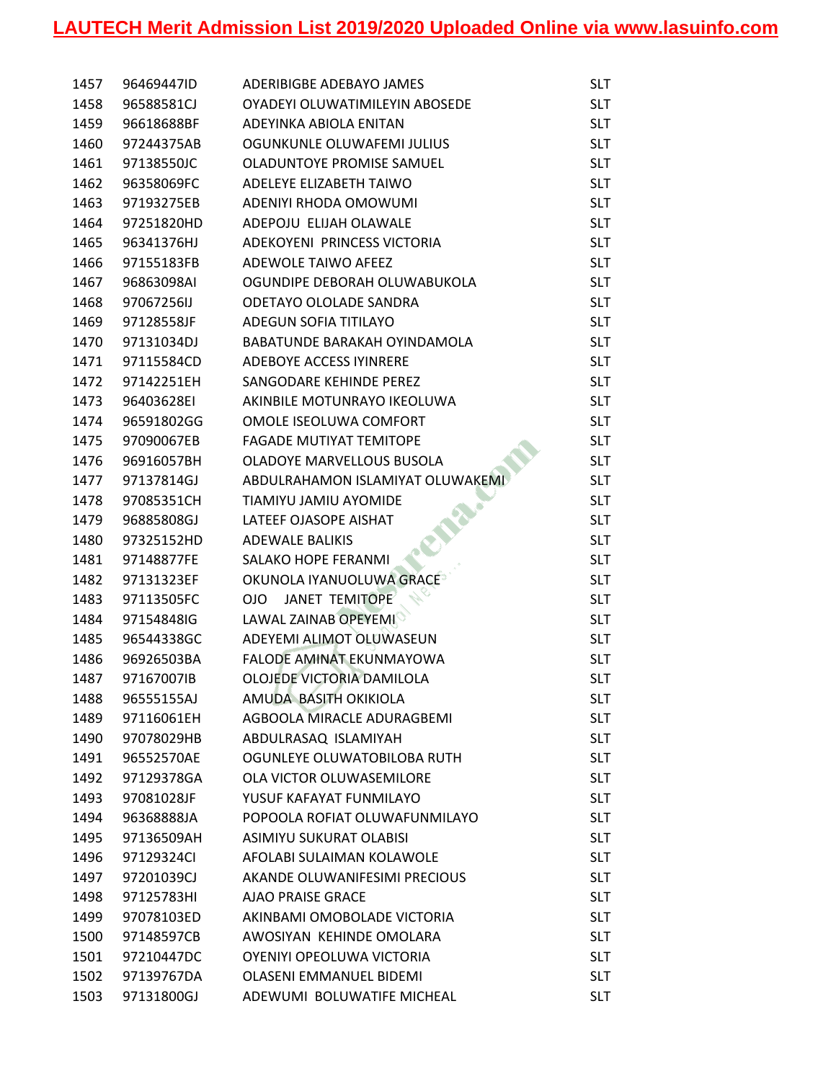| 1457 | 96469447ID | ADERIBIGBE ADEBAYO JAMES         | <b>SLT</b> |
|------|------------|----------------------------------|------------|
| 1458 | 96588581CJ | OYADEYI OLUWATIMILEYIN ABOSEDE   | <b>SLT</b> |
| 1459 | 96618688BF | ADEYINKA ABIOLA ENITAN           | <b>SLT</b> |
| 1460 | 97244375AB | OGUNKUNLE OLUWAFEMI JULIUS       | <b>SLT</b> |
| 1461 | 97138550JC | OLADUNTOYE PROMISE SAMUEL        | <b>SLT</b> |
| 1462 | 96358069FC | ADELEYE ELIZABETH TAIWO          | <b>SLT</b> |
| 1463 | 97193275EB | ADENIYI RHODA OMOWUMI            | <b>SLT</b> |
| 1464 | 97251820HD | ADEPOJU ELIJAH OLAWALE           | <b>SLT</b> |
| 1465 | 96341376HJ | ADEKOYENI PRINCESS VICTORIA      | <b>SLT</b> |
| 1466 | 97155183FB | ADEWOLE TAIWO AFEEZ              | <b>SLT</b> |
| 1467 | 96863098AI | OGUNDIPE DEBORAH OLUWABUKOLA     | <b>SLT</b> |
| 1468 | 97067256IJ | ODETAYO OLOLADE SANDRA           | <b>SLT</b> |
| 1469 | 97128558JF | ADEGUN SOFIA TITILAYO            | <b>SLT</b> |
| 1470 | 97131034DJ | BABATUNDE BARAKAH OYINDAMOLA     | <b>SLT</b> |
| 1471 | 97115584CD | ADEBOYE ACCESS IYINRERE          | <b>SLT</b> |
| 1472 | 97142251EH | SANGODARE KEHINDE PEREZ          | <b>SLT</b> |
| 1473 | 96403628EI | AKINBILE MOTUNRAYO IKEOLUWA      | <b>SLT</b> |
| 1474 | 96591802GG | OMOLE ISEOLUWA COMFORT           | <b>SLT</b> |
| 1475 | 97090067EB | <b>FAGADE MUTIYAT TEMITOPE</b>   | <b>SLT</b> |
| 1476 | 96916057BH | OLADOYE MARVELLOUS BUSOLA        | <b>SLT</b> |
| 1477 | 97137814GJ | ABDULRAHAMON ISLAMIYAT OLUWAKEMI | <b>SLT</b> |
| 1478 | 97085351CH | TIAMIYU JAMIU AYOMIDE            | <b>SLT</b> |
| 1479 | 96885808GJ | LATEEF OJASOPE AISHAT            | <b>SLT</b> |
| 1480 | 97325152HD | <b>ADEWALE BALIKIS</b>           | <b>SLT</b> |
| 1481 | 97148877FE | SALAKO HOPE FERANMI              | <b>SLT</b> |
| 1482 | 97131323EF | OKUNOLA IYANUOLUWA GRACE         | <b>SLT</b> |
| 1483 | 97113505FC | JANET TEMITOPE<br>OJO            | <b>SLT</b> |
| 1484 | 97154848IG | <b>LAWAL ZAINAB OPEYEMI</b>      | <b>SLT</b> |
| 1485 | 96544338GC | ADEYEMI ALIMOT OLUWASEUN         | <b>SLT</b> |
| 1486 | 96926503BA | FALODE AMINAT EKUNMAYOWA         | <b>SLT</b> |
| 1487 | 97167007IB | OLOJEDE VICTORIA DAMILOLA        | <b>SLT</b> |
| 1488 | 96555155AJ | AMUDA BASITH OKIKIOLA            | <b>SLT</b> |
| 1489 | 97116061EH | AGBOOLA MIRACLE ADURAGBEMI       | <b>SLT</b> |
| 1490 | 97078029HB | ABDULRASAQ ISLAMIYAH             | <b>SLT</b> |
| 1491 | 96552570AE | OGUNLEYE OLUWATOBILOBA RUTH      | <b>SLT</b> |
| 1492 | 97129378GA | OLA VICTOR OLUWASEMILORE         | <b>SLT</b> |
| 1493 | 97081028JF | YUSUF KAFAYAT FUNMILAYO          | <b>SLT</b> |
| 1494 | 96368888JA | POPOOLA ROFIAT OLUWAFUNMILAYO    | <b>SLT</b> |
| 1495 | 97136509AH | ASIMIYU SUKURAT OLABISI          | <b>SLT</b> |
| 1496 | 97129324Cl | AFOLABI SULAIMAN KOLAWOLE        | <b>SLT</b> |
| 1497 | 97201039CJ | AKANDE OLUWANIFESIMI PRECIOUS    | <b>SLT</b> |
| 1498 | 97125783HI | <b>AJAO PRAISE GRACE</b>         | <b>SLT</b> |
| 1499 | 97078103ED | AKINBAMI OMOBOLADE VICTORIA      | <b>SLT</b> |
| 1500 | 97148597CB | AWOSIYAN KEHINDE OMOLARA         | <b>SLT</b> |
| 1501 | 97210447DC | OYENIYI OPEOLUWA VICTORIA        | <b>SLT</b> |
| 1502 | 97139767DA | <b>OLASENI EMMANUEL BIDEMI</b>   | <b>SLT</b> |
| 1503 | 97131800GJ | ADEWUMI BOLUWATIFE MICHEAL       | <b>SLT</b> |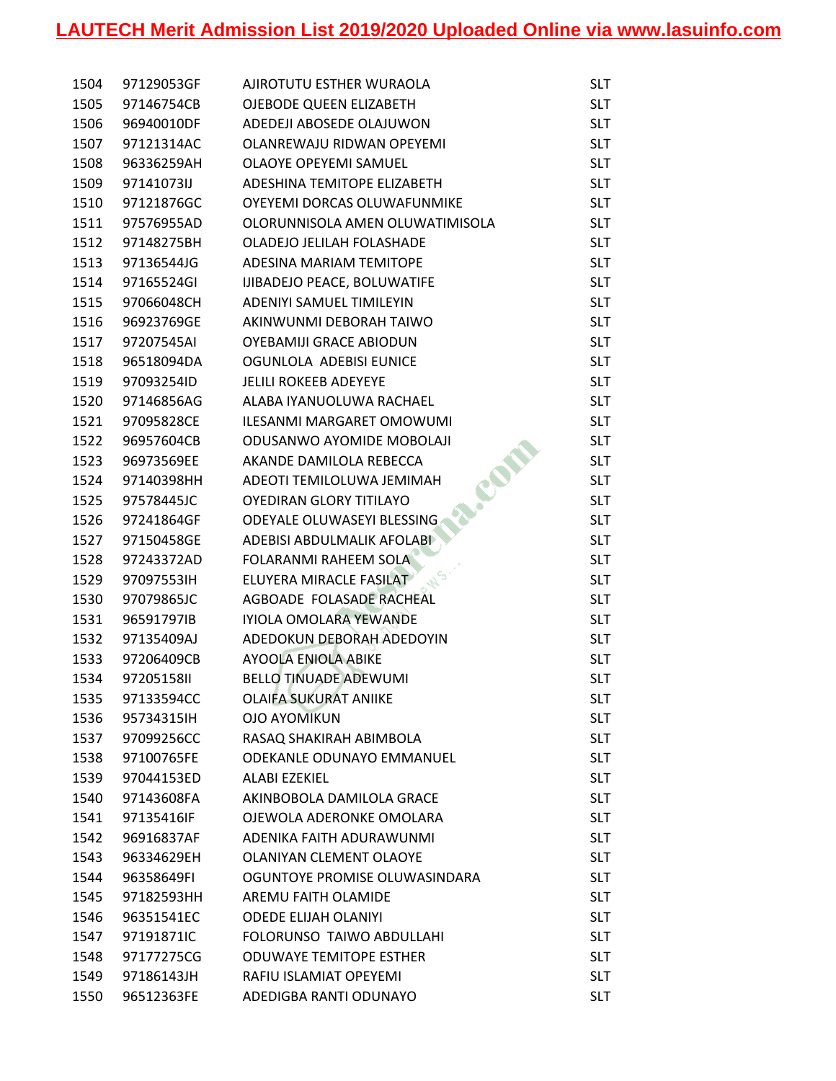| 1504 | 97129053GF | AJIROTUTU ESTHER WURAOLA        | <b>SLT</b> |
|------|------------|---------------------------------|------------|
| 1505 | 97146754CB | OJEBODE QUEEN ELIZABETH         | <b>SLT</b> |
| 1506 | 96940010DF | ADEDEJI ABOSEDE OLAJUWON        | <b>SLT</b> |
| 1507 | 97121314AC | OLANREWAJU RIDWAN OPEYEMI       | <b>SLT</b> |
| 1508 | 96336259AH | OLAOYE OPEYEMI SAMUEL           | <b>SLT</b> |
| 1509 | 97141073IJ | ADESHINA TEMITOPE ELIZABETH     | <b>SLT</b> |
| 1510 | 97121876GC | OYEYEMI DORCAS OLUWAFUNMIKE     | <b>SLT</b> |
| 1511 | 97576955AD | OLORUNNISOLA AMEN OLUWATIMISOLA | <b>SLT</b> |
| 1512 | 97148275BH | OLADEJO JELILAH FOLASHADE       | <b>SLT</b> |
| 1513 | 97136544JG | ADESINA MARIAM TEMITOPE         | <b>SLT</b> |
| 1514 | 97165524GI | IJIBADEJO PEACE, BOLUWATIFE     | <b>SLT</b> |
| 1515 | 97066048CH | ADENIYI SAMUEL TIMILEYIN        | <b>SLT</b> |
| 1516 | 96923769GE | AKINWUNMI DEBORAH TAIWO         | <b>SLT</b> |
| 1517 | 97207545AI | OYEBAMIJI GRACE ABIODUN         | <b>SLT</b> |
| 1518 | 96518094DA | OGUNLOLA ADEBISI EUNICE         | <b>SLT</b> |
| 1519 | 97093254ID | <b>JELILI ROKEEB ADEYEYE</b>    | <b>SLT</b> |
| 1520 | 97146856AG | ALABA IYANUOLUWA RACHAEL        | <b>SLT</b> |
| 1521 | 97095828CE | ILESANMI MARGARET OMOWUMI       | <b>SLT</b> |
| 1522 | 96957604CB | ODUSANWO AYOMIDE MOBOLAJI       | <b>SLT</b> |
| 1523 | 96973569EE | AKANDE DAMILOLA REBECCA         | <b>SLT</b> |
| 1524 | 97140398HH | ADEOTI TEMILOLUWA JEMIMAH       | <b>SLT</b> |
| 1525 | 97578445JC | OYEDIRAN GLORY TITILAYO         | <b>SLT</b> |
| 1526 | 97241864GF | ODEYALE OLUWASEYI BLESSING      | <b>SLT</b> |
| 1527 | 97150458GE | ADEBISI ABDULMALIK AFOLABI      | <b>SLT</b> |
| 1528 | 97243372AD | <b>FOLARANMI RAHEEM SOLA</b>    | <b>SLT</b> |
| 1529 | 97097553IH | ELUYERA MIRACLE FASILAT         | <b>SLT</b> |
| 1530 | 97079865JC | AGBOADE FOLASADE RACHEAL        | <b>SLT</b> |
| 1531 | 96591797IB | IYIOLA OMOLARA YEWANDE          | <b>SLT</b> |
| 1532 | 97135409AJ | ADEDOKUN DEBORAH ADEDOYIN       | <b>SLT</b> |
| 1533 | 97206409CB | <b>AYOOLA ENIOLA ABIKE</b>      | <b>SLT</b> |
| 1534 | 97205158II | <b>BELLO TINUADE ADEWUMI</b>    | <b>SLT</b> |
| 1535 | 97133594CC | <b>OLAIFA SUKURAT ANIIKE</b>    | <b>SLT</b> |
| 1536 | 95734315IH | <b>OJO AYOMIKUN</b>             | <b>SLT</b> |
| 1537 | 97099256CC | RASAQ SHAKIRAH ABIMBOLA         | <b>SLT</b> |
| 1538 | 97100765FE | ODEKANLE ODUNAYO EMMANUEL       | <b>SLT</b> |
| 1539 | 97044153ED | ALABI EZEKIEL                   | <b>SLT</b> |
| 1540 | 97143608FA | AKINBOBOLA DAMILOLA GRACE       | <b>SLT</b> |
| 1541 | 97135416IF | OJEWOLA ADERONKE OMOLARA        | <b>SLT</b> |
| 1542 | 96916837AF | ADENIKA FAITH ADURAWUNMI        | <b>SLT</b> |
| 1543 | 96334629EH | <b>OLANIYAN CLEMENT OLAOYE</b>  | <b>SLT</b> |
| 1544 | 96358649FI | OGUNTOYE PROMISE OLUWASINDARA   | <b>SLT</b> |
| 1545 | 97182593HH | AREMU FAITH OLAMIDE             | <b>SLT</b> |
| 1546 | 96351541EC | <b>ODEDE ELIJAH OLANIYI</b>     | <b>SLT</b> |
| 1547 | 97191871IC | FOLORUNSO TAIWO ABDULLAHI       | <b>SLT</b> |
| 1548 | 97177275CG | <b>ODUWAYE TEMITOPE ESTHER</b>  | <b>SLT</b> |
| 1549 | 97186143JH | RAFIU ISLAMIAT OPEYEMI          | <b>SLT</b> |
| 1550 | 96512363FE | ADEDIGBA RANTI ODUNAYO          | <b>SLT</b> |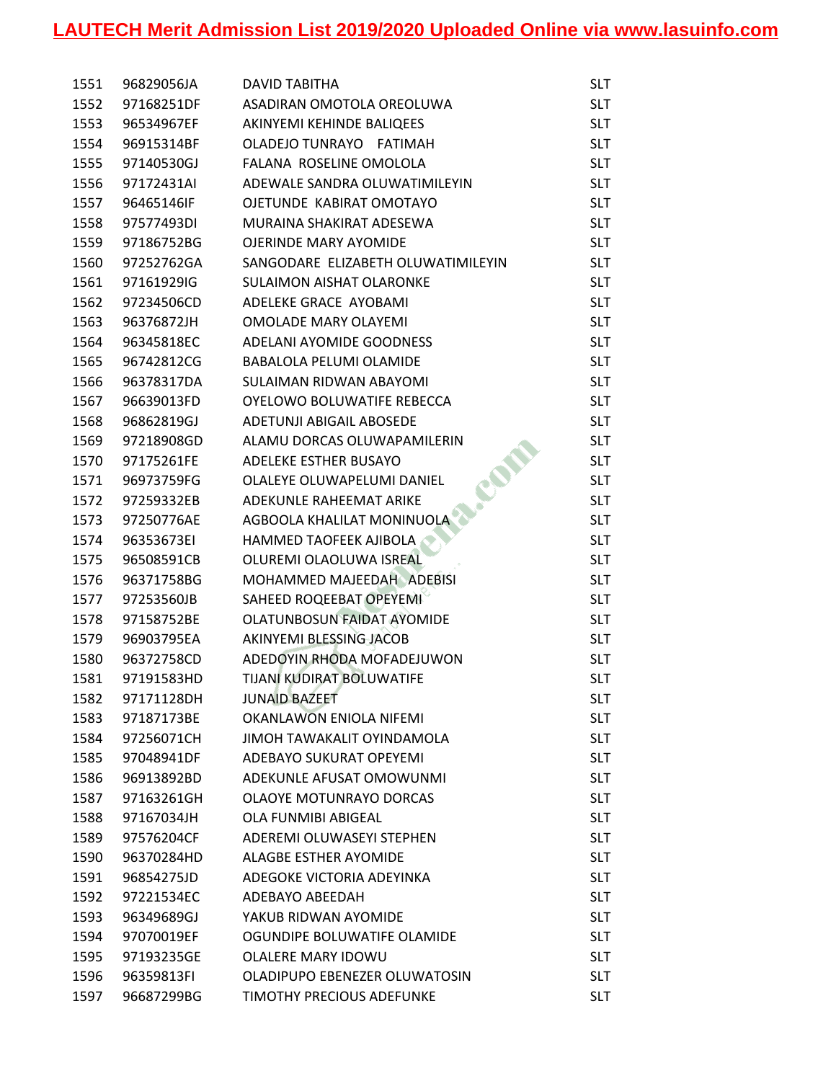| 1551 | 96829056JA | <b>DAVID TABITHA</b>               | SLT        |
|------|------------|------------------------------------|------------|
| 1552 | 97168251DF | ASADIRAN OMOTOLA OREOLUWA          | <b>SLT</b> |
| 1553 | 96534967EF | AKINYEMI KEHINDE BALIQEES          | <b>SLT</b> |
| 1554 | 96915314BF | OLADEJO TUNRAYO FATIMAH            | <b>SLT</b> |
| 1555 | 97140530GJ | FALANA ROSELINE OMOLOLA            | <b>SLT</b> |
| 1556 | 97172431AI | ADEWALE SANDRA OLUWATIMILEYIN      | <b>SLT</b> |
| 1557 | 96465146IF | OJETUNDE KABIRAT OMOTAYO           | <b>SLT</b> |
| 1558 | 97577493DI | MURAINA SHAKIRAT ADESEWA           | <b>SLT</b> |
| 1559 | 97186752BG | <b>OJERINDE MARY AYOMIDE</b>       | <b>SLT</b> |
| 1560 | 97252762GA | SANGODARE ELIZABETH OLUWATIMILEYIN | <b>SLT</b> |
| 1561 | 97161929IG | <b>SULAIMON AISHAT OLARONKE</b>    | <b>SLT</b> |
| 1562 | 97234506CD | ADELEKE GRACE AYOBAMI              | <b>SLT</b> |
| 1563 | 96376872JH | <b>OMOLADE MARY OLAYEMI</b>        | <b>SLT</b> |
| 1564 | 96345818EC | ADELANI AYOMIDE GOODNESS           | <b>SLT</b> |
| 1565 | 96742812CG | <b>BABALOLA PELUMI OLAMIDE</b>     | <b>SLT</b> |
| 1566 | 96378317DA | <b>SULAIMAN RIDWAN ABAYOMI</b>     | <b>SLT</b> |
| 1567 | 96639013FD | OYELOWO BOLUWATIFE REBECCA         | <b>SLT</b> |
| 1568 | 96862819GJ | <b>ADETUNJI ABIGAIL ABOSEDE</b>    | <b>SLT</b> |
| 1569 | 97218908GD | ALAMU DORCAS OLUWAPAMILERIN        | <b>SLT</b> |
| 1570 | 97175261FE | ADELEKE ESTHER BUSAYO              | <b>SLT</b> |
| 1571 | 96973759FG | OLALEYE OLUWAPELUMI DANIEL         | <b>SLT</b> |
| 1572 | 97259332EB | ADEKUNLE RAHEEMAT ARIKE            | <b>SLT</b> |
| 1573 | 97250776AE | AGBOOLA KHALILAT MONINUOLA         | <b>SLT</b> |
| 1574 | 96353673EI | HAMMED TAOFEEK AJIBOLA             | <b>SLT</b> |
| 1575 | 96508591CB | OLUREMI OLAOLUWA ISREAL            | <b>SLT</b> |
| 1576 | 96371758BG | MOHAMMED MAJEEDAH ADEBISI          | <b>SLT</b> |
| 1577 | 97253560JB | SAHEED ROQEEBAT OPEYEMI            | <b>SLT</b> |
| 1578 | 97158752BE | <b>OLATUNBOSUN FAIDAT AYOMIDE</b>  | <b>SLT</b> |
| 1579 | 96903795EA | AKINYEMI BLESSING JACOB            | <b>SLT</b> |
| 1580 | 96372758CD | ADEDOYIN RHODA MOFADEJUWON         | <b>SLT</b> |
| 1581 | 97191583HD | TIJANI KUDIRAT BOLUWATIFE          | <b>SLT</b> |
| 1582 | 97171128DH | <b>JUNAID BAZEET</b>               | <b>SLT</b> |
| 1583 | 97187173BE | <b>OKANLAWON ENIOLA NIFEMI</b>     | <b>SLT</b> |
| 1584 | 97256071CH | JIMOH TAWAKALIT OYINDAMOLA         | <b>SLT</b> |
| 1585 | 97048941DF | <b>ADEBAYO SUKURAT OPEYEMI</b>     | <b>SLT</b> |
| 1586 | 96913892BD | ADEKUNLE AFUSAT OMOWUNMI           | <b>SLT</b> |
| 1587 | 97163261GH | <b>OLAOYE MOTUNRAYO DORCAS</b>     | <b>SLT</b> |
| 1588 | 97167034JH | OLA FUNMIBI ABIGEAL                | <b>SLT</b> |
| 1589 | 97576204CF | ADEREMI OLUWASEYI STEPHEN          | <b>SLT</b> |
| 1590 | 96370284HD | <b>ALAGBE ESTHER AYOMIDE</b>       | <b>SLT</b> |
| 1591 | 96854275JD | ADEGOKE VICTORIA ADEYINKA          | <b>SLT</b> |
| 1592 | 97221534EC | ADEBAYO ABEEDAH                    | <b>SLT</b> |
| 1593 | 96349689GJ | YAKUB RIDWAN AYOMIDE               | <b>SLT</b> |
| 1594 | 97070019EF | OGUNDIPE BOLUWATIFE OLAMIDE        | <b>SLT</b> |
| 1595 | 97193235GE | OLALERE MARY IDOWU                 | <b>SLT</b> |
| 1596 | 96359813FI | OLADIPUPO EBENEZER OLUWATOSIN      | <b>SLT</b> |
| 1597 | 96687299BG | <b>TIMOTHY PRECIOUS ADEFUNKE</b>   | <b>SLT</b> |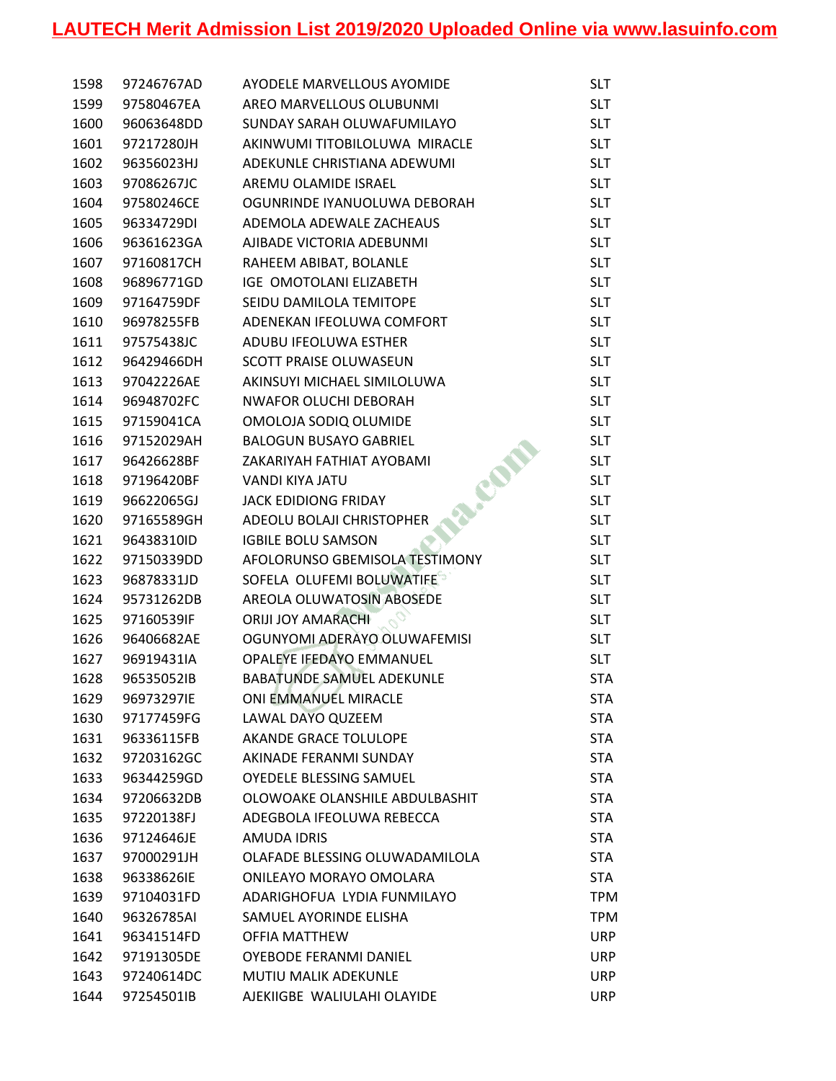| 1598 | 97246767AD | AYODELE MARVELLOUS AYOMIDE       | <b>SLT</b> |
|------|------------|----------------------------------|------------|
| 1599 | 97580467EA | AREO MARVELLOUS OLUBUNMI         | <b>SLT</b> |
| 1600 | 96063648DD | SUNDAY SARAH OLUWAFUMILAYO       | <b>SLT</b> |
| 1601 | 97217280JH | AKINWUMI TITOBILOLUWA MIRACLE    | <b>SLT</b> |
| 1602 | 96356023HJ | ADEKUNLE CHRISTIANA ADEWUMI      | <b>SLT</b> |
| 1603 | 97086267JC | AREMU OLAMIDE ISRAEL             | <b>SLT</b> |
| 1604 | 97580246CE | OGUNRINDE IYANUOLUWA DEBORAH     | <b>SLT</b> |
| 1605 | 96334729DI | ADEMOLA ADEWALE ZACHEAUS         | <b>SLT</b> |
| 1606 | 96361623GA | AJIBADE VICTORIA ADEBUNMI        | <b>SLT</b> |
| 1607 | 97160817CH | RAHEEM ABIBAT, BOLANLE           | <b>SLT</b> |
| 1608 | 96896771GD | IGE OMOTOLANI ELIZABETH          | <b>SLT</b> |
| 1609 | 97164759DF | SEIDU DAMILOLA TEMITOPE          | <b>SLT</b> |
| 1610 | 96978255FB | ADENEKAN IFEOLUWA COMFORT        | <b>SLT</b> |
| 1611 | 97575438JC | ADUBU IFEOLUWA ESTHER            | <b>SLT</b> |
| 1612 | 96429466DH | <b>SCOTT PRAISE OLUWASEUN</b>    | <b>SLT</b> |
| 1613 | 97042226AE | AKINSUYI MICHAEL SIMILOLUWA      | <b>SLT</b> |
| 1614 | 96948702FC | <b>NWAFOR OLUCHI DEBORAH</b>     | <b>SLT</b> |
| 1615 | 97159041CA | OMOLOJA SODIQ OLUMIDE            | <b>SLT</b> |
| 1616 | 97152029AH | <b>BALOGUN BUSAYO GABRIEL</b>    | <b>SLT</b> |
| 1617 | 96426628BF | ZAKARIYAH FATHIAT AYOBAMI        | <b>SLT</b> |
| 1618 | 97196420BF | VANDI KIYA JATU                  | <b>SLT</b> |
| 1619 | 96622065GJ | JACK EDIDIONG FRIDAY             | <b>SLT</b> |
| 1620 | 97165589GH | ADEOLU BOLAJI CHRISTOPHER        | <b>SLT</b> |
| 1621 | 96438310ID | <b>IGBILE BOLU SAMSON</b>        | <b>SLT</b> |
| 1622 | 97150339DD | AFOLORUNSO GBEMISOLA TESTIMONY   | <b>SLT</b> |
| 1623 | 96878331JD | SOFELA OLUFEMI BOLUWATIFE        | <b>SLT</b> |
| 1624 | 95731262DB | AREOLA OLUWATOSIN ABOSEDE        | <b>SLT</b> |
| 1625 | 97160539IF | <b>ORIJI JOY AMARACHI</b>        | <b>SLT</b> |
| 1626 | 96406682AE | OGUNYOMI ADERAYO OLUWAFEMISI     | <b>SLT</b> |
| 1627 | 96919431IA | OPALEYE IFEDAYO EMMANUEL         | <b>SLT</b> |
| 1628 | 96535052IB | <b>BABATUNDE SAMUEL ADEKUNLE</b> | <b>STA</b> |
| 1629 | 96973297IE | ONI EMMANUEL MIRACLE             | <b>STA</b> |
| 1630 | 97177459FG | LAWAL DAYO QUZEEM                | <b>STA</b> |
| 1631 | 96336115FB | AKANDE GRACE TOLULOPE            | <b>STA</b> |
| 1632 | 97203162GC | AKINADE FERANMI SUNDAY           | <b>STA</b> |
| 1633 | 96344259GD | <b>OYEDELE BLESSING SAMUEL</b>   | <b>STA</b> |
| 1634 | 97206632DB | OLOWOAKE OLANSHILE ABDULBASHIT   | <b>STA</b> |
| 1635 | 97220138FJ | ADEGBOLA IFEOLUWA REBECCA        | <b>STA</b> |
| 1636 | 97124646JE | <b>AMUDA IDRIS</b>               | <b>STA</b> |
| 1637 | 97000291JH | OLAFADE BLESSING OLUWADAMILOLA   | <b>STA</b> |
| 1638 | 96338626IE | ONILEAYO MORAYO OMOLARA          | <b>STA</b> |
| 1639 | 97104031FD | ADARIGHOFUA LYDIA FUNMILAYO      | <b>TPM</b> |
| 1640 | 96326785AI | SAMUEL AYORINDE ELISHA           | <b>TPM</b> |
| 1641 | 96341514FD | <b>OFFIA MATTHEW</b>             | <b>URP</b> |
| 1642 | 97191305DE | OYEBODE FERANMI DANIEL           | <b>URP</b> |
| 1643 | 97240614DC | <b>MUTIU MALIK ADEKUNLE</b>      | <b>URP</b> |
| 1644 | 97254501IB | AJEKIIGBE WALIULAHI OLAYIDE      | <b>URP</b> |